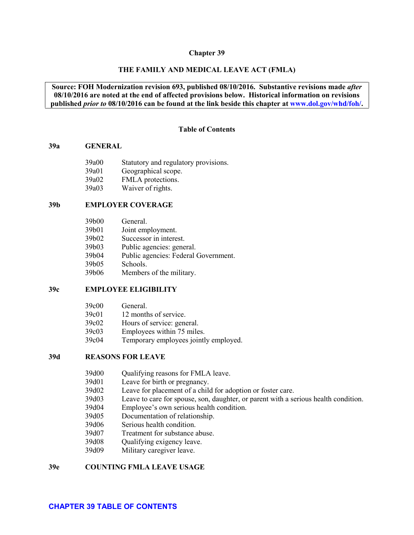#### **Chapter 39**

#### **THE FAMILY AND MEDICAL LEAVE ACT (FMLA)**

# **Source: FOH Modernization revision 693, published 08/10/2016. Substantive revisions made** *after* **08/10/2016 are noted at the end of affected provisions below. Historical information on revisions published** *prior to* **08/10/2016 can be found at the link beside this chapter at [www.dol.gov/whd/foh/.](http://www.dol.gov/whd/foh/)**

#### **Table of Contents**

#### <span id="page-0-0"></span>**[39a GENERAL](#page-2-0)**

| 39a00 | Statutory and regulatory provisions. |
|-------|--------------------------------------|
| 39a01 | Geographical scope.                  |
| 39a02 | FMLA protections.                    |
| 39a03 | Waiver of rights.                    |

### **[39b EMPLOYER COVERAGE](#page-5-1)**

| 39b01<br>Joint employment.<br>39b02<br>Successor in interest.<br>39b03<br>Public agencies: general.<br>39b04<br>39b05<br>Schools.<br>39b06<br>Members of the military. | 39b00 | General.                             |
|------------------------------------------------------------------------------------------------------------------------------------------------------------------------|-------|--------------------------------------|
|                                                                                                                                                                        |       |                                      |
|                                                                                                                                                                        |       |                                      |
|                                                                                                                                                                        |       |                                      |
|                                                                                                                                                                        |       | Public agencies: Federal Government. |
|                                                                                                                                                                        |       |                                      |
|                                                                                                                                                                        |       |                                      |

### **[39c EMPLOYEE ELIGIBILITY](#page-11-0)**

| 39c00 | General.                              |
|-------|---------------------------------------|
| 39c01 | 12 months of service.                 |
| 39c02 | Hours of service: general.            |
| 39c03 | Employees within 75 miles.            |
| 39c04 | Temporary employees jointly employed. |

# **[39d REASONS FOR LEAVE](#page-15-1)**

| 39d00 | Qualifying reasons for FMLA leave. |  |
|-------|------------------------------------|--|
|-------|------------------------------------|--|

- [39d01 Leave for birth or pregnancy.](#page-16-0)
- [39d02 Leave for placement of a child for adoption or foster care.](#page-17-0)
- [39d03 Leave to care for spouse, son, daughter, or parent with a serious health condition.](#page-18-0)
- [39d04 Employee's own serious health condition.](#page-22-0)
- [39d05 Documentation of relationship.](#page-23-0)
- [39d06 Serious health condition.](#page-23-1)
- [39d07 Treatment for substance abuse.](#page-26-0)
- [39d08 Qualifying exigency leave.](#page-27-0)
- [39d09 Military caregiver leave.](#page-33-0)

#### **[39e COUNTING FMLA LEAVE USAGE](#page-39-0)**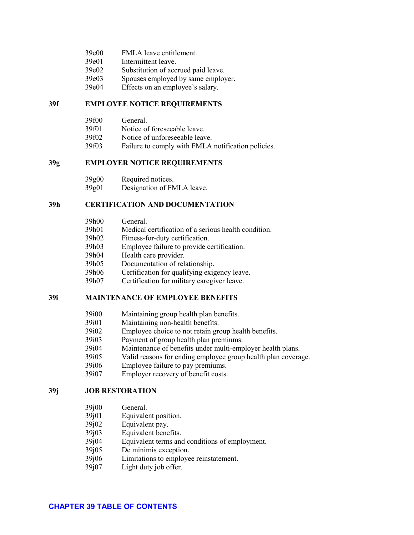| 39e00 | FMLA leave entitlement. |
|-------|-------------------------|
|-------|-------------------------|

- [39e01 Intermittent leave.](#page-41-0)
- [39e02 Substitution of accrued paid leave.](#page-44-0)
- [39e03 Spouses employed by same employer.](#page-46-0)
- [39e04 Effects on an employee's salary.](#page-46-1)

# **[39f EMPLOYEE NOTICE REQUIREMENTS](#page-47-0)**

[39f00 General.](#page-47-1) [39f01 Notice of foreseeable leave.](#page-47-2) [39f02 Notice of unforeseeable leave.](#page-49-0) [39f03 Failure to comply with FMLA notification policies.](#page-49-1)

# **[39g EMPLOYER NOTICE REQUIREMENTS](#page-50-0)**

| 39g00        | Required notices.          |
|--------------|----------------------------|
| 20 $\sim$ 01 | $Dogimation$ of $EMI$ A 1. |

39g01 [Designation of FMLA leave.](#page-53-0)

# **[39h CERTIFICATION AND DOCUMENTATION](#page-53-1)**

| 39h00 | General.                                             |
|-------|------------------------------------------------------|
| 39h01 | Medical certification of a serious health condition. |
| 39h02 | Fitness-for-duty certification.                      |
| 39h03 | Employee failure to provide certification.           |
| 39h04 | Health care provider.                                |
| 39h05 | Documentation of relationship.                       |
| 39h06 | Certification for qualifying exigency leave.         |
| 39h07 | Certification for military caregiver leave.          |

# **[39i MAINTENANCE OF EMPLOYEE BENEFITS](#page-67-0)**

| 39i00 | Maintaining group health plan benefits. |  |  |
|-------|-----------------------------------------|--|--|
|       |                                         |  |  |

- [39i01 Maintaining non-health benefits.](#page-68-0)
- [39i02 Employee choice to not retain group health benefits.](#page-69-0)
- [39i03 Payment of group health plan premiums.](#page-69-1)
- [39i04 Maintenance of benefits under multi-employer health plans.](#page-71-0)<br>39i05 Valid reasons for ending employee group health plan covera
- Valid reasons for ending employee group health plan coverage.
- [39i06 Employee failure to pay premiums.](#page-72-0)
- [39i07 Employer recovery of benefit costs.](#page-73-0)

# **[39j JOB RESTORATION](#page-74-0)**

- [39j00 General.](#page-74-1)
- [39j01 Equivalent position.](#page-75-0)
- [39j02 Equivalent pay.](#page-75-1)<br>39j03 Equivalent bene
- Equivalent benefits.
- [39j04 Equivalent terms and conditions of employment.](#page-76-1)
- [39j05 De minimis exception.](#page-77-0)
- [39j06 Limitations to employee reinstatement.](#page-77-1)
- [39j07 Light duty job offer.](#page-80-0)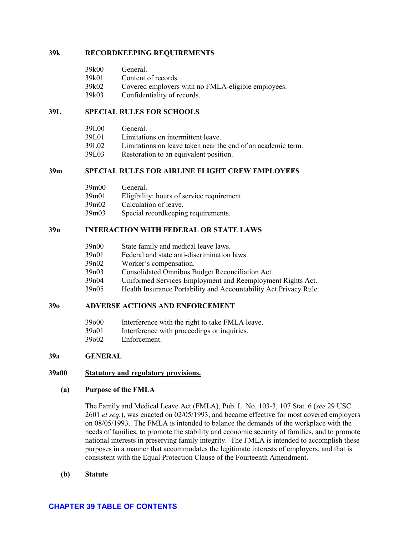### **[39k RECORDKEEPING REQUIREMENTS](#page-80-1)**

| 39k00 | General.            |  |
|-------|---------------------|--|
| 39k01 | Content of records. |  |
| 20100 |                     |  |

- [39k02 Covered employers with no FMLA-eligible employees.](#page-82-0)
- [39k03 Confidentiality of records.](#page-82-1)

### **[39L SPECIAL RULES FOR SCHOOLS](#page-83-0)**

| 39L00 | General.                                                     |
|-------|--------------------------------------------------------------|
| 39L01 | Limitations on intermittent leave.                           |
| 39L02 | Limitations on leave taken near the end of an academic term. |
| 39L03 | Restoration to an equivalent position.                       |
|       |                                                              |

# **[39m SPECIAL RULES FOR AIRLINE FLIGHT CREW EMPLOYEES](#page-85-1)**

| General.                                   |
|--------------------------------------------|
| Eligibility: hours of service requirement. |
| Calculation of leave.                      |
| Special record keeping requirements.       |
|                                            |

# **[39n INTERACTION WITH FEDERAL OR STATE LAWS](#page-88-1)**

| 39n00 | State family and medical leave laws. |  |  |
|-------|--------------------------------------|--|--|
|-------|--------------------------------------|--|--|

- [39n01 Federal and state anti-discrimination laws.](#page-88-3)
- [39n02 Worker's compensation.](#page-89-0)
- [39n03 Consolidated Omnibus Budget Reconciliation Act.](#page-90-0)
- [39n04 Uniformed Services Employment and Reemployment Rights Act.](#page-90-1)
- [39n05 Health Insurance Portability and Accountability Act Privacy Rule.](#page-90-2)

# **[39o ADVERSE ACTIONS](#page-91-0) AND ENFORCEMENT**

- [39o00 Interference with the right to take FMLA leave.](#page-91-1)
- [39o01 Interference with proceedings or inquiries.](#page-92-0)
- [39o02 Enforcement.](#page-92-1)

### <span id="page-2-0"></span>**39a GENERAL**

# <span id="page-2-1"></span>**39a00 Statutory and regulatory provisions.**

### **(a) Purpose of the FMLA**

The Family and Medical Leave Act (FMLA), Pub. L. No. 103-3, 107 Stat. 6 (*see* 29 USC 2601 *et seq.*), was enacted on 02/05/1993, and became effective for most covered employers on 08/05/1993. The FMLA is intended to balance the demands of the workplace with the needs of families, to promote the stability and economic security of families, and to promote national interests in preserving family integrity. The FMLA is intended to accomplish these purposes in a manner that accommodates the legitimate interests of employers, and that is consistent with the Equal Protection Clause of the Fourteenth Amendment.

**(b) Statute**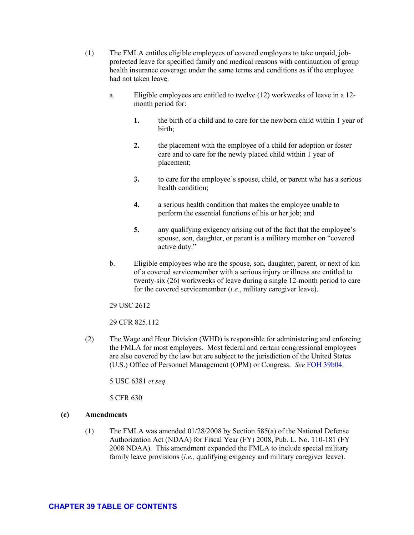- (1) The FMLA entitles eligible employees of covered employers to take unpaid, jobprotected leave for specified family and medical reasons with continuation of group health insurance coverage under the same terms and conditions as if the employee had not taken leave.
	- a. Eligible employees are entitled to twelve (12) workweeks of leave in a 12 month period for:
		- **1.** the birth of a child and to care for the newborn child within 1 year of birth;
		- **2.** the placement with the employee of a child for adoption or foster care and to care for the newly placed child within 1 year of placement;
		- **3.** to care for the employee's spouse, child, or parent who has a serious health condition;
		- **4.** a serious health condition that makes the employee unable to perform the essential functions of his or her job; and
		- **5.** any qualifying exigency arising out of the fact that the employee's spouse, son, daughter, or parent is a military member on "covered active duty."
	- b. Eligible employees who are the spouse, son, daughter, parent, or next of kin of a covered servicemember with a serious injury or illness are entitled to twenty-six (26) workweeks of leave during a single 12-month period to care for the covered servicemember (*i.e.*, military caregiver leave).
	- 29 USC 2612

29 CFR 825.112

(2) The Wage and Hour Division (WHD) is responsible for administering and enforcing the FMLA for most employees. Most federal and certain congressional employees are also covered by the law but are subject to the jurisdiction of the United States (U.S.) Office of Personnel Management (OPM) or Congress. *See* [FOH 39b04.](#page-9-0)

5 USC 6381 *et seq.*

5 CFR 630

# **(c) Amendments**

(1) The FMLA was amended 01/28/2008 by Section 585(a) of the National Defense Authorization Act (NDAA) for Fiscal Year (FY) 2008, Pub. L. No. 110-181 (FY 2008 NDAA). This amendment expanded the FMLA to include special military family leave provisions (*i.e.,* qualifying exigency and military caregiver leave).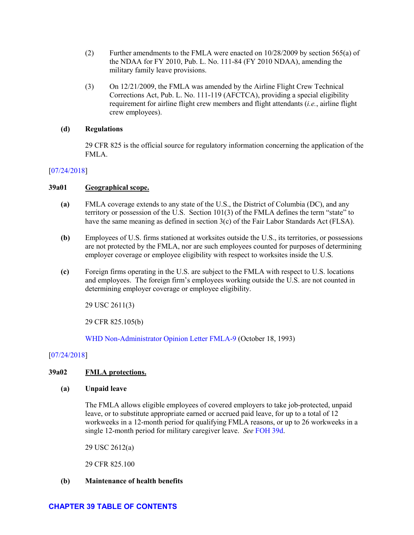- (2) Further amendments to the FMLA were enacted on 10/28/2009 by section 565(a) of the NDAA for FY 2010, Pub. L. No. 111-84 (FY 2010 NDAA), amending the military family leave provisions.
- (3) On 12/21/2009, the FMLA was amended by the Airline Flight Crew Technical Corrections Act, Pub. L. No. 111-119 (AFCTCA), providing a special eligibility requirement for airline flight crew members and flight attendants (*i.e.*, airline flight crew employees).

# **(d) Regulations**

29 CFR 825 is the official source for regulatory information concerning the application of the FMLA.

# [\[07/24/2018\]](http://esa.esa.dol.gov/whd/LawsRegs/FOH/Revisions/Revision758.pdf)

# <span id="page-4-0"></span>**39a01 Geographical scope.**

- **(a)** FMLA coverage extends to any state of the U.S., the District of Columbia (DC), and any territory or possession of the U.S. Section 101(3) of the FMLA defines the term "state" to have the same meaning as defined in section 3(c) of the Fair Labor Standards Act (FLSA).
- **(b)** Employees of U.S. firms stationed at worksites outside the U.S., its territories, or possessions are not protected by the FMLA, nor are such employees counted for purposes of determining employer coverage or employee eligibility with respect to worksites inside the U.S.
- **(c)** Foreign firms operating in the U.S. are subject to the FMLA with respect to U.S. locations and employees. The foreign firm's employees working outside the U.S. are not counted in determining employer coverage or employee eligibility.

29 USC 2611(3)

29 CFR 825.105(b)

[WHD Non-Administrator Opinion Letter FMLA-9](https://www.dol.gov/WHD/opinion/fmla/prior2002/FMLA-9.pdf) (October 18, 1993)

# [\[07/24/2018\]](http://esa.esa.dol.gov/whd/LawsRegs/FOH/Revisions/Revision758.pdf)

# <span id="page-4-1"></span>**39a02 FMLA protections.**

# **(a) Unpaid leave**

The FMLA allows eligible employees of covered employers to take job-protected, unpaid leave, or to substitute appropriate earned or accrued paid leave, for up to a total of 12 workweeks in a 12-month period for qualifying FMLA reasons, or up to 26 workweeks in a single 12-month period for military caregiver leave. *See* [FOH 39d.](#page-15-1)

29 USC 2612(a)

29 CFR 825.100

# **(b) Maintenance of health benefits**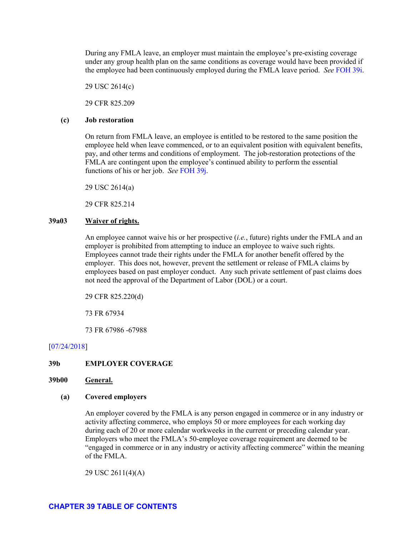During any FMLA leave, an employer must maintain the employee's pre-existing coverage under any group health plan on the same conditions as coverage would have been provided if the employee had been continuously employed during the FMLA leave period. *See* [FOH 39i.](#page-67-0)

29 USC 2614(c)

29 CFR 825.209

#### **(c) Job restoration**

On return from FMLA leave, an employee is entitled to be restored to the same position the employee held when leave commenced, or to an equivalent position with equivalent benefits, pay, and other terms and conditions of employment. The job-restoration protections of the FMLA are contingent upon the employee's continued ability to perform the essential functions of his or her job. *See* [FOH 39j.](#page-74-0)

29 USC 2614(a)

29 CFR 825.214

### <span id="page-5-0"></span>**39a03 Waiver of rights.**

An employee cannot waive his or her prospective (*i.e.*, future) rights under the FMLA and an employer is prohibited from attempting to induce an employee to waive such rights. Employees cannot trade their rights under the FMLA for another benefit offered by the employer. This does not, however, prevent the settlement or release of FMLA claims by employees based on past employer conduct. Any such private settlement of past claims does not need the approval of the Department of Labor (DOL) or a court.

29 CFR 825.220(d)

73 FR 67934

73 FR 67986 -67988

# [\[07/24/2018\]](http://esa.esa.dol.gov/whd/LawsRegs/FOH/Revisions/Revision758.pdf)

#### <span id="page-5-1"></span>**39b EMPLOYER COVERAGE**

#### <span id="page-5-2"></span>**39b00 General.**

#### **(a) Covered employers**

An employer covered by the FMLA is any person engaged in commerce or in any industry or activity affecting commerce, who employs 50 or more employees for each working day during each of 20 or more calendar workweeks in the current or preceding calendar year. Employers who meet the FMLA's 50-employee coverage requirement are deemed to be "engaged in commerce or in any industry or activity affecting commerce" within the meaning of the FMLA.

29 USC 2611(4)(A)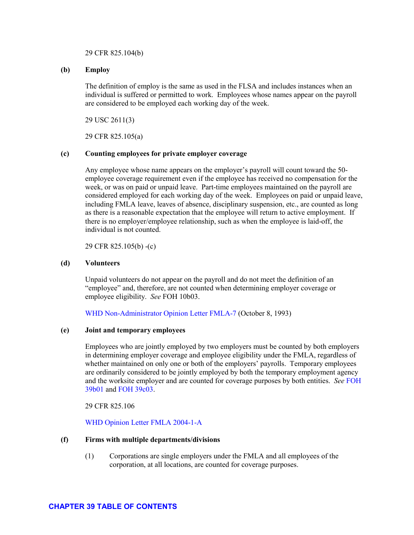#### 29 CFR 825.104(b)

# **(b) Employ**

The definition of employ is the same as used in the FLSA and includes instances when an individual is suffered or permitted to work. Employees whose names appear on the payroll are considered to be employed each working day of the week.

29 USC 2611(3)

29 CFR 825.105(a)

#### **(c) Counting employees for private employer coverage**

Any employee whose name appears on the employer's payroll will count toward the 50 employee coverage requirement even if the employee has received no compensation for the week, or was on paid or unpaid leave. Part-time employees maintained on the payroll are considered employed for each working day of the week. Employees on paid or unpaid leave, including FMLA leave, leaves of absence, disciplinary suspension, etc., are counted as long as there is a reasonable expectation that the employee will return to active employment. If there is no employer/employee relationship, such as when the employee is laid-off, the individual is not counted.

29 CFR 825.105(b) -(c)

### **(d) Volunteers**

Unpaid volunteers do not appear on the payroll and do not meet the definition of an "employee" and, therefore, are not counted when determining employer coverage or employee eligibility. *See* FOH 10b03.

[WHD Non-Administrator Opinion Letter FMLA-7](https://www.dol.gov/WHD/opinion/fmla/prior2002/FMLA-7.pdf) (October 8, 1993)

#### **(e) Joint and temporary employees**

Employees who are jointly employed by two employers must be counted by both employers in determining employer coverage and employee eligibility under the FMLA, regardless of whether maintained on only one or both of the employers' payrolls. Temporary employees are ordinarily considered to be jointly employed by both the temporary employment agency and the worksite employer and are counted for coverage purposes by both entities. *See* [FOH](#page-7-0) [39b01](#page-7-0) and [FOH 39c03.](#page-14-0)

29 CFR 825.106

[WHD Opinion Letter FMLA 2004-1-A](https://www.dol.gov/whd/opinion/FMLA/2004_04_05_1A_FMLA.pdf)

#### **(f) Firms with multiple departments/divisions**

(1) Corporations are single employers under the FMLA and all employees of the corporation, at all locations, are counted for coverage purposes.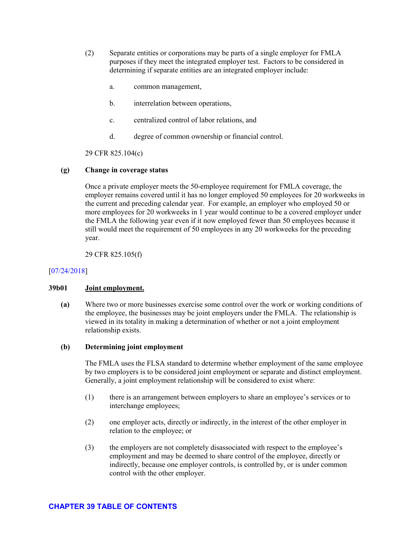- (2) Separate entities or corporations may be parts of a single employer for FMLA purposes if they meet the integrated employer test. Factors to be considered in determining if separate entities are an integrated employer include:
	- a. common management,
	- b. interrelation between operations,
	- c. centralized control of labor relations, and
	- d. degree of common ownership or financial control.

29 CFR 825.104(c)

# **(g) Change in coverage status**

Once a private employer meets the 50-employee requirement for FMLA coverage, the employer remains covered until it has no longer employed 50 employees for 20 workweeks in the current and preceding calendar year. For example, an employer who employed 50 or more employees for 20 workweeks in 1 year would continue to be a covered employer under the FMLA the following year even if it now employed fewer than 50 employees because it still would meet the requirement of 50 employees in any 20 workweeks for the preceding year.

29 CFR 825.105(f)

# [\[07/24/2018\]](http://esa.esa.dol.gov/whd/LawsRegs/FOH/Revisions/Revision758.pdf)

# <span id="page-7-0"></span>**39b01 Joint employment.**

**(a)** Where two or more businesses exercise some control over the work or working conditions of the employee, the businesses may be joint employers under the FMLA. The relationship is viewed in its totality in making a determination of whether or not a joint employment relationship exists.

# **(b) Determining joint employment**

The FMLA uses the FLSA standard to determine whether employment of the same employee by two employers is to be considered joint employment or separate and distinct employment. Generally, a joint employment relationship will be considered to exist where:

- (1) there is an arrangement between employers to share an employee's services or to interchange employees;
- (2) one employer acts, directly or indirectly, in the interest of the other employer in relation to the employee; or
- (3) the employers are not completely disassociated with respect to the employee's employment and may be deemed to share control of the employee, directly or indirectly, because one employer controls, is controlled by, or is under common control with the other employer.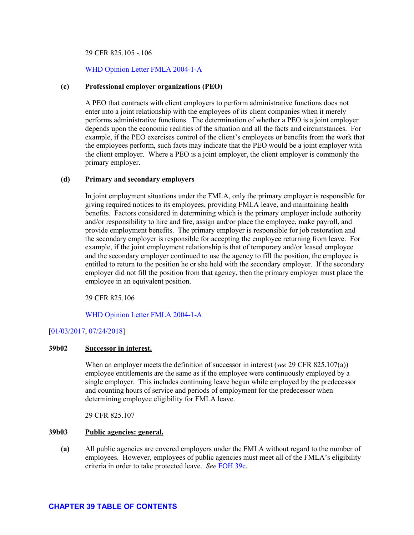#### 29 CFR 825.105 -.106

#### [WHD Opinion Letter FMLA 2004-1-A](https://www.dol.gov/whd/opinion/FMLA/2004_04_05_1A_FMLA.pdf)

#### **(c) Professional employer organizations (PEO)**

A PEO that contracts with client employers to perform administrative functions does not enter into a joint relationship with the employees of its client companies when it merely performs administrative functions. The determination of whether a PEO is a joint employer depends upon the economic realities of the situation and all the facts and circumstances. For example, if the PEO exercises control of the client's employees or benefits from the work that the employees perform, such facts may indicate that the PEO would be a joint employer with the client employer. Where a PEO is a joint employer, the client employer is commonly the primary employer.

#### **(d) Primary and secondary employers**

In joint employment situations under the FMLA, only the primary employer is responsible for giving required notices to its employees, providing FMLA leave, and maintaining health benefits. Factors considered in determining which is the primary employer include authority and/or responsibility to hire and fire, assign and/or place the employee, make payroll, and provide employment benefits. The primary employer is responsible for job restoration and the secondary employer is responsible for accepting the employee returning from leave. For example, if the joint employment relationship is that of temporary and/or leased employee and the secondary employer continued to use the agency to fill the position, the employee is entitled to return to the position he or she held with the secondary employer. If the secondary employer did not fill the position from that agency, then the primary employer must place the employee in an equivalent position.

29 CFR 825.106

[WHD Opinion Letter FMLA 2004-1-A](https://www.dol.gov/whd/opinion/FMLA/2004_04_05_1A_FMLA.pdf)

### [\[01/03/2017,](http://esa.esa.dol.gov/whd/LawsRegs/FOH/Revisions/Revision731.pdf) [07/24/2018\]](http://esa.esa.dol.gov/whd/LawsRegs/FOH/Revisions/Revision758.pdf)

#### <span id="page-8-0"></span>**39b02 Successor in interest.**

When an employer meets the definition of successor in interest (*see* 29 CFR 825.107(a)) employee entitlements are the same as if the employee were continuously employed by a single employer. This includes continuing leave begun while employed by the predecessor and counting hours of service and periods of employment for the predecessor when determining employee eligibility for FMLA leave.

29 CFR 825.107

#### <span id="page-8-1"></span>**39b03 Public agencies: general.**

**(a)** All public agencies are covered employers under the FMLA without regard to the number of employees. However, employees of public agencies must meet all of the FMLA's eligibility criteria in order to take protected leave. *See* [FOH 39c.](#page-11-0)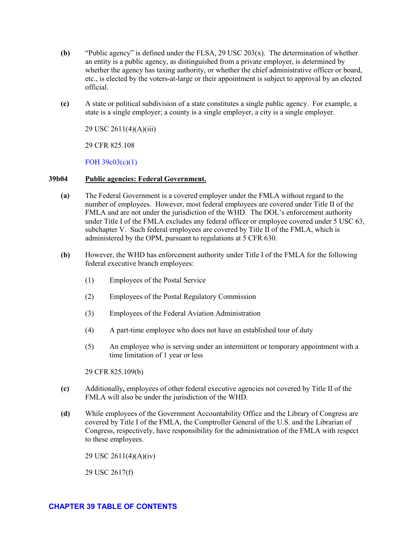- **(b)** "Public agency" is defined under the FLSA, 29 USC 203(x). The determination of whether an entity is a public agency, as distinguished from a private employer, is determined by whether the agency has taxing authority, or whether the chief administrative officer or board, etc., is elected by the voters-at-large or their appointment is subject to approval by an elected official.
- **(c)** A state or political subdivision of a state constitutes a single public agency. For example, a state is a single employer; a county is a single employer, a city is a single employer.

29 USC 2611(4)(A)(iii)

29 CFR 825.108

[FOH 39c03\(c\)\(1\)](#page-14-0)

### <span id="page-9-0"></span>**39b04 Public agencies: Federal Government.**

- **(a)** The Federal Government is a covered employer under the FMLA without regard to the number of employees. However, most federal employees are covered under Title II of the FMLA and are not under the jurisdiction of the WHD. The DOL's enforcement authority under Title I of the FMLA excludes any federal officer or employee covered under 5 USC 63, subchapter V. Such federal employees are covered by Title II of the FMLA, which is administered by the OPM, pursuant to regulations at 5 CFR 630.
- **(b)** However, the WHD has enforcement authority under Title I of the FMLA for the following federal executive branch employees:
	- (1) Employees of the Postal Service
	- (2) Employees of the Postal Regulatory Commission
	- (3) Employees of the Federal Aviation Administration
	- (4) A part-time employee who does not have an established tour of duty
	- (5) An employee who is serving under an intermittent or temporary appointment with a time limitation of 1 year or less

29 CFR 825.109(b)

- **(c)** Additionally**,** employees of other federal executive agencies not covered by Title II of the FMLA will also be under the jurisdiction of the WHD.
- **(d)** While employees of the Government Accountability Office and the Library of Congress are covered by Title I of the FMLA, the Comptroller General of the U.S. and the Librarian of Congress, respectively, have responsibility for the administration of the FMLA with respect to these employees.

29 USC 2611(4)(A)(iv)

29 USC 2617(f)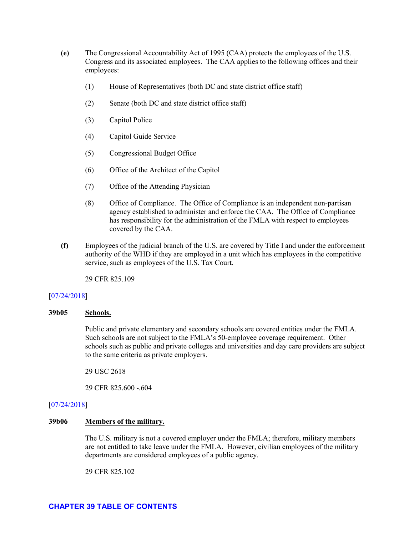- **(e)** The Congressional Accountability Act of 1995 (CAA) protects the employees of the U.S. Congress and its associated employees. The CAA applies to the following offices and their employees:
	- (1) House of Representatives (both DC and state district office staff)
	- (2) Senate (both DC and state district office staff)
	- (3) Capitol Police
	- (4) Capitol Guide Service
	- (5) Congressional Budget Office
	- (6) Office of the Architect of the Capitol
	- (7) Office of the Attending Physician
	- (8) Office of Compliance. The Office of Compliance is an independent non-partisan agency established to administer and enforce the CAA. The Office of Compliance has responsibility for the administration of the FMLA with respect to employees covered by the CAA.
- **(f)** Employees of the judicial branch of the U.S. are covered by Title I and under the enforcement authority of the WHD if they are employed in a unit which has employees in the competitive service, such as employees of the U.S. Tax Court.

29 CFR 825.109

#### [\[07/24/2018\]](http://esa.esa.dol.gov/whd/LawsRegs/FOH/Revisions/Revision758.pdf)

# <span id="page-10-0"></span>**39b05 Schools.**

Public and private elementary and secondary schools are covered entities under the FMLA. Such schools are not subject to the FMLA's 50-employee coverage requirement. Other schools such as public and private colleges and universities and day care providers are subject to the same criteria as private employers.

29 USC 2618

29 CFR 825.600 -.604

#### [\[07/24/2018\]](http://esa.esa.dol.gov/whd/LawsRegs/FOH/Revisions/Revision758.pdf)

#### <span id="page-10-1"></span>**39b06 Members of the military.**

The U.S. military is not a covered employer under the FMLA; therefore, military members are not entitled to take leave under the FMLA. However, civilian employees of the military departments are considered employees of a public agency.

29 CFR 825.102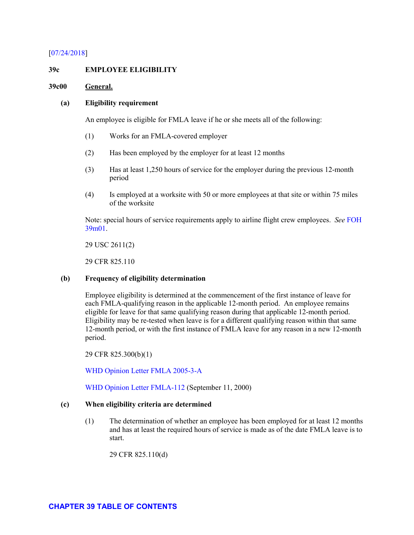### [\[07/24/2018\]](http://esa.esa.dol.gov/whd/LawsRegs/FOH/Revisions/Revision758.pdf)

#### <span id="page-11-0"></span>**39c EMPLOYEE ELIGIBILITY**

#### <span id="page-11-1"></span>**39c00 General.**

#### **(a) Eligibility requirement**

An employee is eligible for FMLA leave if he or she meets all of the following:

- (1) Works for an FMLA-covered employer
- (2) Has been employed by the employer for at least 12 months
- (3) Has at least 1,250 hours of service for the employer during the previous 12-month period
- (4) Is employed at a worksite with 50 or more employees at that site or within 75 miles of the worksite

Note: special hours of service requirements apply to airline flight crew employees. *See* [FOH](#page-86-0)  [39m01.](#page-86-0)

29 USC 2611(2)

29 CFR 825.110

# **(b) Frequency of eligibility determination**

Employee eligibility is determined at the commencement of the first instance of leave for each FMLA-qualifying reason in the applicable 12-month period. An employee remains eligible for leave for that same qualifying reason during that applicable 12-month period. Eligibility may be re-tested when leave is for a different qualifying reason within that same 12-month period, or with the first instance of FMLA leave for any reason in a new 12-month period.

29 CFR 825.300(b)(1)

[WHD Opinion Letter FMLA 2005-3-A](https://www.dol.gov/whd/opinion/FMLA/2005/2005_11_17_3A_FMLA.pdf)

WHD [Opinion Letter FMLA-112](https://www.dol.gov/whd/opinion/FMLA/prior2002/FMLA-112.pdf) (September 11, 2000)

#### **(c) When eligibility criteria are determined**

(1) The determination of whether an employee has been employed for at least 12 months and has at least the required hours of service is made as of the date FMLA leave is to start.

29 CFR 825.110(d)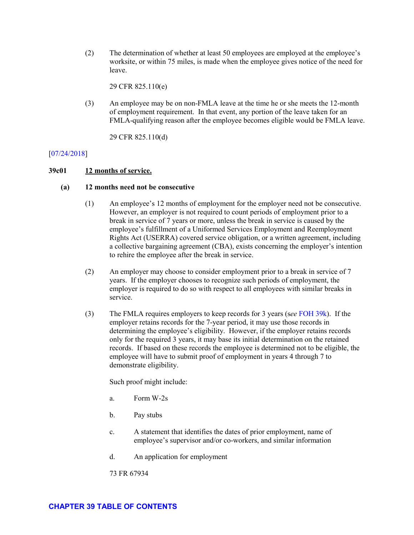(2) The determination of whether at least 50 employees are employed at the employee's worksite, or within 75 miles, is made when the employee gives notice of the need for leave.

29 CFR 825.110(e)

(3) An employee may be on non-FMLA leave at the time he or she meets the 12-month of employment requirement. In that event, any portion of the leave taken for an FMLA-qualifying reason after the employee becomes eligible would be FMLA leave.

29 CFR 825.110(d)

# [\[07/24/2018\]](http://esa.esa.dol.gov/whd/LawsRegs/FOH/Revisions/Revision758.pdf)

# <span id="page-12-0"></span>**39c01 12 months of service.**

# **(a) 12 months need not be consecutive**

- (1) An employee's 12 months of employment for the employer need not be consecutive. However, an employer is not required to count periods of employment prior to a break in service of 7 years or more, unless the break in service is caused by the employee's fulfillment of a Uniformed Services Employment and Reemployment Rights Act (USERRA) covered service obligation, or a written agreement, including a collective bargaining agreement (CBA), exists concerning the employer's intention to rehire the employee after the break in service.
- (2) An employer may choose to consider employment prior to a break in service of 7 years. If the employer chooses to recognize such periods of employment, the employer is required to do so with respect to all employees with similar breaks in service.
- (3) The FMLA requires employers to keep records for 3 years (s*ee* [FOH 39k\)](#page-80-1). If the employer retains records for the 7-year period, it may use those records in determining the employee's eligibility. However, if the employer retains records only for the required 3 years, it may base its initial determination on the retained records. If based on these records the employee is determined not to be eligible, the employee will have to submit proof of employment in years 4 through 7 to demonstrate eligibility.

Such proof might include:

- a. Form W-2s
- b. Pay stubs
- c. A statement that identifies the dates of prior employment, name of employee's supervisor and/or co-workers, and similar information
- d. An application for employment

73 FR 67934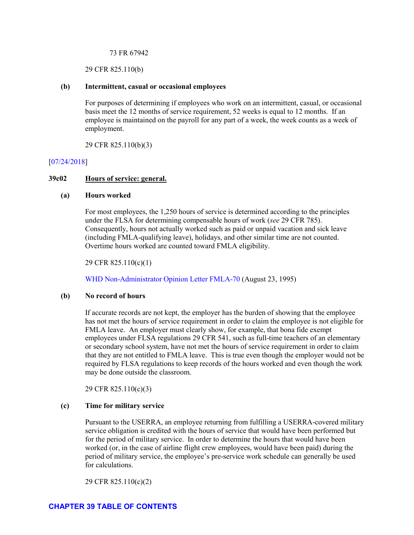#### 73 FR 67942

29 CFR 825.110(b)

#### **(b) Intermittent, casual or occasional employees**

For purposes of determining if employees who work on an intermittent, casual, or occasional basis meet the 12 months of service requirement, 52 weeks is equal to 12 months. If an employee is maintained on the payroll for any part of a week, the week counts as a week of employment.

29 CFR 825.110(b)(3)

### [\[07/24/2018\]](http://esa.esa.dol.gov/whd/LawsRegs/FOH/Revisions/Revision758.pdf)

#### <span id="page-13-0"></span>**39c02 Hours of service: general.**

#### **(a) Hours worked**

For most employees, the 1,250 hours of service is determined according to the principles under the FLSA for determining compensable hours of work (*see* 29 CFR 785). Consequently, hours not actually worked such as paid or unpaid vacation and sick leave (including FMLA-qualifying leave), holidays, and other similar time are not counted. Overtime hours worked are counted toward FMLA eligibility.

29 CFR 825.110(c)(1)

[WHD Non-Administrator Opinion Letter FMLA-70](https://www.dol.gov/WHD/opinion/FMLA/prior2002/FMLA-70.pdf) (August 23, 1995)

#### **(b) No record of hours**

If accurate records are not kept, the employer has the burden of showing that the employee has not met the hours of service requirement in order to claim the employee is not eligible for FMLA leave. An employer must clearly show, for example, that bona fide exempt employees under FLSA regulations 29 CFR 541, such as full-time teachers of an elementary or secondary school system, have not met the hours of service requirement in order to claim that they are not entitled to FMLA leave. This is true even though the employer would not be required by FLSA regulations to keep records of the hours worked and even though the work may be done outside the classroom.

29 CFR 825.110(c)(3)

#### **(c) Time for military service**

Pursuant to the USERRA, an employee returning from fulfilling a USERRA-covered military service obligation is credited with the hours of service that would have been performed but for the period of military service. In order to determine the hours that would have been worked (or, in the case of airline flight crew employees, would have been paid) during the period of military service, the employee's pre-service work schedule can generally be used for calculations.

29 CFR 825.110(c)(2)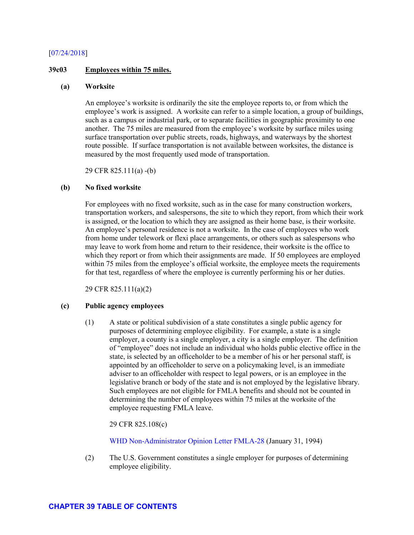### [\[07/24/2018\]](http://esa.esa.dol.gov/whd/LawsRegs/FOH/Revisions/Revision758.pdf)

#### <span id="page-14-0"></span>**39c03 Employees within 75 miles.**

#### **(a) Worksite**

An employee's worksite is ordinarily the site the employee reports to, or from which the employee's work is assigned. A worksite can refer to a simple location, a group of buildings, such as a campus or industrial park, or to separate facilities in geographic proximity to one another. The 75 miles are measured from the employee's worksite by surface miles using surface transportation over public streets, roads, highways, and waterways by the shortest route possible. If surface transportation is not available between worksites, the distance is measured by the most frequently used mode of transportation.

29 CFR 825.111(a) -(b)

### **(b) No fixed worksite**

For employees with no fixed worksite, such as in the case for many construction workers, transportation workers, and salespersons, the site to which they report, from which their work is assigned, or the location to which they are assigned as their home base, is their worksite. An employee's personal residence is not a worksite. In the case of employees who work from home under telework or flexi place arrangements, or others such as salespersons who may leave to work from home and return to their residence, their worksite is the office to which they report or from which their assignments are made. If 50 employees are employed within 75 miles from the employee's official worksite, the employee meets the requirements for that test, regardless of where the employee is currently performing his or her duties.

29 CFR 825.111(a)(2)

#### **(c) Public agency employees**

(1) A state or political subdivision of a state constitutes a single public agency for purposes of determining employee eligibility. For example, a state is a single employer, a county is a single employer, a city is a single employer. The definition of "employee" does not include an individual who holds public elective office in the state, is selected by an officeholder to be a member of his or her personal staff, is appointed by an officeholder to serve on a policymaking level, is an immediate adviser to an officeholder with respect to legal powers, or is an employee in the legislative branch or body of the state and is not employed by the legislative library. Such employees are not eligible for FMLA benefits and should not be counted in determining the number of employees within 75 miles at the worksite of the employee requesting FMLA leave.

29 CFR 825.108(c)

[WHD Non-Administrator Opinion Letter FMLA-28](https://www.dol.gov/WHD/opinion/fmla/prior2002/FMLA-28.pdf) (January 31, 1994)

(2) The U.S. Government constitutes a single employer for purposes of determining employee eligibility.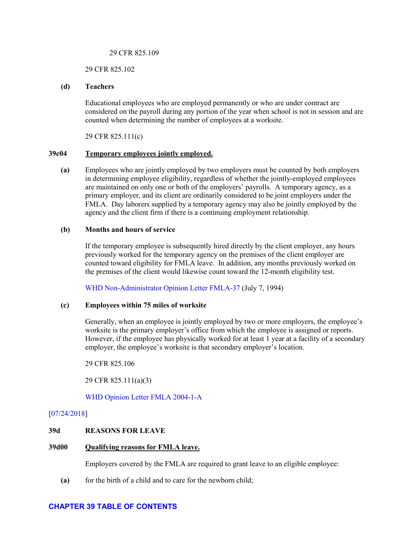#### 29 CFR 825.109

#### 29 CFR 825.102

### **(d) Teachers**

Educational employees who are employed permanently or who are under contract are considered on the payroll during any portion of the year when school is not in session and are counted when determining the number of employees at a worksite.

29 CFR 825.111(c)

### <span id="page-15-0"></span>**39c04 Temporary employees jointly employed.**

**(a)** Employees who are jointly employed by two employers must be counted by both employers in determining employee eligibility, regardless of whether the jointly-employed employees are maintained on only one or both of the employers' payrolls. A temporary agency, as a primary employer, and its client are ordinarily considered to be joint employers under the FMLA. Day laborers supplied by a temporary agency may also be jointly employed by the agency and the client firm if there is a continuing employment relationship.

### **(b) Months and hours of service**

If the temporary employee is subsequently hired directly by the client employer, any hours previously worked for the temporary agency on the premises of the client employer are counted toward eligibility for FMLA leave. In addition, any months previously worked on the premises of the client would likewise count toward the 12-month eligibility test.

[WHD Non-Administrator Opinion Letter FMLA-37](https://www.dol.gov/WHD/opinion/fmla/prior2002/FMLA-37.pdf) (July 7, 1994)

# **(c) Employees within 75 miles of worksite**

Generally, when an employee is jointly employed by two or more employers, the employee's worksite is the primary employer's office from which the employee is assigned or reports. However, if the employee has physically worked for at least 1 year at a facility of a secondary employer, the employee's worksite is that secondary employer's location.

29 CFR 825.106

29 CFR 825.111(a)(3)

[WHD Opinion Letter FMLA 2004-1-A](https://www.dol.gov/whd/opinion/FMLA/2004_04_05_1A_FMLA.pdf)

# [\[07/24/2018\]](http://esa.esa.dol.gov/whd/LawsRegs/FOH/Revisions/Revision758.pdf)

# <span id="page-15-1"></span>**39d REASONS FOR LEAVE**

#### <span id="page-15-2"></span>**39d00 Qualifying reasons for FMLA leave.**

Employers covered by the FMLA are required to grant leave to an eligible employee:

**(a)** for the birth of a child and to care for the newborn child;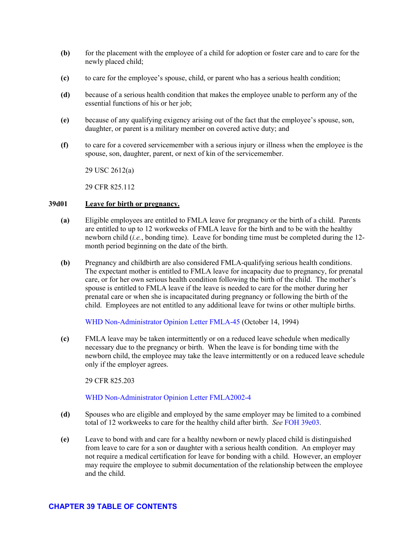- **(b)** for the placement with the employee of a child for adoption or foster care and to care for the newly placed child;
- **(c)** to care for the employee's spouse, child, or parent who has a serious health condition;
- **(d)** because of a serious health condition that makes the employee unable to perform any of the essential functions of his or her job;
- **(e)** because of any qualifying exigency arising out of the fact that the employee's spouse, son, daughter, or parent is a military member on covered active duty; and
- **(f)** to care for a covered servicemember with a serious injury or illness when the employee is the spouse, son, daughter, parent, or next of kin of the servicemember.

29 USC 2612(a)

29 CFR 825.112

# <span id="page-16-0"></span>**39d01 Leave for birth or pregnancy.**

- **(a)** Eligible employees are entitled to FMLA leave for pregnancy or the birth of a child. Parents are entitled to up to 12 workweeks of FMLA leave for the birth and to be with the healthy newborn child (*i.e.*, bonding time). Leave for bonding time must be completed during the 12 month period beginning on the date of the birth.
- **(b)** Pregnancy and childbirth are also considered FMLA-qualifying serious health conditions. The expectant mother is entitled to FMLA leave for incapacity due to pregnancy, for prenatal care, or for her own serious health condition following the birth of the child. The mother's spouse is entitled to FMLA leave if the leave is needed to care for the mother during her prenatal care or when she is incapacitated during pregnancy or following the birth of the child. Employees are not entitled to any additional leave for twins or other multiple births.

[WHD Non-Administrator Opinion Letter FMLA-45](https://www.dol.gov/WHD/opinion/fmla/prior2002/FMLA-45.pdf) (October 14, 1994)

**(c)** FMLA leave may be taken intermittently or on a reduced leave schedule when medically necessary due to the pregnancy or birth. When the leave is for bonding time with the newborn child, the employee may take the leave intermittently or on a reduced leave schedule only if the employer agrees.

29 CFR 825.203

[WHD Non-Administrator Opinion Letter FMLA2002-4](https://www.dol.gov/whd/opinion/FMLA/2002_07_23_4_FMLA.pdf)

- **(d)** Spouses who are eligible and employed by the same employer may be limited to a combined total of 12 workweeks to care for the healthy child after birth. *See* [FOH 39e03.](#page-46-0)
- **(e)** Leave to bond with and care for a healthy newborn or newly placed child is distinguished from leave to care for a son or daughter with a serious health condition. An employer may not require a medical certification for leave for bonding with a child. However, an employer may require the employee to submit documentation of the relationship between the employee and the child.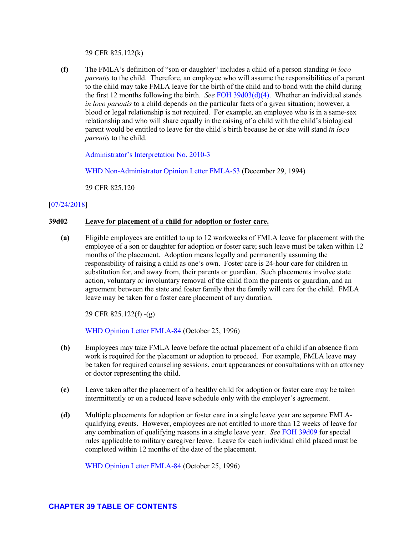29 CFR 825.122(k)

**(f)** The FMLA's definition of "son or daughter" includes a child of a person standing *in loco parentis* to the child. Therefore, an employee who will assume the responsibilities of a parent to the child may take FMLA leave for the birth of the child and to bond with the child during the first 12 months following the birth. *See* [FOH 39d03\(d\)\(4\).](#page-18-0) Whether an individual stands *in loco parentis* to a child depends on the particular facts of a given situation; however, a blood or legal relationship is not required. For example, an employee who is in a same-sex relationship and who will share equally in the raising of a child with the child's biological parent would be entitled to leave for the child's birth because he or she will stand *in loco parentis* to the child.

[Administrator's Interpretation No. 2010-3](https://www.dol.gov/whd/opinion/adminIntrprtn/FMLA/2010/FMLAAI2010_3.pdf)

[WHD Non-Administrator Opinion Letter FMLA-53](https://www.dol.gov/WHD/opinion/fmla/prior2002/FMLA-53.pdf) (December 29, 1994)

29 CFR 825.120

# [\[07/24/2018\]](http://esa.esa.dol.gov/whd/LawsRegs/FOH/Revisions/Revision758.pdf)

#### <span id="page-17-0"></span>**39d02 Leave for placement of a child for adoption or foster care.**

**(a)** Eligible employees are entitled to up to 12 workweeks of FMLA leave for placement with the employee of a son or daughter for adoption or foster care; such leave must be taken within 12 months of the placement. Adoption means legally and permanently assuming the responsibility of raising a child as one's own. Foster care is 24-hour care for children in substitution for, and away from, their parents or guardian. Such placements involve state action, voluntary or involuntary removal of the child from the parents or guardian, and an agreement between the state and foster family that the family will care for the child. FMLA leave may be taken for a foster care placement of any duration.

29 CFR 825.122(f) -(g)

[WHD Opinion Letter FMLA-84](https://www.dol.gov/whd/opinion/FMLA/prior2002/FMLA-84.pdf) (October 25, 1996)

- **(b)** Employees may take FMLA leave before the actual placement of a child if an absence from work is required for the placement or adoption to proceed. For example, FMLA leave may be taken for required counseling sessions, court appearances or consultations with an attorney or doctor representing the child.
- **(c)** Leave taken after the placement of a healthy child for adoption or foster care may be taken intermittently or on a reduced leave schedule only with the employer's agreement.
- **(d)** Multiple placements for adoption or foster care in a single leave year are separate FMLAqualifying events. However, employees are not entitled to more than 12 weeks of leave for any combination of qualifying reasons in a single leave year. *See* [FOH 39d09](#page-33-0) for special rules applicable to military caregiver leave. Leave for each individual child placed must be completed within 12 months of the date of the placement.

[WHD Opinion Letter FMLA-84](https://www.dol.gov/whd/opinion/FMLA/prior2002/FMLA-84.pdf) (October 25, 1996)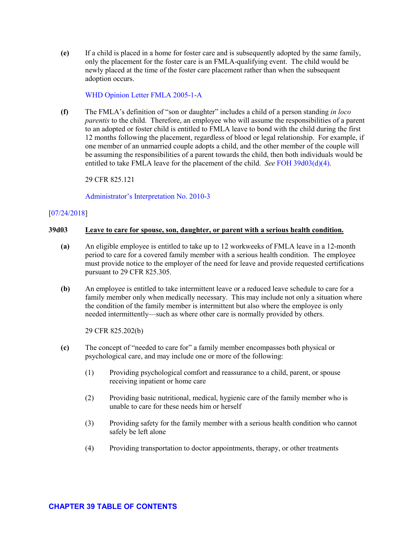**(e)** If a child is placed in a home for foster care and is subsequently adopted by the same family, only the placement for the foster care is an FMLA-qualifying event. The child would be newly placed at the time of the foster care placement rather than when the subsequent adoption occurs.

### [WHD Opinion Letter FMLA 2005-1-A](https://www.dol.gov/whd/opinion/FMLA/2005/2005_08_26_1A_FMLA.pdf)

**(f)** The FMLA's definition of "son or daughter" includes a child of a person standing *in loco parentis* to the child. Therefore, an employee who will assume the responsibilities of a parent to an adopted or foster child is entitled to FMLA leave to bond with the child during the first 12 months following the placement, regardless of blood or legal relationship. For example, if one member of an unmarried couple adopts a child, and the other member of the couple will be assuming the responsibilities of a parent towards the child, then both individuals would be entitled to take FMLA leave for the placement of the child. *See* [FOH 39d03\(d\)\(4\).](#page-18-0)

29 CFR 825.121

[Administrator's Interpretation No. 2010-3](https://www.dol.gov/whd/opinion/adminIntrprtn/FMLA/2010/FMLAAI2010_3.pdf)

### [\[07/24/2018\]](http://esa.esa.dol.gov/whd/LawsRegs/FOH/Revisions/Revision758.pdf)

### <span id="page-18-0"></span>**39d03 Leave to care for spouse, son, daughter, or parent with a serious health condition.**

- **(a)** An eligible employee is entitled to take up to 12 workweeks of FMLA leave in a 12-month period to care for a covered family member with a serious health condition. The employee must provide notice to the employer of the need for leave and provide requested certifications pursuant to 29 CFR 825.305.
- **(b)** An employee is entitled to take intermittent leave or a reduced leave schedule to care for a family member only when medically necessary. This may include not only a situation where the condition of the family member is intermittent but also where the employee is only needed intermittently—such as where other care is normally provided by others.

29 CFR 825.202(b)

- **(c)** The concept of "needed to care for" a family member encompasses both physical or psychological care, and may include one or more of the following:
	- (1) Providing psychological comfort and reassurance to a child, parent, or spouse receiving inpatient or home care
	- (2) Providing basic nutritional, medical, hygienic care of the family member who is unable to care for these needs him or herself
	- (3) Providing safety for the family member with a serious health condition who cannot safely be left alone
	- (4) Providing transportation to doctor appointments, therapy, or other treatments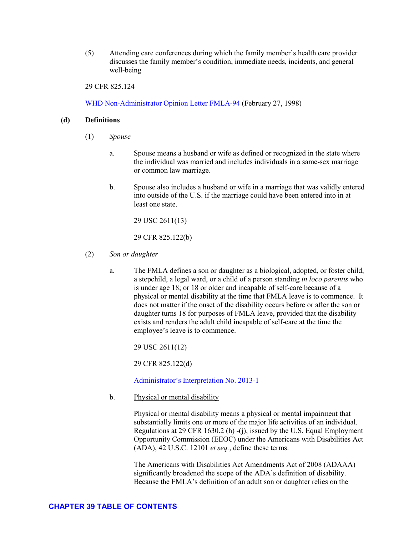(5) Attending care conferences during which the family member's health care provider discusses the family member's condition, immediate needs, incidents, and general well-being

29 CFR 825.124

[WHD Non-Administrator Opinion Letter FMLA-94](https://www.dol.gov/WHD/opinion/FMLA/prior2002/FMLA-94.pdf) (February 27, 1998)

### **(d) Definitions**

- (1) *Spouse*
	- a. Spouse means a husband or wife as defined or recognized in the state where the individual was married and includes individuals in a same-sex marriage or common law marriage.
	- b. Spouse also includes a husband or wife in a marriage that was validly entered into outside of the U.S. if the marriage could have been entered into in at least one state.

29 USC 2611(13)

29 CFR 825.122(b)

- (2) *Son or daughter* 
	- a. The FMLA defines a son or daughter as a biological, adopted, or foster child, a stepchild, a legal ward, or a child of a person standing *in loco parentis* who is under age 18; or 18 or older and incapable of self-care because of a physical or mental disability at the time that FMLA leave is to commence. It does not matter if the onset of the disability occurs before or after the son or daughter turns 18 for purposes of FMLA leave, provided that the disability exists and renders the adult child incapable of self-care at the time the employee's leave is to commence.

29 USC 2611(12)

29 CFR 825.122(d)

[Administrator's Interpretation No. 2013-1](https://www.dol.gov/whd/opinion/adminIntrprtn/FMLA/2013/FMLAAI2013_1.pdf)

b. Physical or mental disability

Physical or mental disability means a physical or mental impairment that substantially limits one or more of the major life activities of an individual. Regulations at 29 CFR 1630.2 (h) -(j), issued by the U.S. Equal Employment Opportunity Commission (EEOC) under the Americans with Disabilities Act (ADA), 42 U.S.C. 12101 *et seq.*, define these terms.

The Americans with Disabilities Act Amendments Act of 2008 (ADAAA) significantly broadened the scope of the ADA's definition of disability. Because the FMLA's definition of an adult son or daughter relies on the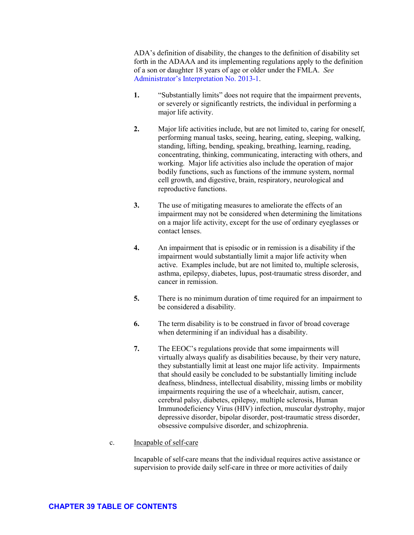ADA's definition of disability, the changes to the definition of disability set forth in the ADAAA and its implementing regulations apply to the definition of a son or daughter 18 years of age or older under the FMLA. *See* [Administrator's Interpretation No. 2013-1.](https://www.dol.gov/whd/opinion/adminIntrprtn/FMLA/2013/FMLAAI2013_1.pdf)

- **1.** "Substantially limits" does not require that the impairment prevents, or severely or significantly restricts, the individual in performing a major life activity.
- **2.** Major life activities include, but are not limited to, caring for oneself, performing manual tasks, seeing, hearing, eating, sleeping, walking, standing, lifting, bending, speaking, breathing, learning, reading, concentrating, thinking, communicating, interacting with others, and working. Major life activities also include the operation of major bodily functions, such as functions of the immune system, normal cell growth, and digestive, brain, respiratory, neurological and reproductive functions.
- **3.** The use of mitigating measures to ameliorate the effects of an impairment may not be considered when determining the limitations on a major life activity, except for the use of ordinary eyeglasses or contact lenses.
- **4.** An impairment that is episodic or in remission is a disability if the impairment would substantially limit a major life activity when active. Examples include, but are not limited to, multiple sclerosis, asthma, epilepsy, diabetes, lupus, post-traumatic stress disorder, and cancer in remission.
- **5.** There is no minimum duration of time required for an impairment to be considered a disability.
- **6.** The term disability is to be construed in favor of broad coverage when determining if an individual has a disability.
- **7.** The EEOC's regulations provide that some impairments will virtually always qualify as disabilities because, by their very nature, they substantially limit at least one major life activity. Impairments that should easily be concluded to be substantially limiting include deafness, blindness, intellectual disability, missing limbs or mobility impairments requiring the use of a wheelchair, autism, cancer, cerebral palsy, diabetes, epilepsy, multiple sclerosis, Human Immunodeficiency Virus (HIV) infection, muscular dystrophy, major depressive disorder, bipolar disorder, post-traumatic stress disorder, obsessive compulsive disorder, and schizophrenia.
- c. Incapable of self-care

Incapable of self-care means that the individual requires active assistance or supervision to provide daily self-care in three or more activities of daily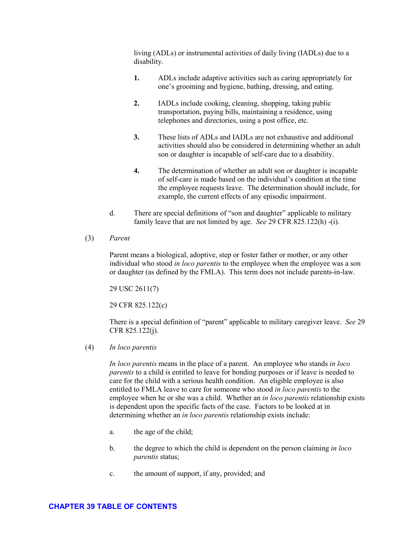living (ADLs) or instrumental activities of daily living (IADLs) due to a disability.

- **1.** ADLs include adaptive activities such as caring appropriately for one's grooming and hygiene, bathing, dressing, and eating.
- **2.** IADLs include cooking, cleaning, shopping, taking public transportation, paying bills, maintaining a residence, using telephones and directories, using a post office, etc.
- **3.** These lists of ADLs and IADLs are not exhaustive and additional activities should also be considered in determining whether an adult son or daughter is incapable of self-care due to a disability.
- **4.** The determination of whether an adult son or daughter is incapable of self-care is made based on the individual's condition at the time the employee requests leave. The determination should include, for example, the current effects of any episodic impairment.
- d. There are special definitions of "son and daughter" applicable to military family leave that are not limited by age. *See* 29 CFR 825.122(h) -(i).
- (3) *Parent*

Parent means a biological, adoptive, step or foster father or mother, or any other individual who stood *in loco parentis* to the employee when the employee was a son or daughter (as defined by the FMLA). This term does not include parents-in-law.

29 USC 2611(7)

29 CFR 825.122(c)

There is a special definition of "parent" applicable to military caregiver leave. *See* 29 CFR 825.122(j).

(4) *In loco parentis*

*In loco parentis* means in the place of a parent. An employee who stands *in loco parentis* to a child is entitled to leave for bonding purposes or if leave is needed to care for the child with a serious health condition. An eligible employee is also entitled to FMLA leave to care for someone who stood *in loco parentis* to the employee when he or she was a child. Whether an *in loco parentis* relationship exists is dependent upon the specific facts of the case. Factors to be looked at in determining whether an *in loco parentis* relationship exists include:

- a. the age of the child;
- b. the degree to which the child is dependent on the person claiming *in loco parentis* status;
- c. the amount of support, if any, provided; and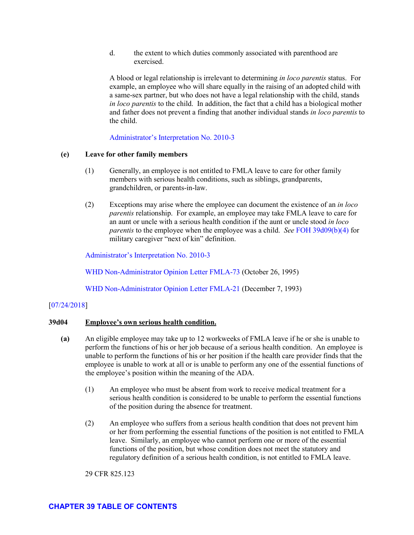d. the extent to which duties commonly associated with parenthood are exercised.

A blood or legal relationship is irrelevant to determining *in loco parentis* status. For example, an employee who will share equally in the raising of an adopted child with a same-sex partner, but who does not have a legal relationship with the child, stands *in loco parentis* to the child. In addition, the fact that a child has a biological mother and father does not prevent a finding that another individual stands *in loco parentis* to the child.

[Administrator's Interpretation No. 2010-3](https://www.dol.gov/whd/opinion/adminIntrprtn/FMLA/2010/FMLAAI2010_3.pdf)

# **(e) Leave for other family members**

- (1) Generally, an employee is not entitled to FMLA leave to care for other family members with serious health conditions, such as siblings, grandparents, grandchildren, or parents-in-law.
- (2) Exceptions may arise where the employee can document the existence of an *in loco parentis* relationship. For example, an employee may take FMLA leave to care for an aunt or uncle with a serious health condition if the aunt or uncle stood *in loco parentis* to the employee when the employee was a child. *See* [FOH 39d09\(b\)\(4\)](#page-33-0) for military caregiver "next of kin" definition.

[Administrator's Interpretation No. 2010-3](https://www.dol.gov/whd/opinion/adminIntrprtn/FMLA/2010/FMLAAI2010_3.pdf)

[WHD Non-Administrator Opinion Letter](https://www.dol.gov/WHD/opinion/FMLA/prior2002/FMLA-73.pdf) FMLA-73 (October 26, 1995)

[WHD Non-Administrator Opinion Letter](https://www.dol.gov/WHD/opinion/fmla/prior2002/FMLA-21.pdf) FMLA-21 (December 7, 1993)

# [\[07/24/2018\]](http://esa.esa.dol.gov/whd/LawsRegs/FOH/Revisions/Revision758.pdf)

#### <span id="page-22-0"></span>**39d04 Employee's own serious health condition.**

- **(a)** An eligible employee may take up to 12 workweeks of FMLA leave if he or she is unable to perform the functions of his or her job because of a serious health condition. An employee is unable to perform the functions of his or her position if the health care provider finds that the employee is unable to work at all or is unable to perform any one of the essential functions of the employee's position within the meaning of the ADA.
	- (1) An employee who must be absent from work to receive medical treatment for a serious health condition is considered to be unable to perform the essential functions of the position during the absence for treatment.
	- (2) An employee who suffers from a serious health condition that does not prevent him or her from performing the essential functions of the position is not entitled to FMLA leave. Similarly, an employee who cannot perform one or more of the essential functions of the position, but whose condition does not meet the statutory and regulatory definition of a serious health condition, is not entitled to FMLA leave.

29 CFR 825.123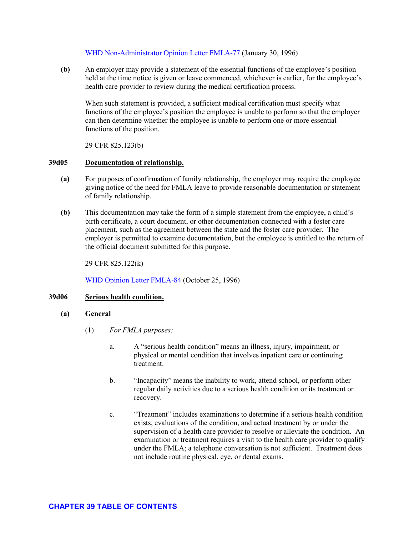### [WHD Non-Administrator Opinion Letter](https://www.dol.gov/WHD/opinion/FMLA/prior2002/FMLA-77.pdf) FMLA-77 (January 30, 1996)

**(b)** An employer may provide a statement of the essential functions of the employee's position held at the time notice is given or leave commenced, whichever is earlier, for the employee's health care provider to review during the medical certification process.

When such statement is provided, a sufficient medical certification must specify what functions of the employee's position the employee is unable to perform so that the employer can then determine whether the employee is unable to perform one or more essential functions of the position.

29 CFR 825.123(b)

### <span id="page-23-0"></span>**39d05 Documentation of relationship.**

- **(a)** For purposes of confirmation of family relationship, the employer may require the employee giving notice of the need for FMLA leave to provide reasonable documentation or statement of family relationship.
- **(b)** This documentation may take the form of a simple statement from the employee, a child's birth certificate, a court document, or other documentation connected with a foster care placement, such as the agreement between the state and the foster care provider. The employer is permitted to examine documentation, but the employee is entitled to the return of the official document submitted for this purpose.

29 CFR 825.122(k)

WHD [Opinion Letter FMLA-84](https://www.dol.gov/whd/opinion/FMLA/prior2002/FMLA-84.pdf) (October 25, 1996)

# <span id="page-23-1"></span>**39d06 Serious health condition.**

- **(a) General**
	- (1) *For FMLA purposes:* 
		- a. A "serious health condition" means an illness, injury, impairment, or physical or mental condition that involves inpatient care or continuing treatment.
		- b. "Incapacity" means the inability to work, attend school, or perform other regular daily activities due to a serious health condition or its treatment or recovery.
		- c. "Treatment" includes examinations to determine if a serious health condition exists, evaluations of the condition, and actual treatment by or under the supervision of a health care provider to resolve or alleviate the condition. An examination or treatment requires a visit to the health care provider to qualify under the FMLA; a telephone conversation is not sufficient. Treatment does not include routine physical, eye, or dental exams.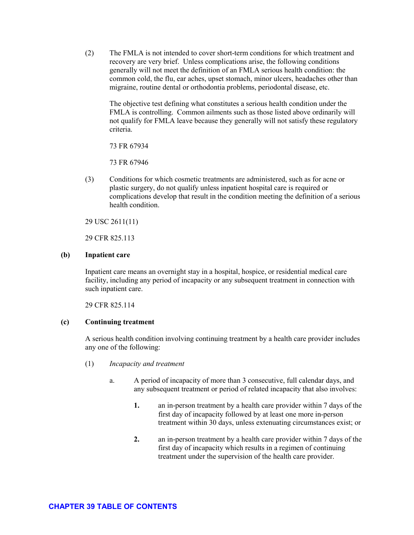(2) The FMLA is not intended to cover short-term conditions for which treatment and recovery are very brief. Unless complications arise, the following conditions generally will not meet the definition of an FMLA serious health condition: the common cold, the flu, ear aches, upset stomach, minor ulcers, headaches other than migraine, routine dental or orthodontia problems, periodontal disease, etc.

The objective test defining what constitutes a serious health condition under the FMLA is controlling. Common ailments such as those listed above ordinarily will not qualify for FMLA leave because they generally will not satisfy these regulatory criteria.

73 FR 67934

73 FR 67946

(3) Conditions for which cosmetic treatments are administered, such as for acne or plastic surgery, do not qualify unless inpatient hospital care is required or complications develop that result in the condition meeting the definition of a serious health condition.

29 USC 2611(11)

29 CFR 825.113

# **(b) Inpatient care**

Inpatient care means an overnight stay in a hospital, hospice, or residential medical care facility, including any period of incapacity or any subsequent treatment in connection with such inpatient care.

29 CFR 825.114

# **(c) Continuing treatment**

A serious health condition involving continuing treatment by a health care provider includes any one of the following:

- (1) *Incapacity and treatment* 
	- a. A period of incapacity of more than 3 consecutive, full calendar days, and any subsequent treatment or period of related incapacity that also involves:
		- **1.** an in-person treatment by a health care provider within 7 days of the first day of incapacity followed by at least one more in-person treatment within 30 days, unless extenuating circumstances exist; or
		- **2.** an in-person treatment by a health care provider within 7 days of the first day of incapacity which results in a regimen of continuing treatment under the supervision of the health care provider.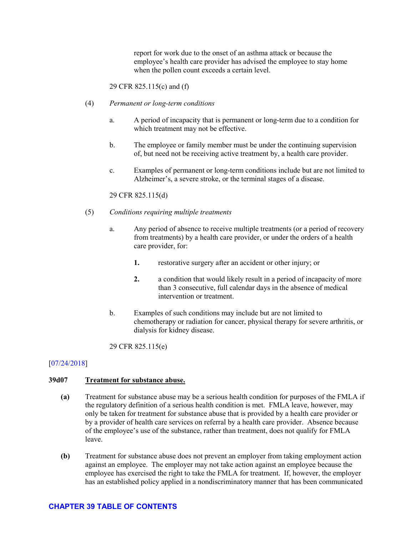report for work due to the onset of an asthma attack or because the employee's health care provider has advised the employee to stay home when the pollen count exceeds a certain level.

29 CFR 825.115(c) and (f)

- (4) *Permanent or long-term conditions* 
	- a. A period of incapacity that is permanent or long-term due to a condition for which treatment may not be effective.
	- b. The employee or family member must be under the continuing supervision of, but need not be receiving active treatment by, a health care provider.
	- c. Examples of permanent or long-term conditions include but are not limited to Alzheimer's, a severe stroke, or the terminal stages of a disease.

# 29 CFR 825.115(d)

- (5) *Conditions requiring multiple treatments*
	- a. Any period of absence to receive multiple treatments (or a period of recovery from treatments) by a health care provider, or under the orders of a health care provider, for:
		- **1.** restorative surgery after an accident or other injury; or
		- **2.** a condition that would likely result in a period of incapacity of more than 3 consecutive, full calendar days in the absence of medical intervention or treatment.
	- b. Examples of such conditions may include but are not limited to chemotherapy or radiation for cancer, physical therapy for severe arthritis, or dialysis for kidney disease.

29 CFR 825.115(e)

# [\[07/24/2018\]](http://esa.esa.dol.gov/whd/LawsRegs/FOH/Revisions/Revision758.pdf)

#### <span id="page-26-0"></span>**39d07 Treatment for substance abuse.**

- **(a)** Treatment for substance abuse may be a serious health condition for purposes of the FMLA if the regulatory definition of a serious health condition is met. FMLA leave, however, may only be taken for treatment for substance abuse that is provided by a health care provider or by a provider of health care services on referral by a health care provider. Absence because of the employee's use of the substance, rather than treatment, does not qualify for FMLA leave.
- **(b)** Treatment for substance abuse does not prevent an employer from taking employment action against an employee. The employer may not take action against an employee because the employee has exercised the right to take the FMLA for treatment. If, however, the employer has an established policy applied in a nondiscriminatory manner that has been communicated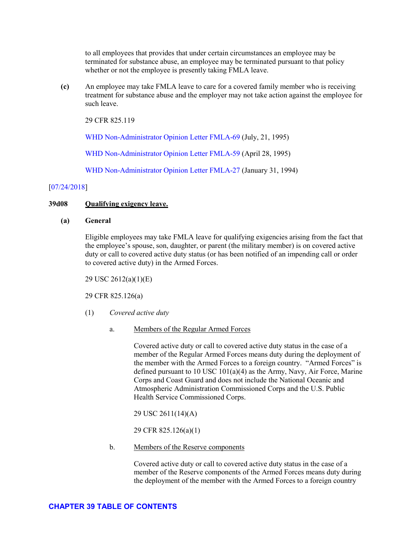to all employees that provides that under certain circumstances an employee may be terminated for substance abuse, an employee may be terminated pursuant to that policy whether or not the employee is presently taking FMLA leave.

**(c)** An employee may take FMLA leave to care for a covered family member who is receiving treatment for substance abuse and the employer may not take action against the employee for such leave.

29 CFR 825.119

[WHD Non-Administrator Opinion Letter](https://www.dol.gov/WHD/opinion/FMLA/prior2002/FMLA-69.pdf) FMLA-69 (July, 21, 1995)

[WHD Non-Administrator Opinion Letter](https://www.dol.gov/WHD/opinion/FMLA/prior2002/FMLA-59.pdf) FMLA-59 (April 28, 1995)

[WHD Non-Administrator Opinion Letter](https://www.dol.gov/WHD/opinion/fmla/prior2002/FMLA-27.pdf) FMLA-27 (January 31, 1994)

### [\[07/24/2018\]](http://esa.esa.dol.gov/whd/LawsRegs/FOH/Revisions/Revision758.pdf)

### <span id="page-27-0"></span>**39d08 Qualifying exigency leave.**

#### **(a) General**

Eligible employees may take FMLA leave for qualifying exigencies arising from the fact that the employee's spouse, son, daughter, or parent (the military member) is on covered active duty or call to covered active duty status (or has been notified of an impending call or order to covered active duty) in the Armed Forces.

29 USC 2612(a)(1)(E)

29 CFR 825.126(a)

- (1) *Covered active duty*
	- a. Members of the Regular Armed Forces

Covered active duty or call to covered active duty status in the case of a member of the Regular Armed Forces means duty during the deployment of the member with the Armed Forces to a foreign country. "Armed Forces" is defined pursuant to 10 USC 101(a)(4) as the Army, Navy, Air Force, Marine Corps and Coast Guard and does not include the National Oceanic and Atmospheric Administration Commissioned Corps and the U.S. Public Health Service Commissioned Corps.

29 USC 2611(14)(A)

29 CFR 825.126(a)(1)

b. Members of the Reserve components

Covered active duty or call to covered active duty status in the case of a member of the Reserve components of the Armed Forces means duty during the deployment of the member with the Armed Forces to a foreign country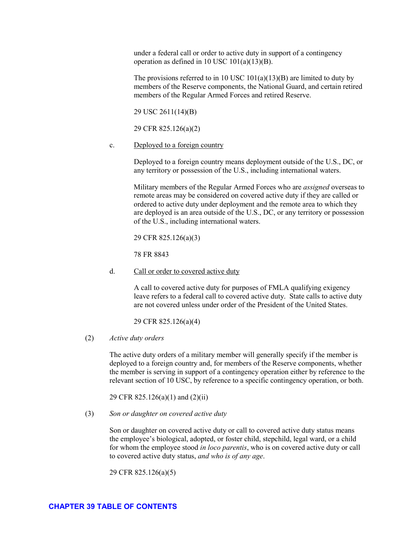# after

#### prior to

| 39a00 | Statutory and regulatory provisions. |
|-------|--------------------------------------|
| 39a01 | Geographical scope.                  |
| 39a02 | FMLA protections.                    |
| 39a03 | Waiver of rights.                    |

| 39b00 | General.                            |
|-------|-------------------------------------|
| 39b01 | Joint employment.                   |
| 39b02 | Successor in interest.              |
| 39b03 | Public agencies: general.           |
| 39b04 | Public agencies: Federal Government |
| 39b05 | Schools.                            |
| 39b06 | Members of the military.            |

| 39c00 | General.                              |
|-------|---------------------------------------|
| 39c01 | 12 months of service.                 |
| 39c02 | Hours of service: general.            |
| 39c03 | Employees within 75 miles.            |
| 39c04 | Temporary employees jointly employed. |
|       |                                       |

| 39d00 | Qualifying reasons for FMLA leave. |
|-------|------------------------------------|

- 39d01 Leave for birth or pregnancy.
- Leave for placement of a child for adoption or foster care. 39d02
- Leave to care for spouse, son, daughter, or parent with a serious health condition. 39d03
- Employee's own serious health condition. 39d04
- Documentation of relationship. 39d05
- Serious health condition. 39d06
- Treatment for substance abuse. 39d07
- Qualifying exigency leave. 39d08
- 39d09 Military caregiver leave.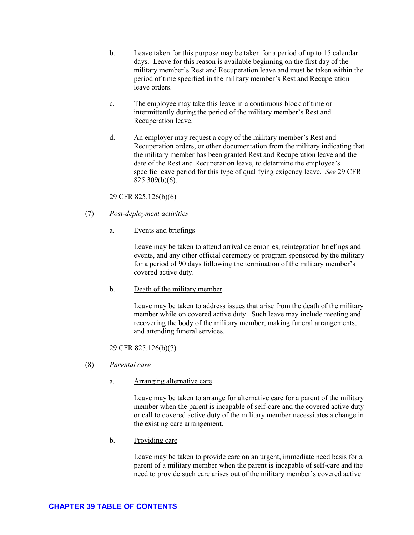- b. Leave taken for this purpose may be taken for a period of up to 15 calendar days. Leave for this reason is available beginning on the first day of the military member's Rest and Recuperation leave and must be taken within the period of time specified in the military member's Rest and Recuperation leave orders.
- c. The employee may take this leave in a continuous block of time or intermittently during the period of the military member's Rest and Recuperation leave.
- d. An employer may request a copy of the military member's Rest and Recuperation orders, or other documentation from the military indicating that the military member has been granted Rest and Recuperation leave and the date of the Rest and Recuperation leave, to determine the employee's specific leave period for this type of qualifying exigency leave. *See* 29 CFR 825.309(b)(6).

29 CFR 825.126(b)(6)

- (7) *Post-deployment activities*
	- a. Events and briefings

Leave may be taken to attend arrival ceremonies, reintegration briefings and events, and any other official ceremony or program sponsored by the military for a period of 90 days following the termination of the military member's covered active duty.

b. Death of the military member

Leave may be taken to address issues that arise from the death of the military member while on covered active duty. Such leave may include meeting and recovering the body of the military member, making funeral arrangements, and attending funeral services.

29 CFR 825.126(b)(7)

- (8) *Parental care*
	- a. Arranging alternative care

Leave may be taken to arrange for alternative care for a parent of the military member when the parent is incapable of self-care and the covered active duty or call to covered active duty of the military member necessitates a change in the existing care arrangement.

b. Providing care

Leave may be taken to provide care on an urgent, immediate need basis for a parent of a military member when the parent is incapable of self-care and the need to provide such care arises out of the military member's covered active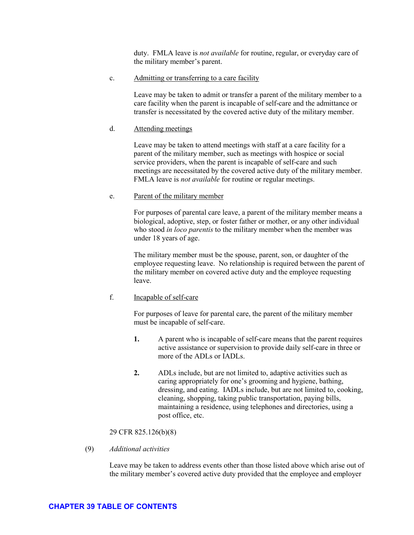duty. FMLA leave is *not available* for routine, regular, or everyday care of the military member's parent.

c. Admitting or transferring to a care facility

Leave may be taken to admit or transfer a parent of the military member to a care facility when the parent is incapable of self-care and the admittance or transfer is necessitated by the covered active duty of the military member.

### d. Attending meetings

Leave may be taken to attend meetings with staff at a care facility for a parent of the military member, such as meetings with hospice or social service providers, when the parent is incapable of self-care and such meetings are necessitated by the covered active duty of the military member. FMLA leave is *not available* for routine or regular meetings.

### e. Parent of the military member

For purposes of parental care leave, a parent of the military member means a biological, adoptive, step, or foster father or mother, or any other individual who stood *in loco parentis* to the military member when the member was under 18 years of age.

The military member must be the spouse, parent, son, or daughter of the employee requesting leave. No relationship is required between the parent of the military member on covered active duty and the employee requesting leave.

f. Incapable of self-care

For purposes of leave for parental care, the parent of the military member must be incapable of self-care.

- **1.** A parent who is incapable of self-care means that the parent requires active assistance or supervision to provide daily self-care in three or more of the ADLs or IADLs.
- **2.** ADLs include, but are not limited to, adaptive activities such as caring appropriately for one's grooming and hygiene, bathing, dressing, and eating. IADLs include, but are not limited to, cooking, cleaning, shopping, taking public transportation, paying bills, maintaining a residence, using telephones and directories, using a post office, etc.

# 29 CFR 825.126(b)(8)

(9) *Additional activities* 

Leave may be taken to address events other than those listed above which arise out of the military member's covered active duty provided that the employee and employer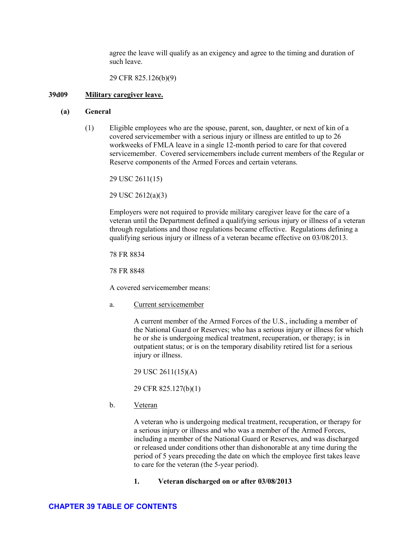agree the leave will qualify as an exigency and agree to the timing and duration of such leave.

29 CFR 825.126(b)(9)

### <span id="page-33-0"></span>**39d09 Military caregiver leave.**

# **(a) General**

(1) Eligible employees who are the spouse, parent, son, daughter, or next of kin of a covered servicemember with a serious injury or illness are entitled to up to 26 workweeks of FMLA leave in a single 12-month period to care for that covered servicemember. Covered servicemembers include current members of the Regular or Reserve components of the Armed Forces and certain veterans.

29 USC 2611(15)

29 USC 2612(a)(3)

Employers were not required to provide military caregiver leave for the care of a veteran until the Department defined a qualifying serious injury or illness of a veteran through regulations and those regulations became effective. Regulations defining a qualifying serious injury or illness of a veteran became effective on 03/08/2013.

78 FR 8834

78 FR 8848

A covered servicemember means:

a. Current servicemember

A current member of the Armed Forces of the U.S., including a member of the National Guard or Reserves; who has a serious injury or illness for which he or she is undergoing medical treatment, recuperation, or therapy; is in outpatient status; or is on the temporary disability retired list for a serious injury or illness.

29 USC 2611(15)(A)

29 CFR 825.127(b)(1)

b. Veteran

A veteran who is undergoing medical treatment, recuperation, or therapy for a serious injury or illness and who was a member of the Armed Forces, including a member of the National Guard or Reserves, and was discharged or released under conditions other than dishonorable at any time during the period of 5 years preceding the date on which the employee first takes leave to care for the veteran (the 5-year period).

**1. Veteran discharged on or after 03/08/2013**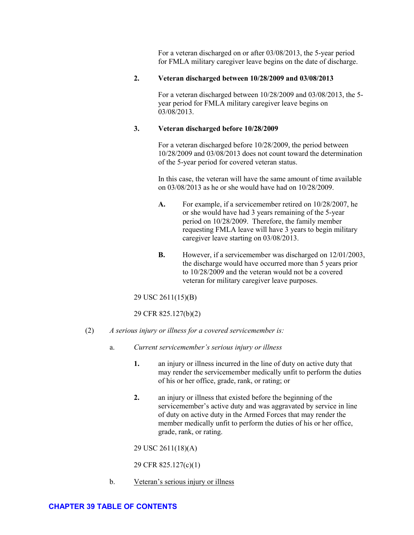For a veteran discharged on or after 03/08/2013, the 5-year period for FMLA military caregiver leave begins on the date of discharge.

# **2. Veteran discharged between 10/28/2009 and 03/08/2013**

For a veteran discharged between 10/28/2009 and 03/08/2013, the 5 year period for FMLA military caregiver leave begins on 03/08/2013.

# **3. Veteran discharged before 10/28/2009**

For a veteran discharged before 10/28/2009, the period between 10/28/2009 and 03/08/2013 does not count toward the determination of the 5-year period for covered veteran status.

In this case, the veteran will have the same amount of time available on 03/08/2013 as he or she would have had on 10/28/2009.

- **A.** For example, if a servicemember retired on 10/28/2007, he or she would have had 3 years remaining of the 5-year period on 10/28/2009. Therefore, the family member requesting FMLA leave will have 3 years to begin military caregiver leave starting on 03/08/2013.
- **B.** However, if a servicemember was discharged on 12/01/2003, the discharge would have occurred more than 5 years prior to 10/28/2009 and the veteran would not be a covered veteran for military caregiver leave purposes.

29 USC 2611(15)(B)

29 CFR 825.127(b)(2)

- (2) *A serious injury or illness for a covered servicemember is:*
	- a. *Current servicemember's serious injury or illness*
		- **1.** an injury or illness incurred in the line of duty on active duty that may render the servicemember medically unfit to perform the duties of his or her office, grade, rank, or rating; or
		- **2.** an injury or illness that existed before the beginning of the servicemember's active duty and was aggravated by service in line of duty on active duty in the Armed Forces that may render the member medically unfit to perform the duties of his or her office, grade, rank, or rating.

29 USC 2611(18)(A)

29 CFR 825.127(c)(1)

b. Veteran's serious injury or illness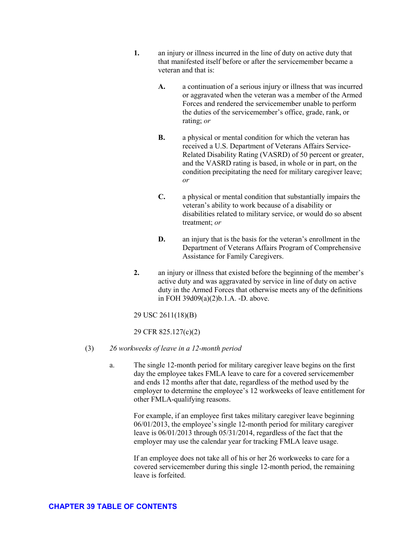- **1.** an injury or illness incurred in the line of duty on active duty that that manifested itself before or after the servicemember became a veteran and that is:
	- **A.** a continuation of a serious injury or illness that was incurred or aggravated when the veteran was a member of the Armed Forces and rendered the servicemember unable to perform the duties of the servicemember's office, grade, rank, or rating; *or*
	- **B.** a physical or mental condition for which the veteran has received a U.S. Department of Veterans Affairs Service-Related Disability Rating (VASRD) of 50 percent or greater, and the VASRD rating is based, in whole or in part, on the condition precipitating the need for military caregiver leave; *or*
	- **C.** a physical or mental condition that substantially impairs the veteran's ability to work because of a disability or disabilities related to military service, or would do so absent treatment; *or*
	- **D.** an injury that is the basis for the veteran's enrollment in the Department of Veterans Affairs Program of Comprehensive Assistance for Family Caregivers.
- **2.** an injury or illness that existed before the beginning of the member's active duty and was aggravated by service in line of duty on active duty in the Armed Forces that otherwise meets any of the definitions in FOH 39d09(a)(2)b.1.A. -D. above.

29 USC 2611(18)(B)

29 CFR 825.127(c)(2)

- (3) *26 workweeks of leave in a 12-month period* 
	- a. The single 12-month period for military caregiver leave begins on the first day the employee takes FMLA leave to care for a covered servicemember and ends 12 months after that date, regardless of the method used by the employer to determine the employee's 12 workweeks of leave entitlement for other FMLA-qualifying reasons.

For example, if an employee first takes military caregiver leave beginning 06/01/2013, the employee's single 12-month period for military caregiver leave is 06/01/2013 through 05/31/2014, regardless of the fact that the employer may use the calendar year for tracking FMLA leave usage.

If an employee does not take all of his or her 26 workweeks to care for a covered servicemember during this single 12-month period, the remaining leave is forfeited.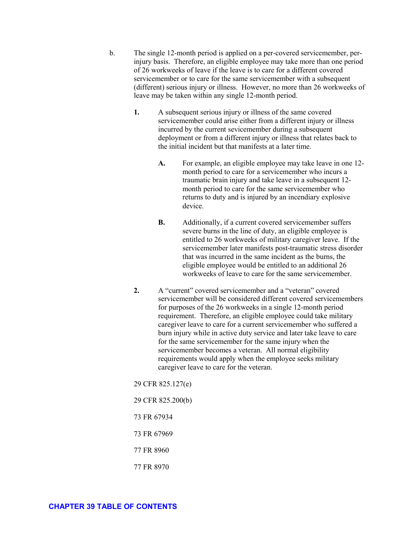- b. The single 12-month period is applied on a per-covered servicemember, perinjury basis. Therefore, an eligible employee may take more than one period of 26 workweeks of leave if the leave is to care for a different covered servicemember or to care for the same servicemember with a subsequent (different) serious injury or illness. However, no more than 26 workweeks of leave may be taken within any single 12-month period.
	- **1.** A subsequent serious injury or illness of the same covered servicemember could arise either from a different injury or illness incurred by the current sevicemember during a subsequent deployment or from a different injury or illness that relates back to the initial incident but that manifests at a later time.
		- **A.** For example, an eligible employee may take leave in one 12 month period to care for a servicemember who incurs a traumatic brain injury and take leave in a subsequent 12 month period to care for the same servicemember who returns to duty and is injured by an incendiary explosive device.
		- **B.** Additionally, if a current covered servicemember suffers severe burns in the line of duty, an eligible employee is entitled to 26 workweeks of military caregiver leave. If the servicemember later manifests post-traumatic stress disorder that was incurred in the same incident as the burns, the eligible employee would be entitled to an additional 26 workweeks of leave to care for the same servicemember.
	- **2.** A "current" covered servicemember and a "veteran" covered servicemember will be considered different covered servicemembers for purposes of the 26 workweeks in a single 12-month period requirement. Therefore, an eligible employee could take military caregiver leave to care for a current servicemember who suffered a burn injury while in active duty service and later take leave to care for the same servicemember for the same injury when the servicemember becomes a veteran. All normal eligibility requirements would apply when the employee seeks military caregiver leave to care for the veteran.

29 CFR 825.127(e)

29 CFR 825.200(b)

73 FR 67934

73 FR 67969

- 77 FR 8960
- 77 FR 8970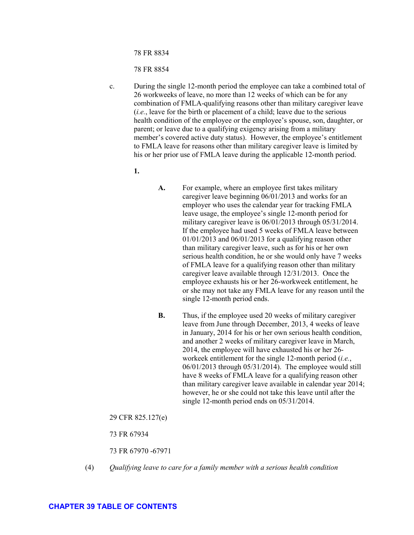78 FR 8834

78 FR 8854

- c. During the single 12-month period the employee can take a combined total of 26 workweeks of leave, no more than 12 weeks of which can be for any combination of FMLA-qualifying reasons other than military caregiver leave (*i.e.*, leave for the birth or placement of a child; leave due to the serious health condition of the employee or the employee's spouse, son, daughter, or parent; or leave due to a qualifying exigency arising from a military member's covered active duty status). However, the employee's entitlement to FMLA leave for reasons other than military caregiver leave is limited by his or her prior use of FMLA leave during the applicable 12-month period.
	- **1.**
- **A.** For example, where an employee first takes military caregiver leave beginning 06/01/2013 and works for an employer who uses the calendar year for tracking FMLA leave usage, the employee's single 12-month period for military caregiver leave is 06/01/2013 through 05/31/2014. If the employee had used 5 weeks of FMLA leave between 01/01/2013 and 06/01/2013 for a qualifying reason other than military caregiver leave, such as for his or her own serious health condition, he or she would only have 7 weeks of FMLA leave for a qualifying reason other than military caregiver leave available through 12/31/2013. Once the employee exhausts his or her 26-workweek entitlement, he or she may not take any FMLA leave for any reason until the single 12-month period ends.
- **B.** Thus, if the employee used 20 weeks of military caregiver leave from June through December, 2013, 4 weeks of leave in January, 2014 for his or her own serious health condition, and another 2 weeks of military caregiver leave in March, 2014, the employee will have exhausted his or her 26 workeek entitlement for the single 12-month period (*i.e.*, 06/01/2013 through 05/31/2014). The employee would still have 8 weeks of FMLA leave for a qualifying reason other than military caregiver leave available in calendar year 2014; however, he or she could not take this leave until after the single 12-month period ends on 05/31/2014.
- 29 CFR 825.127(e)

73 FR 67934

73 FR 67970 -67971

(4) *Qualifying leave to care for a family member with a serious health condition*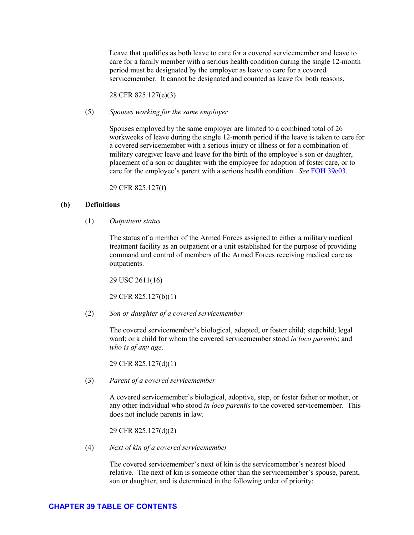Leave that qualifies as both leave to care for a covered servicemember and leave to care for a family member with a serious health condition during the single 12-month period must be designated by the employer as leave to care for a covered servicemember. It cannot be designated and counted as leave for both reasons.

28 CFR 825.127(e)(3)

(5) *Spouses working for the same employer*

Spouses employed by the same employer are limited to a combined total of 26 workweeks of leave during the single 12-month period if the leave is taken to care for a covered servicemember with a serious injury or illness or for a combination of military caregiver leave and leave for the birth of the employee's son or daughter, placement of a son or daughter with the employee for adoption of foster care, or to care for the employee's parent with a serious health condition. *See* [FOH 39e03.](#page-46-0)

29 CFR 825.127(f)

### **(b) Definitions**

(1) *Outpatient status*

The status of a member of the Armed Forces assigned to either a military medical treatment facility as an outpatient or a unit established for the purpose of providing command and control of members of the Armed Forces receiving medical care as outpatients.

29 USC 2611(16)

29 CFR 825.127(b)(1)

(2) *Son or daughter of a covered servicemember* 

The covered servicemember's biological, adopted, or foster child; stepchild; legal ward; or a child for whom the covered servicemember stood *in loco parentis*; and *who is of any age*.

29 CFR 825.127(d)(1)

(3) *Parent of a covered servicemember*

A covered servicemember's biological, adoptive, step, or foster father or mother, or any other individual who stood *in loco parentis* to the covered servicemember. This does not include parents in law.

29 CFR 825.127(d)(2)

(4) *Next of kin of a covered servicemember*

The covered servicemember's next of kin is the servicemember's nearest blood relative. The next of kin is someone other than the servicemember's spouse, parent, son or daughter, and is determined in the following order of priority: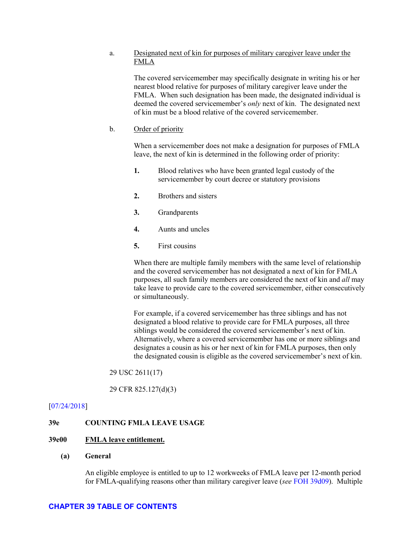### a. Designated next of kin for purposes of military caregiver leave under the FMLA

The covered servicemember may specifically designate in writing his or her nearest blood relative for purposes of military caregiver leave under the FMLA. When such designation has been made, the designated individual is deemed the covered servicemember's *only* next of kin. The designated next of kin must be a blood relative of the covered servicemember.

#### b. Order of priority

When a servicemember does not make a designation for purposes of FMLA leave, the next of kin is determined in the following order of priority:

- **1.** Blood relatives who have been granted legal custody of the servicemember by court decree or statutory provisions
- **2.** Brothers and sisters
- **3.** Grandparents
- **4.** Aunts and uncles
- **5.** First cousins

When there are multiple family members with the same level of relationship and the covered servicemember has not designated a next of kin for FMLA purposes, all such family members are considered the next of kin and *all* may take leave to provide care to the covered servicemember, either consecutively or simultaneously.

For example, if a covered servicemember has three siblings and has not designated a blood relative to provide care for FMLA purposes, all three siblings would be considered the covered servicemember's next of kin. Alternatively, where a covered servicemember has one or more siblings and designates a cousin as his or her next of kin for FMLA purposes, then only the designated cousin is eligible as the covered servicemember's next of kin.

29 USC 2611(17)

29 CFR 825.127(d)(3)

#### [\[07/24/2018\]](http://esa.esa.dol.gov/whd/LawsRegs/FOH/Revisions/Revision758.pdf)

#### **39e COUNTING FMLA LEAVE USAGE**

#### **39e00 FMLA leave entitlement.**

#### **(a) General**

An eligible employee is entitled to up to 12 workweeks of FMLA leave per 12-month period for FMLA-qualifying reasons other than military caregiver leave (*see* [FOH 39d09\)](#page-33-0). Multiple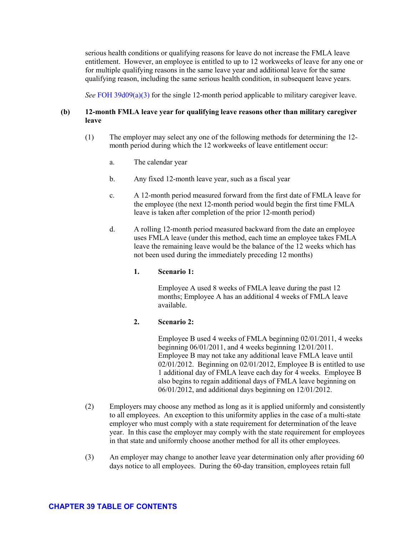serious health conditions or qualifying reasons for leave do not increase the FMLA leave entitlement. However, an employee is entitled to up to 12 workweeks of leave for any one or for multiple qualifying reasons in the same leave year and additional leave for the same qualifying reason, including the same serious health condition, in subsequent leave years.

*See* [FOH 39d09\(a\)\(3\)](#page-33-0) for the single 12-month period applicable to military caregiver leave.

## **(b) 12-month FMLA leave year for qualifying leave reasons other than military caregiver leave**

- (1) The employer may select any one of the following methods for determining the 12 month period during which the 12 workweeks of leave entitlement occur:
	- a. The calendar year
	- b. Any fixed 12-month leave year, such as a fiscal year
	- c. A 12-month period measured forward from the first date of FMLA leave for the employee (the next 12-month period would begin the first time FMLA leave is taken after completion of the prior 12-month period)
	- d. A rolling 12-month period measured backward from the date an employee uses FMLA leave (under this method, each time an employee takes FMLA leave the remaining leave would be the balance of the 12 weeks which has not been used during the immediately preceding 12 months)

#### **1. Scenario 1:**

Employee A used 8 weeks of FMLA leave during the past 12 months; Employee A has an additional 4 weeks of FMLA leave available.

### **2. Scenario 2:**

Employee B used 4 weeks of FMLA beginning 02/01/2011, 4 weeks beginning 06/01/2011, and 4 weeks beginning 12/01/2011. Employee B may not take any additional leave FMLA leave until 02/01/2012. Beginning on 02/01/2012, Employee B is entitled to use 1 additional day of FMLA leave each day for 4 weeks. Employee B also begins to regain additional days of FMLA leave beginning on 06/01/2012, and additional days beginning on 12/01/2012.

- (2) Employers may choose any method as long as it is applied uniformly and consistently to all employees. An exception to this uniformity applies in the case of a multi-state employer who must comply with a state requirement for determination of the leave year. In this case the employer may comply with the state requirement for employees in that state and uniformly choose another method for all its other employees.
- (3) An employer may change to another leave year determination only after providing 60 days notice to all employees. During the 60-day transition, employees retain full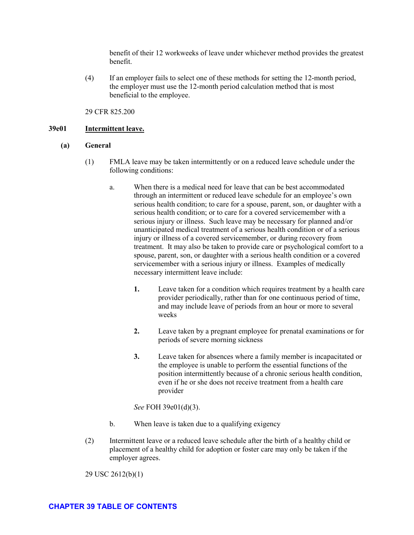benefit of their 12 workweeks of leave under whichever method provides the greatest benefit.

(4) If an employer fails to select one of these methods for setting the 12-month period, the employer must use the 12-month period calculation method that is most beneficial to the employee.

#### 29 CFR 825.200

#### **39e01 Intermittent leave.**

### **(a) General**

- (1) FMLA leave may be taken intermittently or on a reduced leave schedule under the following conditions:
	- a. When there is a medical need for leave that can be best accommodated through an intermittent or reduced leave schedule for an employee's own serious health condition; to care for a spouse, parent, son, or daughter with a serious health condition; or to care for a covered servicemember with a serious injury or illness. Such leave may be necessary for planned and/or unanticipated medical treatment of a serious health condition or of a serious injury or illness of a covered servicemember, or during recovery from treatment. It may also be taken to provide care or psychological comfort to a spouse, parent, son, or daughter with a serious health condition or a covered servicemember with a serious injury or illness. Examples of medically necessary intermittent leave include:
		- **1.** Leave taken for a condition which requires treatment by a health care provider periodically, rather than for one continuous period of time, and may include leave of periods from an hour or more to several weeks
		- **2.** Leave taken by a pregnant employee for prenatal examinations or for periods of severe morning sickness
		- **3.** Leave taken for absences where a family member is incapacitated or the employee is unable to perform the essential functions of the position intermittently because of a chronic serious health condition, even if he or she does not receive treatment from a health care provider
		- *See* FOH 39e01(d)(3).
	- b. When leave is taken due to a qualifying exigency
- (2) Intermittent leave or a reduced leave schedule after the birth of a healthy child or placement of a healthy child for adoption or foster care may only be taken if the employer agrees.

29 USC 2612(b)(1)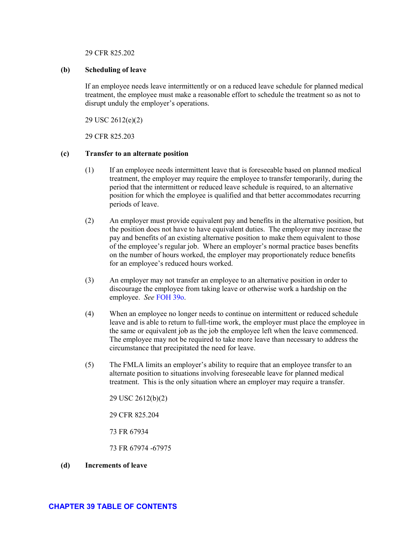29 CFR 825.202

#### **(b) Scheduling of leave**

If an employee needs leave intermittently or on a reduced leave schedule for planned medical treatment, the employee must make a reasonable effort to schedule the treatment so as not to disrupt unduly the employer's operations.

29 USC 2612(e)(2)

29 CFR 825.203

#### **(c) Transfer to an alternate position**

- (1) If an employee needs intermittent leave that is foreseeable based on planned medical treatment, the employer may require the employee to transfer temporarily, during the period that the intermittent or reduced leave schedule is required, to an alternative position for which the employee is qualified and that better accommodates recurring periods of leave.
- (2) An employer must provide equivalent pay and benefits in the alternative position, but the position does not have to have equivalent duties. The employer may increase the pay and benefits of an existing alternative position to make them equivalent to those of the employee's regular job. Where an employer's normal practice bases benefits on the number of hours worked, the employer may proportionately reduce benefits for an employee's reduced hours worked.
- (3) An employer may not transfer an employee to an alternative position in order to discourage the employee from taking leave or otherwise work a hardship on the employee. *See* [FOH 39o.](#page-91-0)
- (4) When an employee no longer needs to continue on intermittent or reduced schedule leave and is able to return to full-time work, the employer must place the employee in the same or equivalent job as the job the employee left when the leave commenced. The employee may not be required to take more leave than necessary to address the circumstance that precipitated the need for leave.
- (5) The FMLA limits an employer's ability to require that an employee transfer to an alternate position to situations involving foreseeable leave for planned medical treatment. This is the only situation where an employer may require a transfer.

29 USC 2612(b)(2)

29 CFR 825.204

73 FR 67934

73 FR 67974 -67975

**(d) Increments of leave**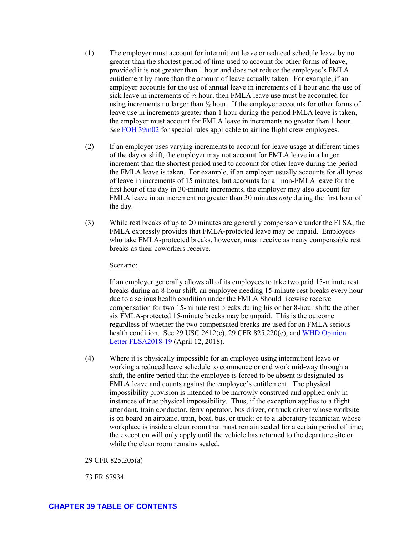- (1) The employer must account for intermittent leave or reduced schedule leave by no greater than the shortest period of time used to account for other forms of leave, provided it is not greater than 1 hour and does not reduce the employee's FMLA entitlement by more than the amount of leave actually taken. For example, if an employer accounts for the use of annual leave in increments of 1 hour and the use of sick leave in increments of ½ hour, then FMLA leave use must be accounted for using increments no larger than ½ hour. If the employer accounts for other forms of leave use in increments greater than 1 hour during the period FMLA leave is taken, the employer must account for FMLA leave in increments no greater than 1 hour. *See* [FOH 39m02](#page-87-0) for special rules applicable to airline flight crew employees.
- (2) If an employer uses varying increments to account for leave usage at different times of the day or shift, the employer may not account for FMLA leave in a larger increment than the shortest period used to account for other leave during the period the FMLA leave is taken. For example, if an employer usually accounts for all types of leave in increments of 15 minutes, but accounts for all non-FMLA leave for the first hour of the day in 30-minute increments, the employer may also account for FMLA leave in an increment no greater than 30 minutes *only* during the first hour of the day.
- (3) While rest breaks of up to 20 minutes are generally compensable under the FLSA, the FMLA expressly provides that FMLA-protected leave may be unpaid. Employees who take FMLA-protected breaks, however, must receive as many compensable rest breaks as their coworkers receive.

#### Scenario:

If an employer generally allows all of its employees to take two paid 15-minute rest breaks during an 8-hour shift, an employee needing 15-minute rest breaks every hour due to a serious health condition under the FMLA Should likewise receive compensation for two 15-minute rest breaks during his or her 8-hour shift; the other six FMLA-protected 15-minute breaks may be unpaid. This is the outcome regardless of whether the two compensated breaks are used for an FMLA serious health condition. See 29 USC 2612(c), 29 CFR 825.220(c), and [WHD Opinion](https://www.dol.gov/whd/opinion/FLSA/2018/2018_04_12_02_FLSA.pdf)  [Letter FLSA2018-19](https://www.dol.gov/whd/opinion/FLSA/2018/2018_04_12_02_FLSA.pdf) (April 12, 2018).

(4) Where it is physically impossible for an employee using intermittent leave or working a reduced leave schedule to commence or end work mid-way through a shift, the entire period that the employee is forced to be absent is designated as FMLA leave and counts against the employee's entitlement. The physical impossibility provision is intended to be narrowly construed and applied only in instances of true physical impossibility. Thus, if the exception applies to a flight attendant, train conductor, ferry operator, bus driver, or truck driver whose worksite is on board an airplane, train, boat, bus, or truck; or to a laboratory technician whose workplace is inside a clean room that must remain sealed for a certain period of time; the exception will only apply until the vehicle has returned to the departure site or while the clean room remains sealed.

29 CFR 825.205(a)

73 FR 67934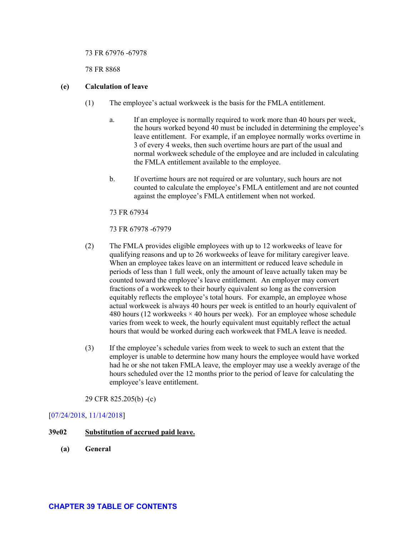#### 73 FR 67976 -67978

78 FR 8868

### **(e) Calculation of leave**

- (1) The employee's actual workweek is the basis for the FMLA entitlement.
	- a. If an employee is normally required to work more than 40 hours per week, the hours worked beyond 40 must be included in determining the employee's leave entitlement. For example, if an employee normally works overtime in 3 of every 4 weeks, then such overtime hours are part of the usual and normal workweek schedule of the employee and are included in calculating the FMLA entitlement available to the employee.
	- b. If overtime hours are not required or are voluntary, such hours are not counted to calculate the employee's FMLA entitlement and are not counted against the employee's FMLA entitlement when not worked.

73 FR 67934

73 FR 67978 -67979

- (2) The FMLA provides eligible employees with up to 12 workweeks of leave for qualifying reasons and up to 26 workweeks of leave for military caregiver leave. When an employee takes leave on an intermittent or reduced leave schedule in periods of less than 1 full week, only the amount of leave actually taken may be counted toward the employee's leave entitlement. An employer may convert fractions of a workweek to their hourly equivalent so long as the conversion equitably reflects the employee's total hours. For example, an employee whose actual workweek is always 40 hours per week is entitled to an hourly equivalent of 480 hours (12 workweeks  $\times$  40 hours per week). For an employee whose schedule varies from week to week, the hourly equivalent must equitably reflect the actual hours that would be worked during each workweek that FMLA leave is needed.
- (3) If the employee's schedule varies from week to week to such an extent that the employer is unable to determine how many hours the employee would have worked had he or she not taken FMLA leave, the employer may use a weekly average of the hours scheduled over the 12 months prior to the period of leave for calculating the employee's leave entitlement.

29 CFR 825.205(b) -(c)

# [\[07/24/2018,](http://esa.esa.dol.gov/whd/LawsRegs/FOH/Revisions/Revision758.pdf) [11/14/2018\]](http://esa.esa.dol.gov/whd/LawsRegs/FOH/Revisions/Revision761.pdf)

### **39e02 Substitution of accrued paid leave.**

**(a) General**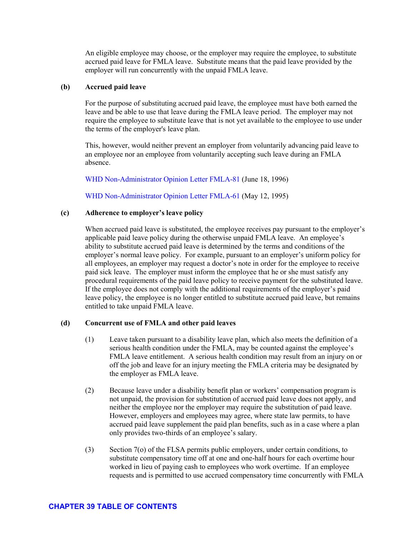78 FR 8834

78 FR 8854

During the single 12-month period the employee can take a combined total of 26 workweeks of leave, no more than 12 weeks of which can be for any combination of FMLA-qualifying reasons other than military caregiver leave , leave for the birth or placement of a child; leave due to the serious health condition of the employee or the employee's spouse, son, daughter, or parent; or leave due to a qualifying exigency arising from a military member's covered active duty status). However, the employee's entitlement to FMLA leave for reasons other than military caregiver leave is limited by his or her prior use of FMLA leave during the applicable 12-month period.

 $1.$ 

 $\mathbf{c}$ .

- А. For example, where an employee first takes military caregiver leave beginning  $06/01/2013$  and works for an employer who uses the calendar year for tracking FMLA leave usage, the employee's single 12-month period for military caregiver leave is  $06/01/2013$  through  $05/31/2014$ . If the employee had used 5 weeks of FMLA leave between  $01/01/2013$  and  $06/01/2013$  for a qualifying reason other than military caregiver leave, such as for his or her own serious health condition, he or she would only have 7 weeks of FMLA leave for a qualifying reason other than military caregiver leave available through 12/31/2013. Once the employee exhausts his or her 26-workweek entitlement, he or she may not take any FMLA leave for any reason until the single 12-month period ends.
- B. Thus, if the employee used 20 weeks of military caregiver leave from June through December, 2013, 4 weeks of leave in January, 2014 for his or her own serious health condition, and another 2 weeks of military caregiver leave in March, 2014, the employee will have exhausted his or her 26workeek entitlement for the single 12-month period (  $06/01/2013$  through  $05/31/2014$ ). The employee would still have 8 weeks of FMLA leave for a qualifying reason other than military caregiver leave available in calendar year 2014; however, he or she could not take this leave until after the single 12-month period ends on  $05/31/2014$ .

29 CFR 825.127(e)

73 FR 67934

73 FR 67970 -67971

 $(4)$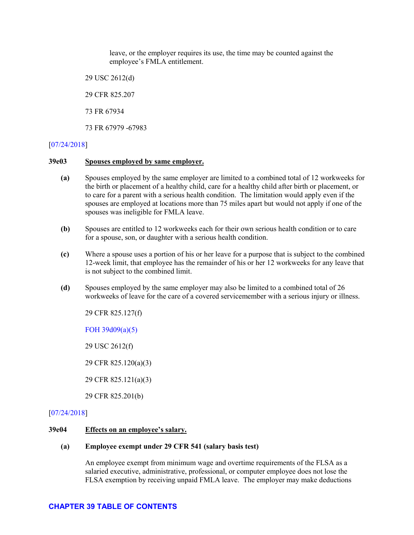leave, or the employer requires its use, the time may be counted against the employee's FMLA entitlement.

29 USC 2612(d)

29 CFR 825.207

73 FR 67934

73 FR 67979 -67983

### [\[07/24/2018\]](http://esa.esa.dol.gov/whd/LawsRegs/FOH/Revisions/Revision758.pdf)

#### <span id="page-46-0"></span>**39e03 Spouses employed by same employer.**

- **(a)** Spouses employed by the same employer are limited to a combined total of 12 workweeks for the birth or placement of a healthy child, care for a healthy child after birth or placement, or to care for a parent with a serious health condition. The limitation would apply even if the spouses are employed at locations more than 75 miles apart but would not apply if one of the spouses was ineligible for FMLA leave.
- **(b)** Spouses are entitled to 12 workweeks each for their own serious health condition or to care for a spouse, son, or daughter with a serious health condition.
- **(c)** Where a spouse uses a portion of his or her leave for a purpose that is subject to the combined 12-week limit, that employee has the remainder of his or her 12 workweeks for any leave that is not subject to the combined limit.
- **(d)** Spouses employed by the same employer may also be limited to a combined total of 26 workweeks of leave for the care of a covered servicemember with a serious injury or illness.

29 CFR 825.127(f)

[FOH 39d09\(a\)\(5\)](#page-33-0)

29 USC 2612(f)

- 29 CFR 825.120(a)(3)
- 29 CFR 825.121(a)(3)
- 29 CFR 825.201(b)

### [\[07/24/2018\]](http://esa.esa.dol.gov/whd/LawsRegs/FOH/Revisions/Revision758.pdf)

#### **39e04 Effects on an employee's salary.**

#### **(a) Employee exempt under 29 CFR 541 (salary basis test)**

An employee exempt from minimum wage and overtime requirements of the FLSA as a salaried executive, administrative, professional, or computer employee does not lose the FLSA exemption by receiving unpaid FMLA leave. The employer may make deductions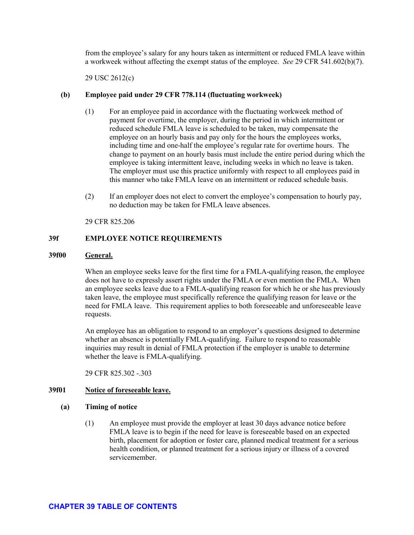from the employee's salary for any hours taken as intermittent or reduced FMLA leave within a workweek without affecting the exempt status of the employee. *See* 29 CFR 541.602(b)(7).

29 USC 2612(c)

### **(b) Employee paid under 29 CFR 778.114 (fluctuating workweek)**

- (1) For an employee paid in accordance with the fluctuating workweek method of payment for overtime, the employer, during the period in which intermittent or reduced schedule FMLA leave is scheduled to be taken, may compensate the employee on an hourly basis and pay only for the hours the employees works, including time and one-half the employee's regular rate for overtime hours. The change to payment on an hourly basis must include the entire period during which the employee is taking intermittent leave, including weeks in which no leave is taken. The employer must use this practice uniformly with respect to all employees paid in this manner who take FMLA leave on an intermittent or reduced schedule basis.
- (2) If an employer does not elect to convert the employee's compensation to hourly pay, no deduction may be taken for FMLA leave absences.

29 CFR 825.206

### **39f EMPLOYEE NOTICE REQUIREMENTS**

#### **39f00 General.**

When an employee seeks leave for the first time for a FMLA-qualifying reason, the employee does not have to expressly assert rights under the FMLA or even mention the FMLA. When an employee seeks leave due to a FMLA-qualifying reason for which he or she has previously taken leave, the employee must specifically reference the qualifying reason for leave or the need for FMLA leave. This requirement applies to both foreseeable and unforeseeable leave requests.

An employee has an obligation to respond to an employer's questions designed to determine whether an absence is potentially FMLA-qualifying. Failure to respond to reasonable inquiries may result in denial of FMLA protection if the employer is unable to determine whether the leave is FMLA-qualifying.

29 CFR 825.302 - 303

### **39f01 Notice of foreseeable leave.**

#### **(a) Timing of notice**

(1) An employee must provide the employer at least 30 days advance notice before FMLA leave is to begin if the need for leave is foreseeable based on an expected birth, placement for adoption or foster care, planned medical treatment for a serious health condition, or planned treatment for a serious injury or illness of a covered servicemember.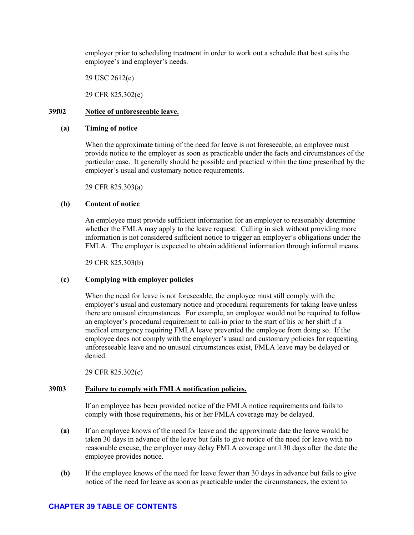employer prior to scheduling treatment in order to work out a schedule that best suits the employee's and employer's needs.

29 USC 2612(e)

29 CFR 825.302(e)

### **39f02 Notice of unforeseeable leave.**

#### **(a) Timing of notice**

When the approximate timing of the need for leave is not foreseeable, an employee must provide notice to the employer as soon as practicable under the facts and circumstances of the particular case. It generally should be possible and practical within the time prescribed by the employer's usual and customary notice requirements.

29 CFR 825.303(a)

### **(b) Content of notice**

An employee must provide sufficient information for an employer to reasonably determine whether the FMLA may apply to the leave request. Calling in sick without providing more information is not considered sufficient notice to trigger an employer's obligations under the FMLA. The employer is expected to obtain additional information through informal means.

29 CFR 825.303(b)

### **(c) Complying with employer policies**

When the need for leave is not foreseeable, the employee must still comply with the employer's usual and customary notice and procedural requirements for taking leave unless there are unusual circumstances. For example, an employee would not be required to follow an employer's procedural requirement to call-in prior to the start of his or her shift if a medical emergency requiring FMLA leave prevented the employee from doing so. If the employee does not comply with the employer's usual and customary policies for requesting unforeseeable leave and no unusual circumstances exist, FMLA leave may be delayed or denied.

29 CFR 825.302(c)

#### **39f03 Failure to comply with FMLA notification policies.**

If an employee has been provided notice of the FMLA notice requirements and fails to comply with those requirements, his or her FMLA coverage may be delayed.

- **(a)** If an employee knows of the need for leave and the approximate date the leave would be taken 30 days in advance of the leave but fails to give notice of the need for leave with no reasonable excuse, the employer may delay FMLA coverage until 30 days after the date the employee provides notice.
- **(b)** If the employee knows of the need for leave fewer than 30 days in advance but fails to give notice of the need for leave as soon as practicable under the circumstances, the extent to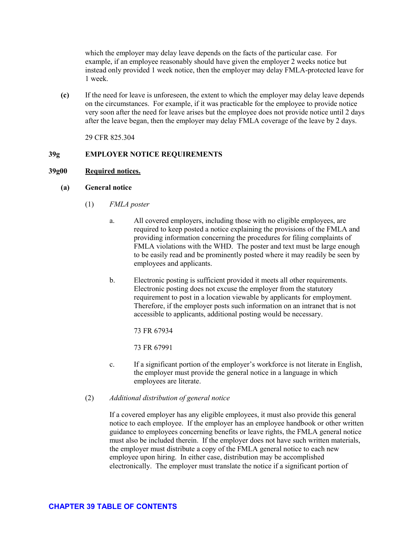which the employer may delay leave depends on the facts of the particular case. For example, if an employee reasonably should have given the employer 2 weeks notice but instead only provided 1 week notice, then the employer may delay FMLA-protected leave for 1 week.

**(c)** If the need for leave is unforeseen, the extent to which the employer may delay leave depends on the circumstances. For example, if it was practicable for the employee to provide notice very soon after the need for leave arises but the employee does not provide notice until 2 days after the leave began, then the employer may delay FMLA coverage of the leave by 2 days.

29 CFR 825.304

## **39g EMPLOYER NOTICE REQUIREMENTS**

## <span id="page-50-0"></span>**39g00 Required notices.**

### **(a) General notice**

- (1) *FMLA poster*
	- a. All covered employers, including those with no eligible employees, are required to keep posted a notice explaining the provisions of the FMLA and providing information concerning the procedures for filing complaints of FMLA violations with the WHD. The poster and text must be large enough to be easily read and be prominently posted where it may readily be seen by employees and applicants.
	- b. Electronic posting is sufficient provided it meets all other requirements. Electronic posting does not excuse the employer from the statutory requirement to post in a location viewable by applicants for employment. Therefore, if the employer posts such information on an intranet that is not accessible to applicants, additional posting would be necessary.

73 FR 67934

73 FR 67991

- c. If a significant portion of the employer's workforce is not literate in English, the employer must provide the general notice in a language in which employees are literate.
- (2) *Additional distribution of general notice*

If a covered employer has any eligible employees, it must also provide this general notice to each employee. If the employer has an employee handbook or other written guidance to employees concerning benefits or leave rights, the FMLA general notice must also be included therein. If the employer does not have such written materials, the employer must distribute a copy of the FMLA general notice to each new employee upon hiring. In either case, distribution may be accomplished electronically. The employer must translate the notice if a significant portion of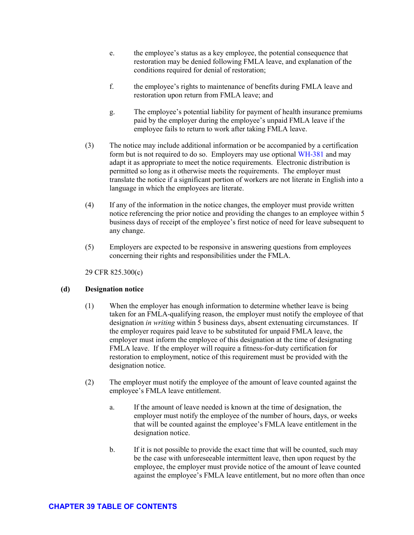29 CFR 825.202

If an employee needs leave intermittently or on a reduced leave schedule for planned medical treatment, the employee must make a reasonable effort to schedule the treatment so as not to disrupt unduly the employer's operations.

29 USC 2612(e)(2)

29 CFR 825 203

- $(1)$ If an employee needs intermittent leave that is foreseeable based on planned medical treatment, the employer may require the employee to transfer temporarily, during the period that the intermittent or reduced leave schedule is required, to an alternative position for which the employee is qualified and that better accommodates recurring periods of leave.
- $(2)$ An employer must provide equivalent pay and benefits in the alternative position, but the position does not have to have equivalent duties. The employer may increase the pay and benefits of an existing alternative position to make them equivalent to those of the employee's regular job. Where an employer's normal practice bases benefits on the number of hours worked, the employer may proportionately reduce benefits for an employee's reduced hours worked.
- $(3)$ An employer may not transfer an employee to an alternative position in order to discourage the employee from taking leave or otherwise work a hardship on the employee. See FOH 390.
- $(4)$ When an employee no longer needs to continue on intermittent or reduced schedule leave and is able to return to full-time work, the employer must place the employee in the same or equivalent job as the job the employee left when the leave commenced. The employee may not be required to take more leave than necessary to address the circumstance that precipitated the need for leave.
- $(5)$ The FMLA limits an employer's ability to require that an employee transfer to an alternate position to situations involving foreseeable leave for planned medical treatment. This is the only situation where an employer may require a transfer.

29 USC 2612(b)(2)

29 CFR 825.204

73 FR 67934

73 FR 67974 -67975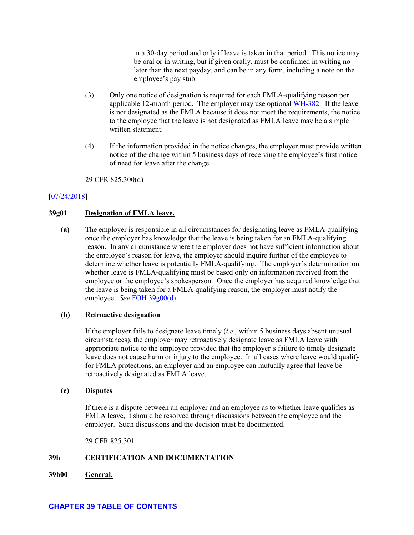in a 30-day period and only if leave is taken in that period. This notice may be oral or in writing, but if given orally, must be confirmed in writing no later than the next payday, and can be in any form, including a note on the employee's pay stub.

- (3) Only one notice of designation is required for each FMLA-qualifying reason per applicable 12-month period. The employer may use optional [WH-382.](https://www.dol.gov/whd/forms/WH-382.pdf) If the leave is not designated as the FMLA because it does not meet the requirements, the notice to the employee that the leave is not designated as FMLA leave may be a simple written statement.
- (4) If the information provided in the notice changes, the employer must provide written notice of the change within 5 business days of receiving the employee's first notice of need for leave after the change.

29 CFR 825.300(d)

### [\[07/24/2018\]](http://esa.esa.dol.gov/whd/LawsRegs/FOH/Revisions/Revision758.pdf)

### **39g01 Designation of FMLA leave.**

**(a)** The employer is responsible in all circumstances for designating leave as FMLA-qualifying once the employer has knowledge that the leave is being taken for an FMLA-qualifying reason. In any circumstance where the employer does not have sufficient information about the employee's reason for leave, the employer should inquire further of the employee to determine whether leave is potentially FMLA-qualifying. The employer's determination on whether leave is FMLA-qualifying must be based only on information received from the employee or the employee's spokesperson. Once the employer has acquired knowledge that the leave is being taken for a FMLA-qualifying reason, the employer must notify the employee. *See* [FOH 39g00\(d\).](#page-50-0)

#### **(b) Retroactive designation**

If the employer fails to designate leave timely (*i.e.,* within 5 business days absent unusual circumstances), the employer may retroactively designate leave as FMLA leave with appropriate notice to the employee provided that the employer's failure to timely designate leave does not cause harm or injury to the employee. In all cases where leave would qualify for FMLA protections, an employer and an employee can mutually agree that leave be retroactively designated as FMLA leave.

#### **(c) Disputes**

If there is a dispute between an employer and an employee as to whether leave qualifies as FMLA leave, it should be resolved through discussions between the employee and the employer. Such discussions and the decision must be documented.

29 CFR 825.301

# **39h CERTIFICATION AND DOCUMENTATION**

**39h00 General.**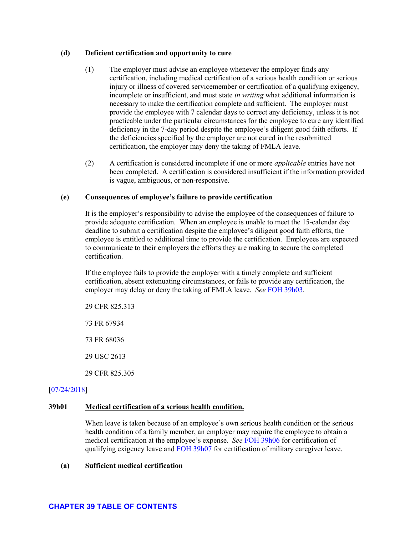#### **(d) Deficient certification and opportunity to cure**

- (1) The employer must advise an employee whenever the employer finds any certification, including medical certification of a serious health condition or serious injury or illness of covered servicemember or certification of a qualifying exigency, incomplete or insufficient, and must state *in writing* what additional information is necessary to make the certification complete and sufficient. The employer must provide the employee with 7 calendar days to correct any deficiency, unless it is not practicable under the particular circumstances for the employee to cure any identified deficiency in the 7-day period despite the employee's diligent good faith efforts. If the deficiencies specified by the employer are not cured in the resubmitted certification, the employer may deny the taking of FMLA leave.
- (2) A certification is considered incomplete if one or more *applicable* entries have not been completed. A certification is considered insufficient if the information provided is vague, ambiguous, or non-responsive.

### **(e) Consequences of employee's failure to provide certification**

It is the employer's responsibility to advise the employee of the consequences of failure to provide adequate certification. When an employee is unable to meet the 15-calendar day deadline to submit a certification despite the employee's diligent good faith efforts, the employee is entitled to additional time to provide the certification. Employees are expected to communicate to their employers the efforts they are making to secure the completed certification.

If the employee fails to provide the employer with a timely complete and sufficient certification, absent extenuating circumstances, or fails to provide any certification, the employer may delay or deny the taking of FMLA leave. *See* [FOH 39h03.](#page-61-0)

29 CFR 825.313

73 FR 67934

73 FR 68036

29 USC 2613

29 CFR 825.305

### [\[07/24/2018\]](http://esa.esa.dol.gov/whd/LawsRegs/FOH/Revisions/Revision758.pdf)

### <span id="page-55-0"></span>**39h01 Medical certification of a serious health condition.**

When leave is taken because of an employee's own serious health condition or the serious health condition of a family member, an employer may require the employee to obtain a medical certification at the employee's expense. *See* [FOH 39h06](#page-63-0) for certification of qualifying exigency leave and [FOH 39h07](#page-64-0) for certification of military caregiver leave.

#### **(a) Sufficient medical certification**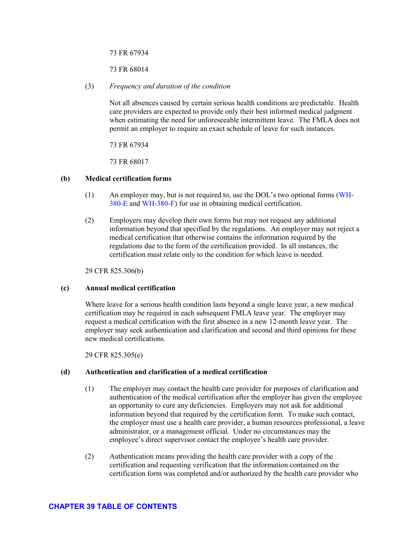benefit of their 12 workweeks of leave under whichever method provides the greatest henefit

If an employer fails to select one of these methods for setting the 12-month period,  $(4)$ the employer must use the 12-month period calculation method that is most beneficial to the employee.

29 CFR 825.200

- $3e01$ Intermittent leave.
	- eneral  $\overline{a}$ 
		- $(1)$ FMLA leave may be taken intermittently or on a reduced leave schedule under the following conditions:
			- a. When there is a medical need for leave that can be best accommodated through an intermittent or reduced leave schedule for an employee's own serious health condition; to care for a spouse, parent, son, or daughter with a serious health condition; or to care for a covered servicemember with a serious injury or illness. Such leave may be necessary for planned and/or unanticipated medical treatment of a serious health condition or of a serious injury or illness of a covered servicemember, or during recovery from treatment. It may also be taken to provide care or psychological comfort to a spouse, parent, son, or daughter with a serious health condition or a covered servicemember with a serious injury or illness. Examples of medically necessary intermittent leave include:
				- $l_{\cdot}$ Leave taken for a condition which requires treatment by a health care provider periodically, rather than for one continuous period of time. and may include leave of periods from an hour or more to several weeks
				- $\overline{2}$ . Leave taken by a pregnant employee for prenatal examinations or for periods of severe morning sickness
				- $3.$ Leave taken for absences where a family member is incapacitated or the employee is unable to perform the essential functions of the position intermittently because of a chronic serious health condition. even if he or she does not receive treatment from a health care provider

See FOH 39e01(d)(3).

- $\mathbf{b}$ . When leave is taken due to a qualifying exigency
- $(2)$ Intermittent leave or a reduced leave schedule after the birth of a healthy child or placement of a healthy child for adoption or foster care may only be taken if the employer agrees.

29 USC 2612(b)(1)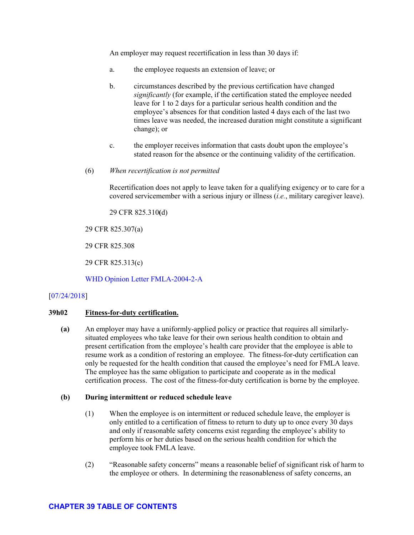An employer may request recertification in less than 30 days if:

- a. the employee requests an extension of leave; or
- b. circumstances described by the previous certification have changed *significantly* (for example, if the certification stated the employee needed leave for 1 to 2 days for a particular serious health condition and the employee's absences for that condition lasted 4 days each of the last two times leave was needed, the increased duration might constitute a significant change); or
- c. the employer receives information that casts doubt upon the employee's stated reason for the absence or the continuing validity of the certification.
- (6) *When recertification is not permitted*

Recertification does not apply to leave taken for a qualifying exigency or to care for a covered servicemember with a serious injury or illness (*i.e.*, military caregiver leave).

29 CFR 825.310**(**d)

29 CFR 825.307(a)

29 CFR 825.308

29 CFR 825.313(c)

WHD [Opinion Letter FMLA-2004-2-A](https://www.dol.gov/whd/opinion/FMLA/2004_05_25_2A_FMLA.pdf)

### [\[07/24/2018\]](http://esa.esa.dol.gov/whd/LawsRegs/FOH/Revisions/Revision758.pdf)

### **39h02 Fitness-for-duty certification.**

**(a)** An employer may have a uniformly-applied policy or practice that requires all similarlysituated employees who take leave for their own serious health condition to obtain and present certification from the employee's health care provider that the employee is able to resume work as a condition of restoring an employee. The fitness-for-duty certification can only be requested for the health condition that caused the employee's need for FMLA leave. The employee has the same obligation to participate and cooperate as in the medical certification process. The cost of the fitness-for-duty certification is borne by the employee.

#### **(b) During intermittent or reduced schedule leave**

- (1) When the employee is on intermittent or reduced schedule leave, the employer is only entitled to a certification of fitness to return to duty up to once every 30 days and only if reasonable safety concerns exist regarding the employee's ability to perform his or her duties based on the serious health condition for which the employee took FMLA leave.
- (2) "Reasonable safety concerns" means a reasonable belief of significant risk of harm to the employee or others. In determining the reasonableness of safety concerns, an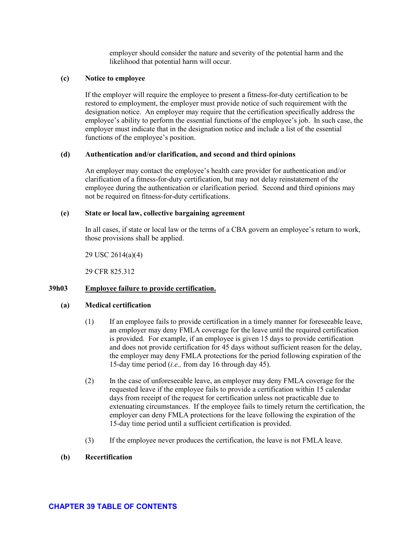employer should consider the nature and severity of the potential harm and the likelihood that potential harm will occur.

#### **(c) Notice to employee**

If the employer will require the employee to present a fitness-for-duty certification to be restored to employment, the employer must provide notice of such requirement with the designation notice. An employer may require that the certification specifically address the employee's ability to perform the essential functions of the employee's job. In such case, the employer must indicate that in the designation notice and include a list of the essential functions of the employee's position.

### **(d) Authentication and/or clarification, and second and third opinions**

An employer may contact the employee's health care provider for authentication and/or clarification of a fitness-for-duty certification, but may not delay reinstatement of the employee during the authentication or clarification period. Second and third opinions may not be required on fitness-for-duty certifications.

#### **(e) State or local law, collective bargaining agreement**

In all cases, if state or local law or the terms of a CBA govern an employee's return to work, those provisions shall be applied.

29 USC 2614(a)(4)

29 CFR 825.312

### <span id="page-61-0"></span>**39h03 Employee failure to provide certification.**

#### **(a) Medical certification**

- (1) If an employee fails to provide certification in a timely manner for foreseeable leave, an employer may deny FMLA coverage for the leave until the required certification is provided. For example, if an employee is given 15 days to provide certification and does not provide certification for 45 days without sufficient reason for the delay, the employer may deny FMLA protections for the period following expiration of the 15-day time period (*i.e.,* from day 16 through day 45).
- (2) In the case of unforeseeable leave, an employer may deny FMLA coverage for the requested leave if the employee fails to provide a certification within 15 calendar days from receipt of the request for certification unless not practicable due to extenuating circumstances. If the employee fails to timely return the certification, the employer can deny FMLA protections for the leave following the expiration of the 15-day time period until a sufficient certification is provided.
- (3) If the employee never produces the certification, the leave is not FMLA leave.

## **(b) Recertification**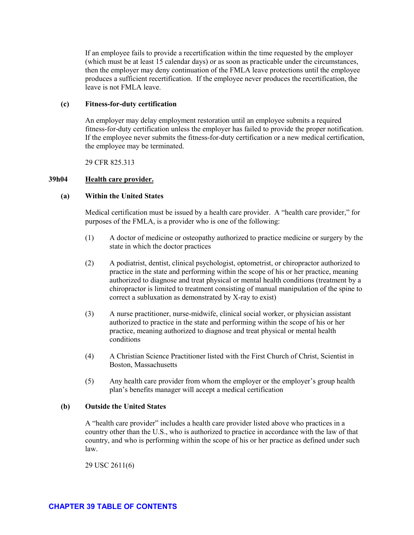If an employee fails to provide a recertification within the time requested by the employer (which must be at least 15 calendar days) or as soon as practicable under the circumstances, then the employer may deny continuation of the FMLA leave protections until the employee produces a sufficient recertification. If the employee never produces the recertification, the leave is not FMLA leave.

#### **(c) Fitness-for-duty certification**

An employer may delay employment restoration until an employee submits a required fitness-for-duty certification unless the employer has failed to provide the proper notification. If the employee never submits the fitness-for-duty certification or a new medical certification, the employee may be terminated.

29 CFR 825.313

#### **39h04 Health care provider.**

#### **(a) Within the United States**

Medical certification must be issued by a health care provider. A "health care provider," for purposes of the FMLA, is a provider who is one of the following:

- (1) A doctor of medicine or osteopathy authorized to practice medicine or surgery by the state in which the doctor practices
- (2) A podiatrist, dentist, clinical psychologist, optometrist, or chiropractor authorized to practice in the state and performing within the scope of his or her practice, meaning authorized to diagnose and treat physical or mental health conditions (treatment by a chiropractor is limited to treatment consisting of manual manipulation of the spine to correct a subluxation as demonstrated by X-ray to exist)
- (3) A nurse practitioner, nurse-midwife, clinical social worker, or physician assistant authorized to practice in the state and performing within the scope of his or her practice, meaning authorized to diagnose and treat physical or mental health conditions
- (4) A Christian Science Practitioner listed with the First Church of Christ, Scientist in Boston, Massachusetts
- (5) Any health care provider from whom the employer or the employer's group health plan's benefits manager will accept a medical certification

#### **(b) Outside the United States**

A "health care provider" includes a health care provider listed above who practices in a country other than the U.S., who is authorized to practice in accordance with the law of that country, and who is performing within the scope of his or her practice as defined under such law.

29 USC 2611(6)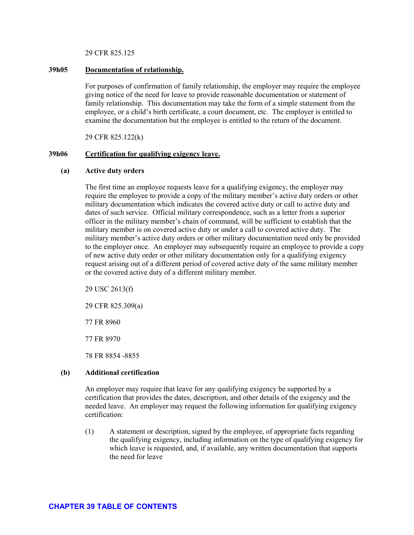29 CFR 825.125

#### **39h05 Documentation of relationship.**

For purposes of confirmation of family relationship, the employer may require the employee giving notice of the need for leave to provide reasonable documentation or statement of family relationship. This documentation may take the form of a simple statement from the employee, or a child's birth certificate, a court document, etc. The employer is entitled to examine the documentation but the employee is entitled to the return of the document.

29 CFR 825.122(k)

#### <span id="page-63-0"></span>**39h06 Certification for qualifying exigency leave.**

#### **(a) Active duty orders**

The first time an employee requests leave for a qualifying exigency, the employer may require the employee to provide a copy of the military member's active duty orders or other military documentation which indicates the covered active duty or call to active duty and dates of such service. Official military correspondence, such as a letter from a superior officer in the military member's chain of command, will be sufficient to establish that the military member is on covered active duty or under a call to covered active duty. The military member's active duty orders or other military documentation need only be provided to the employer once. An employer may subsequently require an employee to provide a copy of new active duty order or other military documentation only for a qualifying exigency request arising out of a different period of covered active duty of the same military member or the covered active duty of a different military member.

29 USC 2613(f)

29 CFR 825.309(a)

77 FR 8960

77 FR 8970

78 FR 8854 -8855

#### **(b) Additional certification**

An employer may require that leave for any qualifying exigency be supported by a certification that provides the dates, description, and other details of the exigency and the needed leave. An employer may request the following information for qualifying exigency certification:

(1) A statement or description, signed by the employee, of appropriate facts regarding the qualifying exigency, including information on the type of qualifying exigency for which leave is requested, and, if available, any written documentation that supports the need for leave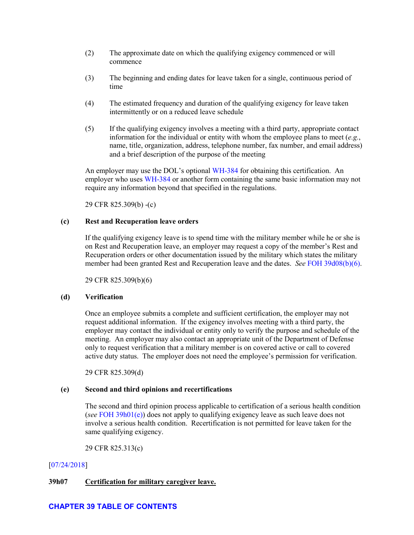- (2) The approximate date on which the qualifying exigency commenced or will commence
- (3) The beginning and ending dates for leave taken for a single, continuous period of time
- (4) The estimated frequency and duration of the qualifying exigency for leave taken intermittently or on a reduced leave schedule
- (5) If the qualifying exigency involves a meeting with a third party, appropriate contact information for the individual or entity with whom the employee plans to meet (*e.g.*, name, title, organization, address, telephone number, fax number, and email address) and a brief description of the purpose of the meeting

An employer may use the DOL's optional [WH-384](https://www.dol.gov/whd/forms/WH-384.pdf) for obtaining this certification. An employer who use[s WH-384](https://www.dol.gov/whd/forms/WH-384.pdf) or another form containing the same basic information may not require any information beyond that specified in the regulations.

29 CFR 825.309(b) -(c)

### **(c) Rest and Recuperation leave orders**

If the qualifying exigency leave is to spend time with the military member while he or she is on Rest and Recuperation leave, an employer may request a copy of the member's Rest and Recuperation orders or other documentation issued by the military which states the military member had been granted Rest and Recuperation leave and the dates. *See* [FOH 39d08\(b\)\(6\).](#page-27-0)

29 CFR 825.309(b)(6)

### **(d) Verification**

Once an employee submits a complete and sufficient certification, the employer may not request additional information. If the exigency involves meeting with a third party, the employer may contact the individual or entity only to verify the purpose and schedule of the meeting. An employer may also contact an appropriate unit of the Department of Defense only to request verification that a military member is on covered active or call to covered active duty status. The employer does not need the employee's permission for verification.

29 CFR 825.309(d)

### **(e) Second and third opinions and recertifications**

The second and third opinion process applicable to certification of a serious health condition (*see* [FOH 39h01\(e\)\)](#page-55-0) does not apply to qualifying exigency leave as such leave does not involve a serious health condition. Recertification is not permitted for leave taken for the same qualifying exigency.

29 CFR 825.313(c)

# [\[07/24/2018\]](http://esa.esa.dol.gov/whd/LawsRegs/FOH/Revisions/Revision758.pdf)

# <span id="page-64-0"></span>**39h07 Certification for military caregiver leave.**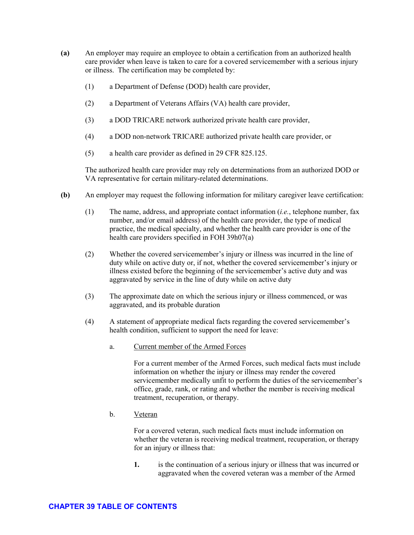serious health conditions or qualifying reasons for leave do not increase the FMLA leave entitlement. However, an employee is entitled to up to 12 workweeks of leave for any one or for multiple qualifying reasons in the same leave year and additional leave for the same qualifying reason, including the same serious health condition, in subsequent leave years.

See FOH  $39d09(a)(3)$  for the single 12-month period applicable to military caregiver leave.

- $(1)$ The employer may select any one of the following methods for determining the 12month period during which the 12 workweeks of leave entitlement occur:
	- a. The calendar year
	- Any fixed 12-month leave year, such as a fiscal year  $\mathbf{b}$ .
	- A 12-month period measured forward from the first date of FMLA leave for  $\mathbf{c}$ . the employee (the next 12-month period would begin the first time FMLA leave is taken after completion of the prior 12-month period)
	- $\mathbf{d}$ A rolling 12-month period measured backward from the date an employee uses FMLA leave (under this method, each time an employee takes FMLA leave the remaining leave would be the balance of the 12 weeks which has not been used during the immediately preceding 12 months)

Employee A used 8 weeks of FMLA leave during the past 12 months; Employee A has an additional 4 weeks of FMLA leave available.

Employee B used 4 weeks of FMLA beginning 02/01/2011, 4 weeks beginning  $06/01/2011$ , and 4 weeks beginning  $12/01/2011$ . Employee B may not take any additional leave FMLA leave until  $02/01/2012$ . Beginning on  $02/01/2012$ , Employee B is entitled to use 1 additional day of FMLA leave each day for 4 weeks. Employee B also begins to regain additional days of FMLA leave beginning on  $06/01/2012$ , and additional days beginning on  $12/01/2012$ .

- $(2)$ Employers may choose any method as long as it is applied uniformly and consistently to all employees. An exception to this uniformity applies in the case of a multi-state employer who must comply with a state requirement for determination of the leave year. In this case the employer may comply with the state requirement for employees in that state and uniformly choose another method for all its other employees.
- $(3)$ An employer may change to another leave year determination only after providing 60 days notice to all employees. During the 60-day transition, employees retain full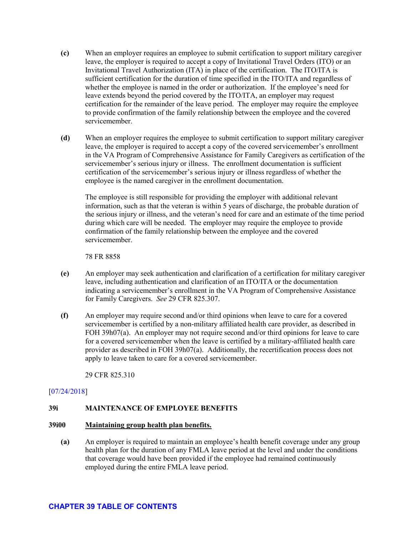- **(c)** When an employer requires an employee to submit certification to support military caregiver leave, the employer is required to accept a copy of Invitational Travel Orders (ITO) or an Invitational Travel Authorization (ITA) in place of the certification. The ITO/ITA is sufficient certification for the duration of time specified in the ITO/ITA and regardless of whether the employee is named in the order or authorization. If the employee's need for leave extends beyond the period covered by the ITO/ITA, an employer may request certification for the remainder of the leave period. The employer may require the employee to provide confirmation of the family relationship between the employee and the covered servicemember.
- **(d)** When an employer requires the employee to submit certification to support military caregiver leave, the employer is required to accept a copy of the covered servicemember's enrollment in the VA Program of Comprehensive Assistance for Family Caregivers as certification of the servicemember's serious injury or illness. The enrollment documentation is sufficient certification of the servicemember's serious injury or illness regardless of whether the employee is the named caregiver in the enrollment documentation.

The employee is still responsible for providing the employer with additional relevant information, such as that the veteran is within 5 years of discharge, the probable duration of the serious injury or illness, and the veteran's need for care and an estimate of the time period during which care will be needed. The employer may require the employee to provide confirmation of the family relationship between the employee and the covered servicemember.

78 FR 8858

- **(e)** An employer may seek authentication and clarification of a certification for military caregiver leave, including authentication and clarification of an ITO/ITA or the documentation indicating a servicemember's enrollment in the VA Program of Comprehensive Assistance for Family Caregivers. *See* 29 CFR 825.307.
- **(f)** An employer may require second and/or third opinions when leave to care for a covered servicemember is certified by a non-military affiliated health care provider, as described in FOH 39h07(a). An employer may not require second and/or third opinions for leave to care for a covered servicemember when the leave is certified by a military-affiliated health care provider as described in FOH 39h07(a). Additionally, the recertification process does not apply to leave taken to care for a covered servicemember.

29 CFR 825.310

# [\[07/24/2018\]](http://esa.esa.dol.gov/whd/LawsRegs/FOH/Revisions/Revision758.pdf)

# **39i MAINTENANCE OF EMPLOYEE BENEFITS**

### **39i00 Maintaining group health plan benefits.**

**(a)** An employer is required to maintain an employee's health benefit coverage under any group health plan for the duration of any FMLA leave period at the level and under the conditions that coverage would have been provided if the employee had remained continuously employed during the entire FMLA leave period.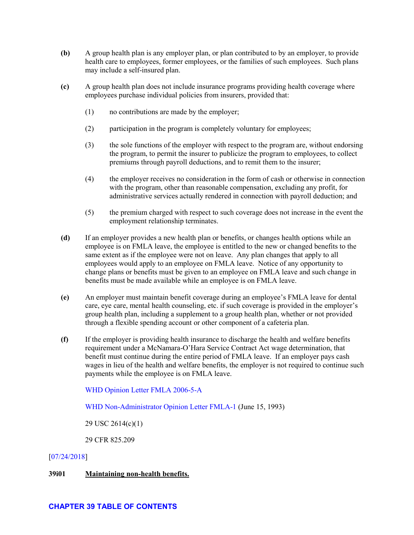- **(b)** A group health plan is any employer plan, or plan contributed to by an employer, to provide health care to employees, former employees, or the families of such employees. Such plans may include a self-insured plan.
- **(c)** A group health plan does not include insurance programs providing health coverage where employees purchase individual policies from insurers, provided that:
	- (1) no contributions are made by the employer;
	- (2) participation in the program is completely voluntary for employees;
	- (3) the sole functions of the employer with respect to the program are, without endorsing the program, to permit the insurer to publicize the program to employees, to collect premiums through payroll deductions, and to remit them to the insurer;
	- (4) the employer receives no consideration in the form of cash or otherwise in connection with the program, other than reasonable compensation, excluding any profit, for administrative services actually rendered in connection with payroll deduction; and
	- (5) the premium charged with respect to such coverage does not increase in the event the employment relationship terminates.
- **(d)** If an employer provides a new health plan or benefits, or changes health options while an employee is on FMLA leave, the employee is entitled to the new or changed benefits to the same extent as if the employee were not on leave. Any plan changes that apply to all employees would apply to an employee on FMLA leave. Notice of any opportunity to change plans or benefits must be given to an employee on FMLA leave and such change in benefits must be made available while an employee is on FMLA leave.
- **(e)** An employer must maintain benefit coverage during an employee's FMLA leave for dental care, eye care, mental health counseling, etc. if such coverage is provided in the employer's group health plan, including a supplement to a group health plan, whether or not provided through a flexible spending account or other component of a cafeteria plan.
- **(f)** If the employer is providing health insurance to discharge the health and welfare benefits requirement under a McNamara-O'Hara Service Contract Act wage determination, that benefit must continue during the entire period of FMLA leave. If an employer pays cash wages in lieu of the health and welfare benefits, the employer is not required to continue such payments while the employee is on FMLA leave.

[WHD Opinion Letter FMLA 2006-5-A](https://www.dol.gov/whd/opinion/FMLA/2006/2006_05_24_5A_FMLA.pdf)

[WHD Non-Administrator Opinion Letter FMLA-1](https://www.dol.gov/WHD/opinion/fmla/prior2002/FMLA-1.pdf) (June 15, 1993)

29 USC 2614(c)(1)

29 CFR 825.209

### [\[07/24/2018\]](http://esa.esa.dol.gov/whd/LawsRegs/FOH/Revisions/Revision758.pdf)

### **39i01 Maintaining non-health benefits.**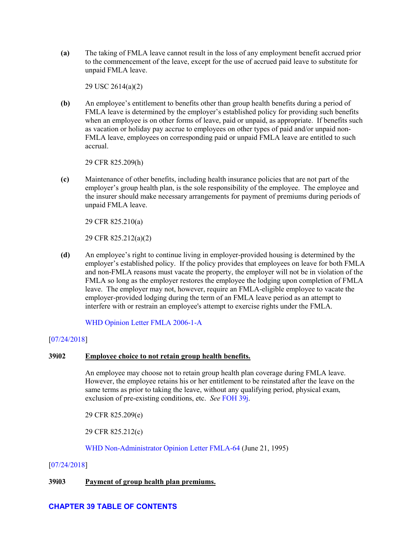**(a)** The taking of FMLA leave cannot result in the loss of any employment benefit accrued prior to the commencement of the leave, except for the use of accrued paid leave to substitute for unpaid FMLA leave.

29 USC 2614(a)(2)

**(b)** An employee's entitlement to benefits other than group health benefits during a period of FMLA leave is determined by the employer's established policy for providing such benefits when an employee is on other forms of leave, paid or unpaid, as appropriate. If benefits such as vacation or holiday pay accrue to employees on other types of paid and/or unpaid non-FMLA leave, employees on corresponding paid or unpaid FMLA leave are entitled to such accrual.

29 CFR 825.209(h)

**(c)** Maintenance of other benefits, including health insurance policies that are not part of the employer's group health plan, is the sole responsibility of the employee. The employee and the insurer should make necessary arrangements for payment of premiums during periods of unpaid FMLA leave.

29 CFR 825.210(a)

29 CFR 825.212(a)(2)

**(d)** An employee's right to continue living in employer-provided housing is determined by the employer's established policy. If the policy provides that employees on leave for both FMLA and non-FMLA reasons must vacate the property, the employer will not be in violation of the FMLA so long as the employer restores the employee the lodging upon completion of FMLA leave. The employer may not, however, require an FMLA-eligible employee to vacate the employer-provided lodging during the term of an FMLA leave period as an attempt to interfere with or restrain an employee's attempt to exercise rights under the FMLA.

[WHD Opinion Letter FMLA 2006-1-A](https://www.dol.gov/whd/opinion/FMLA/2006/2006_01_17_1A_FMLA.pdf)

# [\[07/24/2018\]](http://esa.esa.dol.gov/whd/LawsRegs/FOH/Revisions/Revision758.pdf)

## **39i02 Employee choice to not retain group health benefits.**

An employee may choose not to retain group health plan coverage during FMLA leave. However, the employee retains his or her entitlement to be reinstated after the leave on the same terms as prior to taking the leave, without any qualifying period, physical exam, exclusion of pre-existing conditions, etc. *See* [FOH](#page-74-0) 39j.

29 CFR 825.209(e)

29 CFR 825.212(c)

[WHD Non-Administrator Opinion Letter](https://www.dol.gov/WHD/opinion/FMLA/prior2002/FMLA-64.pdf) FMLA-64 (June 21, 1995)

### [\[07/24/2018\]](http://esa.esa.dol.gov/whd/LawsRegs/FOH/Revisions/Revision758.pdf)

### **39i03 Payment of group health plan premiums.**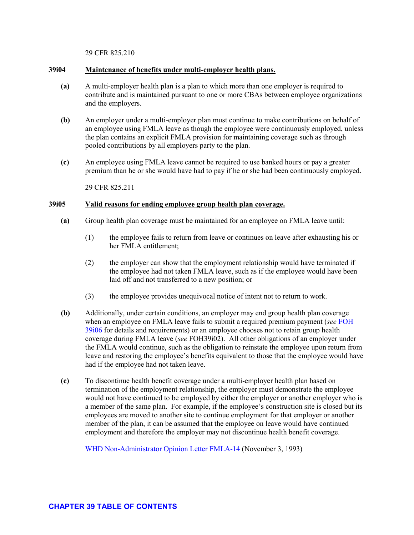29 CFR 825.210

#### **39i04 Maintenance of benefits under multi-employer health plans.**

- **(a)** A multi-employer health plan is a plan to which more than one employer is required to contribute and is maintained pursuant to one or more CBAs between employee organizations and the employers.
- **(b)** An employer under a multi-employer plan must continue to make contributions on behalf of an employee using FMLA leave as though the employee were continuously employed, unless the plan contains an explicit FMLA provision for maintaining coverage such as through pooled contributions by all employers party to the plan.
- **(c)** An employee using FMLA leave cannot be required to use banked hours or pay a greater premium than he or she would have had to pay if he or she had been continuously employed.

29 CFR 825.211

# **39i05 Valid reasons for ending employee group health plan coverage.**

- **(a)** Group health plan coverage must be maintained for an employee on FMLA leave until:
	- (1) the employee fails to return from leave or continues on leave after exhausting his or her FMLA entitlement;
	- (2) the employer can show that the employment relationship would have terminated if the employee had not taken FMLA leave, such as if the employee would have been laid off and not transferred to a new position; or
	- (3) the employee provides unequivocal notice of intent not to return to work.
- **(b)** Additionally, under certain conditions, an employer may end group health plan coverage when an employee on FMLA leave fails to submit a required premium payment (*see* [FOH](#page-72-0) [39i06](#page-72-0) for details and requirements) or an employee chooses not to retain group health coverage during FMLA leave (*see* FOH39i02). All other obligations of an employer under the FMLA would continue, such as the obligation to reinstate the employee upon return from leave and restoring the employee's benefits equivalent to those that the employee would have had if the employee had not taken leave.
- **(c)** To discontinue health benefit coverage under a multi-employer health plan based on termination of the employment relationship, the employer must demonstrate the employee would not have continued to be employed by either the employer or another employer who is a member of the same plan. For example, if the employee's construction site is closed but its employees are moved to another site to continue employment for that employer or another member of the plan, it can be assumed that the employee on leave would have continued employment and therefore the employer may not discontinue health benefit coverage.

[WHD Non-Administrator Opinion Letter](https://www.dol.gov/WHD/opinion/fmla/prior2002/FMLA-14.pdf) FMLA-14 (November 3, 1993)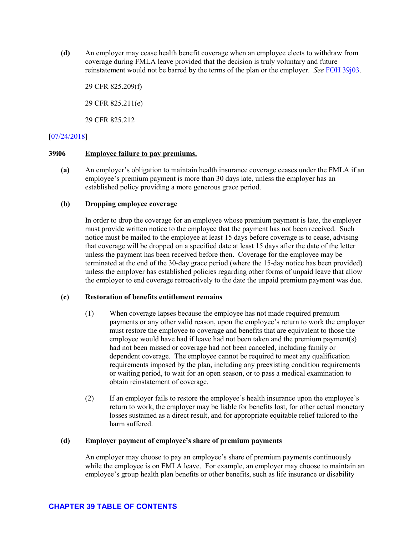**(d)** An employer may cease health benefit coverage when an employee elects to withdraw from coverage during FMLA leave provided that the decision is truly voluntary and future reinstatement would not be barred by the terms of the plan or the employer. *See* [FOH 39j03.](#page-76-0)

29 CFR 825.209(f) 29 CFR 825.211(e) 29 CFR 825.212

# [\[07/24/2018\]](http://esa.esa.dol.gov/whd/LawsRegs/FOH/Revisions/Revision758.pdf)

# **39i06 Employee failure to pay premiums.**

**(a)** An employer's obligation to maintain health insurance coverage ceases under the FMLA if an employee's premium payment is more than 30 days late, unless the employer has an established policy providing a more generous grace period.

# **(b) Dropping employee coverage**

In order to drop the coverage for an employee whose premium payment is late, the employer must provide written notice to the employee that the payment has not been received. Such notice must be mailed to the employee at least 15 days before coverage is to cease, advising that coverage will be dropped on a specified date at least 15 days after the date of the letter unless the payment has been received before then. Coverage for the employee may be terminated at the end of the 30-day grace period (where the 15-day notice has been provided) unless the employer has established policies regarding other forms of unpaid leave that allow the employer to end coverage retroactively to the date the unpaid premium payment was due.

# **(c) Restoration of benefits entitlement remains**

- (1) When coverage lapses because the employee has not made required premium payments or any other valid reason, upon the employee's return to work the employer must restore the employee to coverage and benefits that are equivalent to those the employee would have had if leave had not been taken and the premium payment(s) had not been missed or coverage had not been canceled, including family or dependent coverage. The employee cannot be required to meet any qualification requirements imposed by the plan, including any preexisting condition requirements or waiting period, to wait for an open season, or to pass a medical examination to obtain reinstatement of coverage.
- (2) If an employer fails to restore the employee's health insurance upon the employee's return to work, the employer may be liable for benefits lost, for other actual monetary losses sustained as a direct result, and for appropriate equitable relief tailored to the harm suffered.

# **(d) Employer payment of employee's share of premium payments**

An employer may choose to pay an employee's share of premium payments continuously while the employee is on FMLA leave. For example, an employer may choose to maintain an employee's group health plan benefits or other benefits, such as life insurance or disability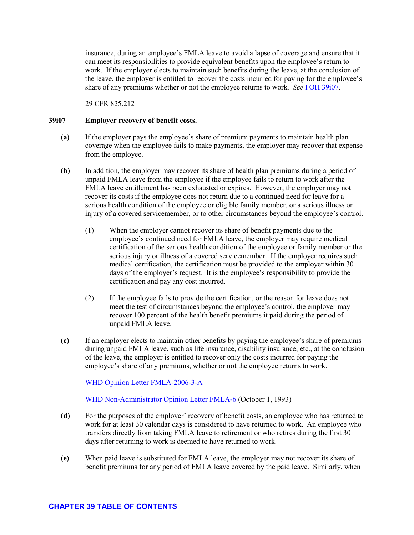insurance, during an employee's FMLA leave to avoid a lapse of coverage and ensure that it can meet its responsibilities to provide equivalent benefits upon the employee's return to work. If the employer elects to maintain such benefits during the leave, at the conclusion of the leave, the employer is entitled to recover the costs incurred for paying for the employee's share of any premiums whether or not the employee returns to work. *See* [FOH 39i07.](#page-73-0)

29 CFR 825.212

# <span id="page-73-0"></span>**39i07 Employer recovery of benefit costs.**

- **(a)** If the employer pays the employee's share of premium payments to maintain health plan coverage when the employee fails to make payments, the employer may recover that expense from the employee.
- **(b)** In addition, the employer may recover its share of health plan premiums during a period of unpaid FMLA leave from the employee if the employee fails to return to work after the FMLA leave entitlement has been exhausted or expires. However, the employer may not recover its costs if the employee does not return due to a continued need for leave for a serious health condition of the employee or eligible family member, or a serious illness or injury of a covered servicemember, or to other circumstances beyond the employee's control.
	- (1) When the employer cannot recover its share of benefit payments due to the employee's continued need for FMLA leave, the employer may require medical certification of the serious health condition of the employee or family member or the serious injury or illness of a covered servicemember. If the employer requires such medical certification, the certification must be provided to the employer within 30 days of the employer's request. It is the employee's responsibility to provide the certification and pay any cost incurred.
	- (2) If the employee fails to provide the certification, or the reason for leave does not meet the test of circumstances beyond the employee's control, the employer may recover 100 percent of the health benefit premiums it paid during the period of unpaid FMLA leave.
- **(c)** If an employer elects to maintain other benefits by paying the employee's share of premiums during unpaid FMLA leave, such as life insurance, disability insurance, etc., at the conclusion of the leave, the employer is entitled to recover only the costs incurred for paying the employee's share of any premiums, whether or not the employee returns to work.

[WHD Opinion Letter FMLA-2006-3-A](https://www.dol.gov/whd/opinion/FMLA/2006/2006_01_31_3A_FMLA.pdf)

[WHD Non-Administrator Opinion Letter](https://www.dol.gov/WHD/opinion/fmla/prior2002/FMLA-6.pdf) FMLA-6 (October 1, 1993)

- **(d)** For the purposes of the employer' recovery of benefit costs, an employee who has returned to work for at least 30 calendar days is considered to have returned to work. An employee who transfers directly from taking FMLA leave to retirement or who retires during the first 30 days after returning to work is deemed to have returned to work.
- **(e)** When paid leave is substituted for FMLA leave, the employer may not recover its share of benefit premiums for any period of FMLA leave covered by the paid leave. Similarly, when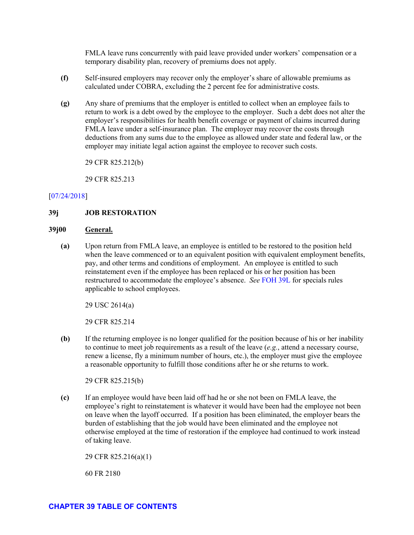FMLA leave runs concurrently with paid leave provided under workers' compensation or a temporary disability plan, recovery of premiums does not apply.

- **(f)** Self-insured employers may recover only the employer's share of allowable premiums as calculated under COBRA, excluding the 2 percent fee for administrative costs.
- **(g)** Any share of premiums that the employer is entitled to collect when an employee fails to return to work is a debt owed by the employee to the employer. Such a debt does not alter the employer's responsibilities for health benefit coverage or payment of claims incurred during FMLA leave under a self-insurance plan. The employer may recover the costs through deductions from any sums due to the employee as allowed under state and federal law, or the employer may initiate legal action against the employee to recover such costs.

29 CFR 825.212(b)

29 CFR 825.213

# [\[07/24/2018\]](http://esa.esa.dol.gov/whd/LawsRegs/FOH/Revisions/Revision758.pdf)

# **39j JOB RESTORATION**

### **39j00 General.**

**(a)** Upon return from FMLA leave, an employee is entitled to be restored to the position held when the leave commenced or to an equivalent position with equivalent employment benefits, pay, and other terms and conditions of employment. An employee is entitled to such reinstatement even if the employee has been replaced or his or her position has been restructured to accommodate the employee's absence. *See* [FOH 39L](#page-83-0) for specials rules applicable to school employees.

29 USC 2614(a)

29 CFR 825.214

**(b)** If the returning employee is no longer qualified for the position because of his or her inability to continue to meet job requirements as a result of the leave (*e.g.*, attend a necessary course, renew a license, fly a minimum number of hours, etc.), the employer must give the employee a reasonable opportunity to fulfill those conditions after he or she returns to work.

29 CFR 825.215(b)

**(c)** If an employee would have been laid off had he or she not been on FMLA leave, the employee's right to reinstatement is whatever it would have been had the employee not been on leave when the layoff occurred. If a position has been eliminated, the employer bears the burden of establishing that the job would have been eliminated and the employee not otherwise employed at the time of restoration if the employee had continued to work instead of taking leave.

29 CFR 825.216(a)(1)

60 FR 2180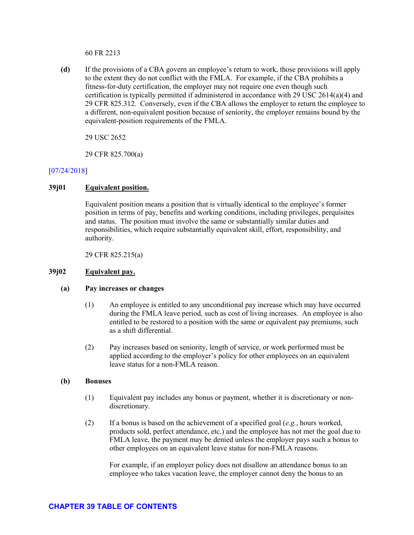60 FR 2213

**(d)** If the provisions of a CBA govern an employee's return to work, those provisions will apply to the extent they do not conflict with the FMLA. For example, if the CBA prohibits a fitness-for-duty certification, the employer may not require one even though such certification is typically permitted if administered in accordance with 29 USC 2614(a)(4) and 29 CFR 825.312. Conversely, even if the CBA allows the employer to return the employee to a different, non-equivalent position because of seniority, the employer remains bound by the equivalent-position requirements of the FMLA.

29 USC 2652

29 CFR 825.700(a)

# [\[07/24/2018\]](http://esa.esa.dol.gov/whd/LawsRegs/FOH/Revisions/Revision758.pdf)

# **39j01 Equivalent position.**

Equivalent position means a position that is virtually identical to the employee's former position in terms of pay, benefits and working conditions, including privileges, perquisites and status. The position must involve the same or substantially similar duties and responsibilities, which require substantially equivalent skill, effort, responsibility, and authority.

29 CFR 825.215(a)

### **39j02 Equivalent pay.**

#### **(a) Pay increases or changes**

- (1) An employee is entitled to any unconditional pay increase which may have occurred during the FMLA leave period, such as cost of living increases. An employee is also entitled to be restored to a position with the same or equivalent pay premiums, such as a shift differential.
- (2) Pay increases based on seniority, length of service, or work performed must be applied according to the employer's policy for other employees on an equivalent leave status for a non-FMLA reason.

#### **(b) Bonuses**

- (1) Equivalent pay includes any bonus or payment, whether it is discretionary or nondiscretionary.
- (2) If a bonus is based on the achievement of a specified goal (*e.g.*, hours worked, products sold, perfect attendance, etc.) and the employee has not met the goal due to FMLA leave, the payment may be denied unless the employer pays such a bonus to other employees on an equivalent leave status for non-FMLA reasons.

For example, if an employer policy does not disallow an attendance bonus to an employee who takes vacation leave, the employer cannot deny the bonus to an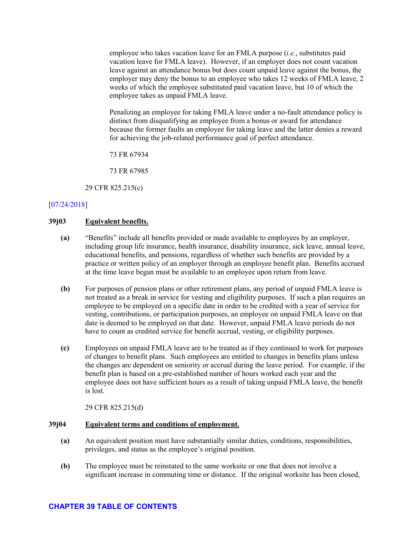employee who takes vacation leave for an FMLA purpose (*i.e.*, substitutes paid vacation leave for FMLA leave). However, if an employer does not count vacation leave against an attendance bonus but does count unpaid leave against the bonus, the employer may deny the bonus to an employee who takes 12 weeks of FMLA leave, 2 weeks of which the employee substituted paid vacation leave, but 10 of which the employee takes as unpaid FMLA leave.

Penalizing an employee for taking FMLA leave under a no-fault attendance policy is distinct from disqualifying an employee from a bonus or award for attendance because the former faults an employee for taking leave and the latter denies a reward for achieving the job-related performance goal of perfect attendance.

73 FR 67934

73 FR 67985

29 CFR 825.215(c)

# [\[07/24/2018\]](http://esa.esa.dol.gov/whd/LawsRegs/FOH/Revisions/Revision758.pdf)

### <span id="page-76-0"></span>**39j03 Equivalent benefits.**

- **(a)** "Benefits" include all benefits provided or made available to employees by an employer, including group life insurance, health insurance, disability insurance, sick leave, annual leave, educational benefits, and pensions, regardless of whether such benefits are provided by a practice or written policy of an employer through an employee benefit plan. Benefits accrued at the time leave began must be available to an employee upon return from leave.
- **(b)** For purposes of pension plans or other retirement plans, any period of unpaid FMLA leave is not treated as a break in service for vesting and eligibility purposes. If such a plan requires an employee to be employed on a specific date in order to be credited with a year of service for vesting, contributions, or participation purposes, an employee on unpaid FMLA leave on that date is deemed to be employed on that date. However, unpaid FMLA leave periods do not have to count as credited service for benefit accrual, vesting, or eligibility purposes.
- **(c)** Employees on unpaid FMLA leave are to be treated as if they continued to work for purposes of changes to benefit plans. Such employees are entitled to changes in benefits plans unless the changes are dependent on seniority or accrual during the leave period. For example, if the benefit plan is based on a pre-established number of hours worked each year and the employee does not have sufficient hours as a result of taking unpaid FMLA leave, the benefit is lost.

29 CFR 825.215(d)

#### **39j04 Equivalent terms and conditions of employment.**

- **(a)** An equivalent position must have substantially similar duties, conditions, responsibilities, privileges, and status as the employee's original position.
- **(b)** The employee must be reinstated to the same worksite or one that does not involve a significant increase in commuting time or distance. If the original worksite has been closed,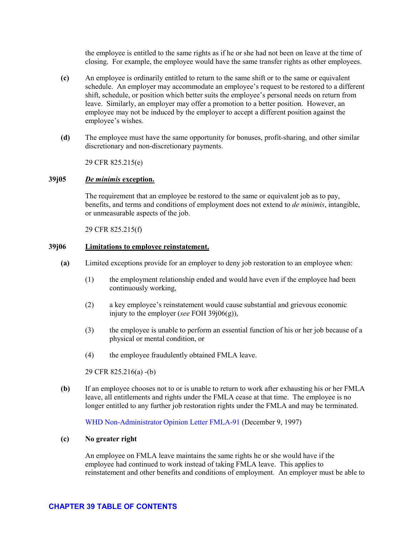the employee is entitled to the same rights as if he or she had not been on leave at the time of closing. For example, the employee would have the same transfer rights as other employees.

- **(c)** An employee is ordinarily entitled to return to the same shift or to the same or equivalent schedule. An employer may accommodate an employee's request to be restored to a different shift, schedule, or position which better suits the employee's personal needs on return from leave. Similarly, an employer may offer a promotion to a better position. However, an employee may not be induced by the employer to accept a different position against the employee's wishes.
- **(d)** The employee must have the same opportunity for bonuses, profit-sharing, and other similar discretionary and non-discretionary payments.

29 CFR 825.215(e)

## **39j05** *De minimis* **exception.**

The requirement that an employee be restored to the same or equivalent job as to pay, benefits, and terms and conditions of employment does not extend to *de minimis*, intangible, or unmeasurable aspects of the job.

29 CFR 825.215(f)

## **39j06 Limitations to employee reinstatement.**

- **(a)** Limited exceptions provide for an employer to deny job restoration to an employee when:
	- (1) the employment relationship ended and would have even if the employee had been continuously working,
	- (2) a key employee's reinstatement would cause substantial and grievous economic injury to the employer (*see* FOH 39j06(g)),
	- (3) the employee is unable to perform an essential function of his or her job because of a physical or mental condition, or
	- (4) the employee fraudulently obtained FMLA leave.

29 CFR 825.216(a) -(b)

**(b)** If an employee chooses not to or is unable to return to work after exhausting his or her FMLA leave, all entitlements and rights under the FMLA cease at that time. The employee is no longer entitled to any further job restoration rights under the FMLA and may be terminated.

[WHD Non-Administrator Opinion Letter](https://www.dol.gov/WHD/opinion/FMLA/prior2002/FMLA-91.pdf) FMLA-91 (December 9, 1997)

#### **(c) No greater right**

An employee on FMLA leave maintains the same rights he or she would have if the employee had continued to work instead of taking FMLA leave. This applies to reinstatement and other benefits and conditions of employment. An employer must be able to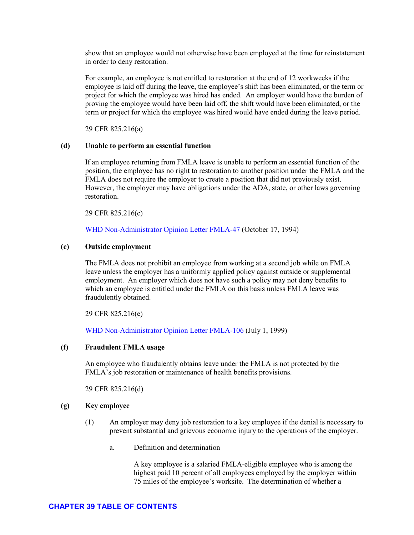60 FR 2213

 $(d)$ If the provisions of a CBA govern an employee's return to work, those provisions will apply to the extent they do not conflict with the FMLA. For example, if the CBA prohibits a fitness-for-duty certification, the employer may not require one even though such certification is typically permitted if administered in accordance with 29 USC  $2614(a)(4)$  and 29 CFR 825.312. Conversely, even if the CBA allows the employer to return the employee to a different, non-equivalent position because of seniority, the employer remains bound by the equivalent-position requirements of the FMLA.

29 USC 2652

29 CFR 825.700(a)

# $[07/24/2018]$

#### 39j01 **Equivalent position.**

Equivalent position means a position that is virtually identical to the employee's former position in terms of pay, benefits and working conditions, including privileges, perquisites and status. The position must involve the same or substantially similar duties and responsibilities, which require substantially equivalent skill, effort, responsibility, and authority.

29 CFR 825.215(a)

#### $39j02$ Equivalent pay.

#### $(a)$ Pay increases or changes

- $(1)$ An employee is entitled to any unconditional pay increase which may have occurred during the FMLA leave period, such as cost of living increases. An employee is also entitled to be restored to a position with the same or equivalent pay premiums, such as a shift differential
- $(2)$ Pay increases based on seniority, length of service, or work performed must be applied according to the employer's policy for other employees on an equivalent leave status for a non-FMLA reason

#### (b) **Bonuses**

- $(1)$ Equivalent pay includes any bonus or payment, whether it is discretionary or nondiscretionary.
- $(2)$ If a bonus is based on the achievement of a specified goal (e.g., hours worked, products sold, perfect attendance, etc.) and the employee has not met the goal due to FMLA leave, the payment may be denied unless the employer pays such a bonus to other employees on an equivalent leave status for non-FMLA reasons.

For example, if an employer policy does not disallow an attendance bonus to an employee who takes vacation leave, the employer cannot deny the bonus to an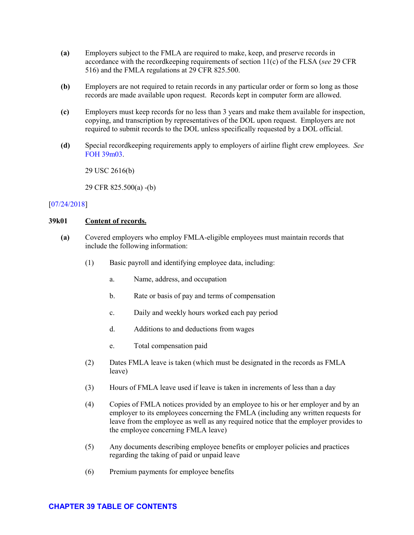FMLA leave runs concurrently with paid leave provided under workers' compensation or a temporary disability plan, recovery of premiums does not apply.

- $(f)$ Self-insured employers may recover only the employer's share of allowable premiums as calculated under COBRA, excluding the 2 percent fee for administrative costs.
- $(g)$ Any share of premiums that the employer is entitled to collect when an employee fails to return to work is a debt owed by the employee to the employer. Such a debt does not alter the employer's responsibilities for health benefit coverage or payment of claims incurred during FMLA leave under a self-insurance plan. The employer may recover the costs through deductions from any sums due to the employee as allowed under state and federal law, or the employer may initiate legal action against the employee to recover such costs.

29 CFR 825.212(b)

29 CFR 825.213

# $[07/24/2018]$

#### $39i$ **JOB RESTORATION**

#### $39j00$ General.

Upon return from FMLA leave, an employee is entitled to be restored to the position held  $(a)$ when the leave commenced or to an equivalent position with equivalent employment benefits, pay, and other terms and conditions of employment. An employee is entitled to such reinstatement even if the employee has been replaced or his or her position has been restructured to accommodate the employee's absence. See FOH 39L for specials rules applicable to school employees.

29 USC 2614(a)

29 CFR 825.214

(b) If the returning employee is no longer qualified for the position because of his or her inability to continue to meet job requirements as a result of the leave  $(e.g.,$  attend a necessary course, renew a license, fly a minimum number of hours, etc.), the employer must give the employee a reasonable opportunity to fulfill those conditions after he or she returns to work.

29 CFR 825.215(b)

 $(c)$ If an employee would have been laid off had he or she not been on FMLA leave, the employee's right to reinstatement is whatever it would have been had the employee not been on leave when the layoff occurred. If a position has been eliminated, the employer bears the burden of establishing that the job would have been eliminated and the employee not otherwise employed at the time of restoration if the employee had continued to work instead of taking leave.

29 CFR 825.216(a)(1)

60 FR 2180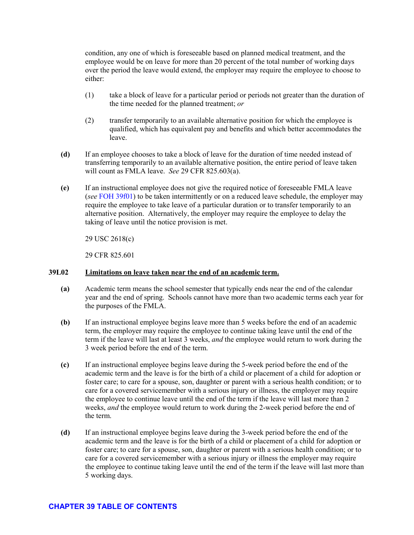condition, any one of which is foreseeable based on planned medical treatment, and the employee would be on leave for more than 20 percent of the total number of working days over the period the leave would extend, the employer may require the employee to choose to either:

- (1) take a block of leave for a particular period or periods not greater than the duration of the time needed for the planned treatment; *or*
- (2) transfer temporarily to an available alternative position for which the employee is qualified, which has equivalent pay and benefits and which better accommodates the leave.
- **(d)** If an employee chooses to take a block of leave for the duration of time needed instead of transferring temporarily to an available alternative position, the entire period of leave taken will count as FMLA leave. *See* 29 CFR 825.603(a).
- **(e)** If an instructional employee does not give the required notice of foreseeable FMLA leave (*see* [FOH 39f01\)](#page-47-0) to be taken intermittently or on a reduced leave schedule, the employer may require the employee to take leave of a particular duration or to transfer temporarily to an alternative position. Alternatively, the employer may require the employee to delay the taking of leave until the notice provision is met.

29 USC 2618(c)

29 CFR 825.601

# **39L02 Limitations on leave taken near the end of an academic term.**

- **(a)** Academic term means the school semester that typically ends near the end of the calendar year and the end of spring. Schools cannot have more than two academic terms each year for the purposes of the FMLA.
- **(b)** If an instructional employee begins leave more than 5 weeks before the end of an academic term, the employer may require the employee to continue taking leave until the end of the term if the leave will last at least 3 weeks, *and* the employee would return to work during the 3 week period before the end of the term.
- **(c)** If an instructional employee begins leave during the 5-week period before the end of the academic term and the leave is for the birth of a child or placement of a child for adoption or foster care; to care for a spouse, son, daughter or parent with a serious health condition; or to care for a covered servicemember with a serious injury or illness, the employer may require the employee to continue leave until the end of the term if the leave will last more than 2 weeks, *and* the employee would return to work during the 2-week period before the end of the term.
- **(d)** If an instructional employee begins leave during the 3-week period before the end of the academic term and the leave is for the birth of a child or placement of a child for adoption or foster care; to care for a spouse, son, daughter or parent with a serious health condition; or to care for a covered servicemember with a serious injury or illness the employer may require the employee to continue taking leave until the end of the term if the leave will last more than 5 working days.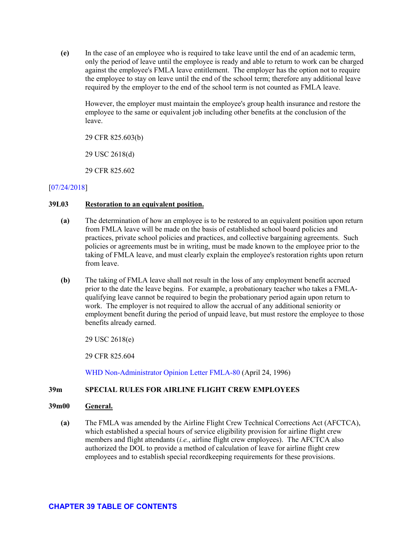**(e)** In the case of an employee who is required to take leave until the end of an academic term, only the period of leave until the employee is ready and able to return to work can be charged against the employee's FMLA leave entitlement. The employer has the option not to require the employee to stay on leave until the end of the school term; therefore any additional leave required by the employer to the end of the school term is not counted as FMLA leave.

However, the employer must maintain the employee's group health insurance and restore the employee to the same or equivalent job including other benefits at the conclusion of the leave.

29 CFR 825.603(b)

29 USC 2618(d)

29 CFR 825.602

# [\[07/24/2018\]](http://esa.esa.dol.gov/whd/LawsRegs/FOH/Revisions/Revision758.pdf)

# **39L03 Restoration to an equivalent position.**

- **(a)** The determination of how an employee is to be restored to an equivalent position upon return from FMLA leave will be made on the basis of established school board policies and practices, private school policies and practices, and collective bargaining agreements. Such policies or agreements must be in writing, must be made known to the employee prior to the taking of FMLA leave, and must clearly explain the employee's restoration rights upon return from leave.
- **(b)** The taking of FMLA leave shall not result in the loss of any employment benefit accrued prior to the date the leave begins. For example, a probationary teacher who takes a FMLAqualifying leave cannot be required to begin the probationary period again upon return to work. The employer is not required to allow the accrual of any additional seniority or employment benefit during the period of unpaid leave, but must restore the employee to those benefits already earned.

29 USC 2618(e)

29 CFR 825.604

[WHD Non-Administrator Opinion Letter](https://www.dol.gov/WHD/opinion/FMLA/prior2002/FMLA-80.pdf) FMLA-80 (April 24, 1996)

# **39m SPECIAL RULES FOR AIRLINE FLIGHT CREW EMPLOYEES**

#### **39m00 General.**

**(a)** The FMLA was amended by the Airline Flight Crew Technical Corrections Act (AFCTCA), which established a special hours of service eligibility provision for airline flight crew members and flight attendants (*i.e.*, airline flight crew employees). The AFCTCA also authorized the DOL to provide a method of calculation of leave for airline flight crew employees and to establish special recordkeeping requirements for these provisions.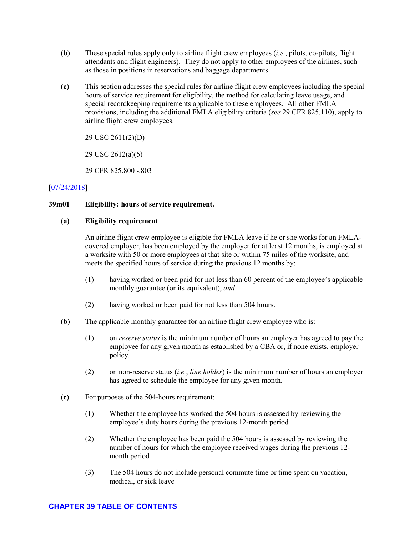- **(b)** These special rules apply only to airline flight crew employees (*i.e.*, pilots, co-pilots, flight attendants and flight engineers). They do not apply to other employees of the airlines, such as those in positions in reservations and baggage departments.
- **(c)** This section addresses the special rules for airline flight crew employees including the special hours of service requirement for eligibility, the method for calculating leave usage, and special recordkeeping requirements applicable to these employees. All other FMLA provisions, including the additional FMLA eligibility criteria (*see* 29 CFR 825.110), apply to airline flight crew employees.

29 USC 2611(2)(D)

29 USC 2612(a)(5)

29 CFR 825.800 -.803

# [\[07/24/2018\]](http://esa.esa.dol.gov/whd/LawsRegs/FOH/Revisions/Revision758.pdf)

# **39m01 Eligibility: hours of service requirement.**

### **(a) Eligibility requirement**

An airline flight crew employee is eligible for FMLA leave if he or she works for an FMLAcovered employer, has been employed by the employer for at least 12 months, is employed at a worksite with 50 or more employees at that site or within 75 miles of the worksite, and meets the specified hours of service during the previous 12 months by:

- (1) having worked or been paid for not less than 60 percent of the employee's applicable monthly guarantee (or its equivalent), *and*
- (2) having worked or been paid for not less than 504 hours.
- **(b)** The applicable monthly guarantee for an airline flight crew employee who is:
	- (1) on *reserve status* is the minimum number of hours an employer has agreed to pay the employee for any given month as established by a CBA or, if none exists, employer policy.
	- (2) on non-reserve status (*i.e.*, *line holder*) is the minimum number of hours an employer has agreed to schedule the employee for any given month.
- **(c)** For purposes of the 504-hours requirement:
	- (1) Whether the employee has worked the 504 hours is assessed by reviewing the employee's duty hours during the previous 12-month period
	- (2) Whether the employee has been paid the 504 hours is assessed by reviewing the number of hours for which the employee received wages during the previous 12 month period
	- (3) The 504 hours do not include personal commute time or time spent on vacation, medical, or sick leave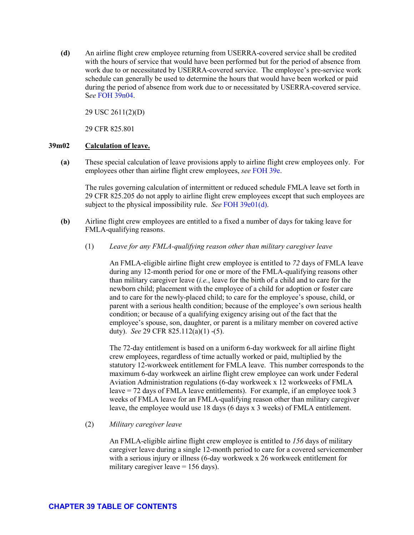**(d)** An airline flight crew employee returning from USERRA-covered service shall be credited with the hours of service that would have been performed but for the period of absence from work due to or necessitated by USERRA-covered service. The employee's pre-service work schedule can generally be used to determine the hours that would have been worked or paid during the period of absence from work due to or necessitated by USERRA-covered service. S*ee* [FOH 39n04.](#page-90-0)

29 USC 2611(2)(D)

29 CFR 825.801

# **39m02 Calculation of leave.**

**(a)** These special calculation of leave provisions apply to airline flight crew employees only. For employees other than airline flight crew employees, *see* [FOH 39e.](#page-39-0)

The rules governing calculation of intermittent or reduced schedule FMLA leave set forth in 29 CFR 825.205 do not apply to airline flight crew employees except that such employees are subject to the physical impossibility rule. *See* [FOH 39e01\(d\).](#page-41-0)

- **(b)** Airline flight crew employees are entitled to a fixed a number of days for taking leave for FMLA-qualifying reasons.
	- (1) *Leave for any FMLA-qualifying reason other than military caregiver leave*

An FMLA-eligible airline flight crew employee is entitled to *72* days of FMLA leave during any 12-month period for one or more of the FMLA-qualifying reasons other than military caregiver leave (*i.e.*, leave for the birth of a child and to care for the newborn child; placement with the employee of a child for adoption or foster care and to care for the newly-placed child; to care for the employee's spouse, child, or parent with a serious health condition; because of the employee's own serious health condition; or because of a qualifying exigency arising out of the fact that the employee's spouse, son, daughter, or parent is a military member on covered active duty). *See* 29 CFR 825.112(a)(1) -(5).

The 72-day entitlement is based on a uniform 6-day workweek for all airline flight crew employees, regardless of time actually worked or paid, multiplied by the statutory 12-workweek entitlement for FMLA leave. This number corresponds to the maximum 6-day workweek an airline flight crew employee can work under Federal Aviation Administration regulations (6-day workweek x 12 workweeks of FMLA leave = 72 days of FMLA leave entitlements). For example, if an employee took 3 weeks of FMLA leave for an FMLA-qualifying reason other than military caregiver leave, the employee would use 18 days (6 days x 3 weeks) of FMLA entitlement.

#### (2) *Military caregiver leave*

An FMLA-eligible airline flight crew employee is entitled to *156* days of military caregiver leave during a single 12-month period to care for a covered servicemember with a serious injury or illness (6-day workweek x 26 workweek entitlement for military caregiver leave = 156 days).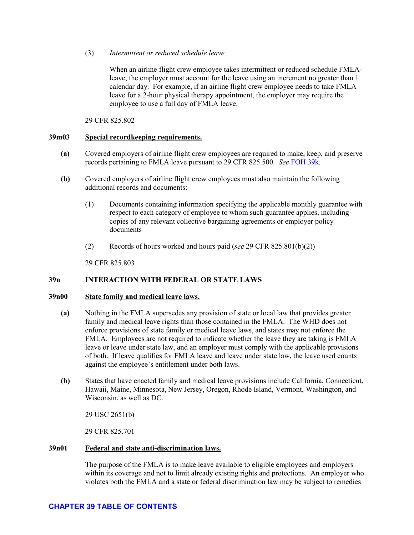# (3) *Intermittent or reduced schedule leave*

When an airline flight crew employee takes intermittent or reduced schedule FMLAleave, the employer must account for the leave using an increment no greater than 1 calendar day. For example, if an airline flight crew employee needs to take FMLA leave for a 2-hour physical therapy appointment, the employer may require the employee to use a full day of FMLA leave.

29 CFR 825.802

## <span id="page-88-0"></span>**39m03 Special recordkeeping requirements.**

- **(a)** Covered employers of airline flight crew employees are required to make, keep, and preserve records pertaining to FMLA leave pursuant to 29 CFR 825.500. *See* [FOH 39k.](#page-80-0)
- **(b)** Covered employers of airline flight crew employees must also maintain the following additional records and documents:
	- (1) Documents containing information specifying the applicable monthly guarantee with respect to each category of employee to whom such guarantee applies, including copies of any relevant collective bargaining agreements or employer policy documents
	- (2) Records of hours worked and hours paid (*see* 29 CFR 825.801(b)(2))

29 CFR 825.803

# **39n INTERACTION WITH FEDERAL OR STATE LAWS**

#### **39n00 State family and medical leave laws.**

- **(a)** Nothing in the FMLA supersedes any provision of state or local law that provides greater family and medical leave rights than those contained in the FMLA. The WHD does not enforce provisions of state family or medical leave laws, and states may not enforce the FMLA. Employees are not required to indicate whether the leave they are taking is FMLA leave or leave under state law, and an employer must comply with the applicable provisions of both. If leave qualifies for FMLA leave and leave under state law, the leave used counts against the employee's entitlement under both laws.
- **(b)** States that have enacted family and medical leave provisions include California, Connecticut, Hawaii, Maine, Minnesota, New Jersey, Oregon, Rhode Island, Vermont, Washington, and Wisconsin, as well as DC.

29 USC 2651(b)

29 CFR 825.701

#### **39n01 Federal and state anti-discrimination laws.**

The purpose of the FMLA is to make leave available to eligible employees and employers within its coverage and not to limit already existing rights and protections. An employer who violates both the FMLA and a state or federal discrimination law may be subject to remedies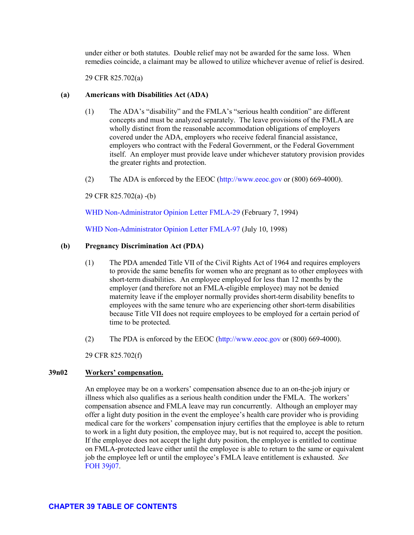under either or both statutes. Double relief may not be awarded for the same loss. When remedies coincide, a claimant may be allowed to utilize whichever avenue of relief is desired.

29 CFR 825.702(a)

# **(a) Americans with Disabilities Act (ADA)**

- (1) The ADA's "disability" and the FMLA's "serious health condition" are different concepts and must be analyzed separately. The leave provisions of the FMLA are wholly distinct from the reasonable accommodation obligations of employers covered under the ADA, employers who receive federal financial assistance, employers who contract with the Federal Government, or the Federal Government itself. An employer must provide leave under whichever statutory provision provides the greater rights and protection.
- (2) The ADA is enforced by the EEOC [\(http://www.eeoc.gov](http://www.eeoc.gov/) or (800) 669-4000).

29 CFR 825.702(a) -(b)

[WHD Non-Administrator Opinion Letter](https://www.dol.gov/WHD/opinion/fmla/prior2002/FMLA-29.pdf) FMLA-29 (February 7, 1994)

[WHD Non-Administrator Opinion Letter](https://www.dol.gov/WHD/opinion/FMLA/prior2002/FMLA-97.pdf) FMLA-97 (July 10, 1998)

# **(b) Pregnancy Discrimination Act (PDA)**

- (1) The PDA amended Title VII of the Civil Rights Act of 1964 and requires employers to provide the same benefits for women who are pregnant as to other employees with short-term disabilities. An employee employed for less than 12 months by the employer (and therefore not an FMLA-eligible employee) may not be denied maternity leave if the employer normally provides short-term disability benefits to employees with the same tenure who are experiencing other short-term disabilities because Title VII does not require employees to be employed for a certain period of time to be protected.
- (2) The PDA is enforced by the EEOC [\(http://www.eeoc.gov](http://www.eeoc.gov/) or (800) 669-4000).

29 CFR 825.702(f)

# **39n02 Workers' compensation.**

An employee may be on a workers' compensation absence due to an on-the-job injury or illness which also qualifies as a serious health condition under the FMLA. The workers' compensation absence and FMLA leave may run concurrently. Although an employer may offer a light duty position in the event the employee's health care provider who is providing medical care for the workers' compensation injury certifies that the employee is able to return to work in a light duty position, the employee may, but is not required to, accept the position. If the employee does not accept the light duty position, the employee is entitled to continue on FMLA-protected leave either until the employee is able to return to the same or equivalent job the employee left or until the employee's FMLA leave entitlement is exhausted. *See*  [FOH 39j07.](#page-80-1)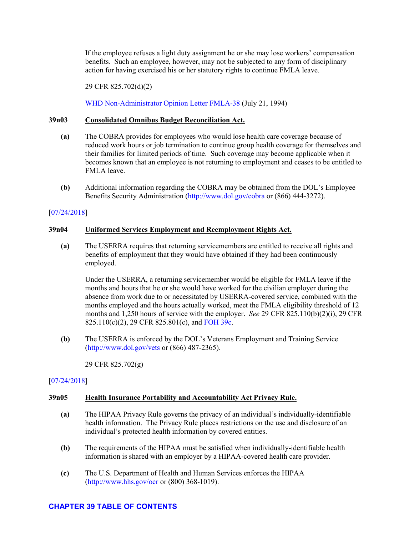If the employee refuses a light duty assignment he or she may lose workers' compensation benefits. Such an employee, however, may not be subjected to any form of disciplinary action for having exercised his or her statutory rights to continue FMLA leave.

29 CFR 825.702(d)(2)

[WHD Non-Administrator Opinion Letter](https://www.dol.gov/WHD/opinion/fmla/prior2002/FMLA-38.pdf) FMLA-38 (July 21, 1994)

## **39n03 Consolidated Omnibus Budget Reconciliation Act.**

- **(a)** The COBRA provides for employees who would lose health care coverage because of reduced work hours or job termination to continue group health coverage for themselves and their families for limited periods of time. Such coverage may become applicable when it becomes known that an employee is not returning to employment and ceases to be entitled to FMLA leave.
- **(b)** Additional information regarding the COBRA may be obtained from the DOL's Employee Benefits Security Administration [\(http://www.dol.gov/cobra](http://www.dol.gov/cobra) or (866) 444-3272).

# [\[07/24/2018\]](http://esa.esa.dol.gov/whd/LawsRegs/FOH/Revisions/Revision758.pdf)

### <span id="page-90-0"></span>**39n04 Uniformed Services Employment and Reemployment Rights Act.**

**(a)** The USERRA requires that returning servicemembers are entitled to receive all rights and benefits of employment that they would have obtained if they had been continuously employed.

Under the USERRA, a returning servicemember would be eligible for FMLA leave if the months and hours that he or she would have worked for the civilian employer during the absence from work due to or necessitated by USERRA-covered service, combined with the months employed and the hours actually worked, meet the FMLA eligibility threshold of 12 months and 1,250 hours of service with the employer. *See* 29 CFR 825.110(b)(2)(i), 29 CFR 825.110(c)(2), 29 CFR 825.801(c), an[d FOH 39c.](#page-11-0)

**(b)** The USERRA is enforced by the DOL's Veterans Employment and Training Service [\(http://www.dol.gov/vets](http://www.dol.gov/vets) or (866) 487-2365).

29 CFR 825.702(g)

# [\[07/24/2018\]](http://esa.esa.dol.gov/whd/LawsRegs/FOH/Revisions/Revision758.pdf)

# **39n05 Health Insurance Portability and Accountability Act Privacy Rule.**

- **(a)** The HIPAA Privacy Rule governs the privacy of an individual's individually-identifiable health information. The Privacy Rule places restrictions on the use and disclosure of an individual's protected health information by covered entities.
- **(b)** The requirements of the HIPAA must be satisfied when individually-identifiable health information is shared with an employer by a HIPAA-covered health care provider.
- **(c)** The U.S. Department of Health and Human Services enforces the HIPAA [\(http://www.hhs.gov/ocr](http://www.hhs.gov/ocr) or (800) 368-1019).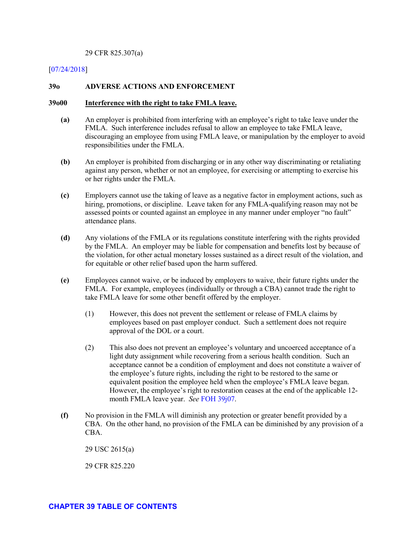#### 29 CFR 825.307(a)

#### [\[07/24/2018\]](http://esa.esa.dol.gov/whd/LawsRegs/FOH/Revisions/Revision758.pdf)

#### **39o ADVERSE ACTIONS AND ENFORCEMENT**

### **39o00 Interference with the right to take FMLA leave.**

- **(a)** An employer is prohibited from interfering with an employee's right to take leave under the FMLA. Such interference includes refusal to allow an employee to take FMLA leave, discouraging an employee from using FMLA leave, or manipulation by the employer to avoid responsibilities under the FMLA.
- **(b)** An employer is prohibited from discharging or in any other way discriminating or retaliating against any person, whether or not an employee, for exercising or attempting to exercise his or her rights under the FMLA.
- **(c)** Employers cannot use the taking of leave as a negative factor in employment actions, such as hiring, promotions, or discipline. Leave taken for any FMLA-qualifying reason may not be assessed points or counted against an employee in any manner under employer "no fault" attendance plans.
- **(d)** Any violations of the FMLA or its regulations constitute interfering with the rights provided by the FMLA. An employer may be liable for compensation and benefits lost by because of the violation, for other actual monetary losses sustained as a direct result of the violation, and for equitable or other relief based upon the harm suffered.
- **(e)** Employees cannot waive, or be induced by employers to waive, their future rights under the FMLA. For example, employees (individually or through a CBA) cannot trade the right to take FMLA leave for some other benefit offered by the employer.
	- (1) However, this does not prevent the settlement or release of FMLA claims by employees based on past employer conduct. Such a settlement does not require approval of the DOL or a court.
	- (2) This also does not prevent an employee's voluntary and uncoerced acceptance of a light duty assignment while recovering from a serious health condition. Such an acceptance cannot be a condition of employment and does not constitute a waiver of the employee's future rights, including the right to be restored to the same or equivalent position the employee held when the employee's FMLA leave began. However, the employee's right to restoration ceases at the end of the applicable 12 month FMLA leave year. *See* [FOH 39j07.](#page-80-1)
- **(f)** No provision in the FMLA will diminish any protection or greater benefit provided by a CBA. On the other hand, no provision of the FMLA can be diminished by any provision of a CBA.

29 USC 2615(a)

29 CFR 825.220